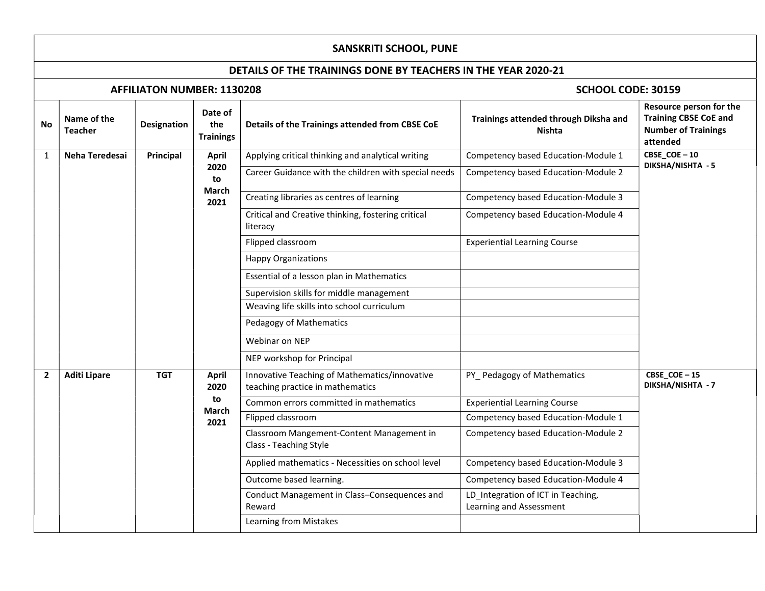## SANSKRITI SCHOOL, PUNE

## DETAILS OF THE TRAININGS DONE BY TEACHERS IN THE YEAR 2020-21

## AFFILIATON NUMBER: 1130208 **SCHOOL CODE: 30159**

| CBSE_COE-10<br>Neha Teredesai<br>Principal<br>Applying critical thinking and analytical writing<br>Competency based Education-Module 1<br>1<br><b>April</b><br>DIKSHA/NISHTA - 5<br>2020<br>Career Guidance with the children with special needs<br>Competency based Education-Module 2<br>to<br>March<br>Creating libraries as centres of learning<br>Competency based Education-Module 3<br>2021<br>Critical and Creative thinking, fostering critical<br>Competency based Education-Module 4<br>literacy<br>Flipped classroom<br><b>Experiential Learning Course</b><br><b>Happy Organizations</b><br>Essential of a lesson plan in Mathematics<br>Supervision skills for middle management<br>Weaving life skills into school curriculum<br>Pedagogy of Mathematics<br>Webinar on NEP<br>NEP workshop for Principal<br>CBSE_COE-15<br><b>TGT</b><br>Innovative Teaching of Mathematics/innovative<br>PY Pedagogy of Mathematics<br>$\mathbf{2}$<br><b>Aditi Lipare</b><br><b>April</b><br>DIKSHA/NISHTA - 7<br>teaching practice in mathematics<br>2020<br>to<br>Common errors committed in mathematics<br><b>Experiential Learning Course</b><br>March<br>Flipped classroom<br>Competency based Education-Module 1<br>2021<br>Classroom Mangement-Content Management in<br>Competency based Education-Module 2<br>Class - Teaching Style<br>Competency based Education-Module 3<br>Applied mathematics - Necessities on school level<br>Outcome based learning.<br>Competency based Education-Module 4<br>LD Integration of ICT in Teaching,<br>Conduct Management in Class-Consequences and<br>Learning and Assessment<br>Reward<br>Learning from Mistakes | No | Name of the<br><b>Teacher</b> | <b>Designation</b> | Date of<br>the<br><b>Trainings</b> | Details of the Trainings attended from CBSE CoE | Trainings attended through Diksha and<br><b>Nishta</b> | Resource person for the<br><b>Training CBSE CoE and</b><br><b>Number of Trainings</b><br>attended |
|------------------------------------------------------------------------------------------------------------------------------------------------------------------------------------------------------------------------------------------------------------------------------------------------------------------------------------------------------------------------------------------------------------------------------------------------------------------------------------------------------------------------------------------------------------------------------------------------------------------------------------------------------------------------------------------------------------------------------------------------------------------------------------------------------------------------------------------------------------------------------------------------------------------------------------------------------------------------------------------------------------------------------------------------------------------------------------------------------------------------------------------------------------------------------------------------------------------------------------------------------------------------------------------------------------------------------------------------------------------------------------------------------------------------------------------------------------------------------------------------------------------------------------------------------------------------------------------------------------------------------------------------------------------|----|-------------------------------|--------------------|------------------------------------|-------------------------------------------------|--------------------------------------------------------|---------------------------------------------------------------------------------------------------|
|                                                                                                                                                                                                                                                                                                                                                                                                                                                                                                                                                                                                                                                                                                                                                                                                                                                                                                                                                                                                                                                                                                                                                                                                                                                                                                                                                                                                                                                                                                                                                                                                                                                                  |    |                               |                    |                                    |                                                 |                                                        |                                                                                                   |
|                                                                                                                                                                                                                                                                                                                                                                                                                                                                                                                                                                                                                                                                                                                                                                                                                                                                                                                                                                                                                                                                                                                                                                                                                                                                                                                                                                                                                                                                                                                                                                                                                                                                  |    |                               |                    |                                    |                                                 |                                                        |                                                                                                   |
|                                                                                                                                                                                                                                                                                                                                                                                                                                                                                                                                                                                                                                                                                                                                                                                                                                                                                                                                                                                                                                                                                                                                                                                                                                                                                                                                                                                                                                                                                                                                                                                                                                                                  |    |                               |                    |                                    |                                                 |                                                        |                                                                                                   |
|                                                                                                                                                                                                                                                                                                                                                                                                                                                                                                                                                                                                                                                                                                                                                                                                                                                                                                                                                                                                                                                                                                                                                                                                                                                                                                                                                                                                                                                                                                                                                                                                                                                                  |    |                               |                    |                                    |                                                 |                                                        |                                                                                                   |
|                                                                                                                                                                                                                                                                                                                                                                                                                                                                                                                                                                                                                                                                                                                                                                                                                                                                                                                                                                                                                                                                                                                                                                                                                                                                                                                                                                                                                                                                                                                                                                                                                                                                  |    |                               |                    |                                    |                                                 |                                                        |                                                                                                   |
|                                                                                                                                                                                                                                                                                                                                                                                                                                                                                                                                                                                                                                                                                                                                                                                                                                                                                                                                                                                                                                                                                                                                                                                                                                                                                                                                                                                                                                                                                                                                                                                                                                                                  |    |                               |                    |                                    |                                                 |                                                        |                                                                                                   |
|                                                                                                                                                                                                                                                                                                                                                                                                                                                                                                                                                                                                                                                                                                                                                                                                                                                                                                                                                                                                                                                                                                                                                                                                                                                                                                                                                                                                                                                                                                                                                                                                                                                                  |    |                               |                    |                                    |                                                 |                                                        |                                                                                                   |
|                                                                                                                                                                                                                                                                                                                                                                                                                                                                                                                                                                                                                                                                                                                                                                                                                                                                                                                                                                                                                                                                                                                                                                                                                                                                                                                                                                                                                                                                                                                                                                                                                                                                  |    |                               |                    |                                    |                                                 |                                                        |                                                                                                   |
|                                                                                                                                                                                                                                                                                                                                                                                                                                                                                                                                                                                                                                                                                                                                                                                                                                                                                                                                                                                                                                                                                                                                                                                                                                                                                                                                                                                                                                                                                                                                                                                                                                                                  |    |                               |                    |                                    |                                                 |                                                        |                                                                                                   |
|                                                                                                                                                                                                                                                                                                                                                                                                                                                                                                                                                                                                                                                                                                                                                                                                                                                                                                                                                                                                                                                                                                                                                                                                                                                                                                                                                                                                                                                                                                                                                                                                                                                                  |    |                               |                    |                                    |                                                 |                                                        |                                                                                                   |
|                                                                                                                                                                                                                                                                                                                                                                                                                                                                                                                                                                                                                                                                                                                                                                                                                                                                                                                                                                                                                                                                                                                                                                                                                                                                                                                                                                                                                                                                                                                                                                                                                                                                  |    |                               |                    |                                    |                                                 |                                                        |                                                                                                   |
|                                                                                                                                                                                                                                                                                                                                                                                                                                                                                                                                                                                                                                                                                                                                                                                                                                                                                                                                                                                                                                                                                                                                                                                                                                                                                                                                                                                                                                                                                                                                                                                                                                                                  |    |                               |                    |                                    |                                                 |                                                        |                                                                                                   |
|                                                                                                                                                                                                                                                                                                                                                                                                                                                                                                                                                                                                                                                                                                                                                                                                                                                                                                                                                                                                                                                                                                                                                                                                                                                                                                                                                                                                                                                                                                                                                                                                                                                                  |    |                               |                    |                                    |                                                 |                                                        |                                                                                                   |
|                                                                                                                                                                                                                                                                                                                                                                                                                                                                                                                                                                                                                                                                                                                                                                                                                                                                                                                                                                                                                                                                                                                                                                                                                                                                                                                                                                                                                                                                                                                                                                                                                                                                  |    |                               |                    |                                    |                                                 |                                                        |                                                                                                   |
|                                                                                                                                                                                                                                                                                                                                                                                                                                                                                                                                                                                                                                                                                                                                                                                                                                                                                                                                                                                                                                                                                                                                                                                                                                                                                                                                                                                                                                                                                                                                                                                                                                                                  |    |                               |                    |                                    |                                                 |                                                        |                                                                                                   |
|                                                                                                                                                                                                                                                                                                                                                                                                                                                                                                                                                                                                                                                                                                                                                                                                                                                                                                                                                                                                                                                                                                                                                                                                                                                                                                                                                                                                                                                                                                                                                                                                                                                                  |    |                               |                    |                                    |                                                 |                                                        |                                                                                                   |
|                                                                                                                                                                                                                                                                                                                                                                                                                                                                                                                                                                                                                                                                                                                                                                                                                                                                                                                                                                                                                                                                                                                                                                                                                                                                                                                                                                                                                                                                                                                                                                                                                                                                  |    |                               |                    |                                    |                                                 |                                                        |                                                                                                   |
|                                                                                                                                                                                                                                                                                                                                                                                                                                                                                                                                                                                                                                                                                                                                                                                                                                                                                                                                                                                                                                                                                                                                                                                                                                                                                                                                                                                                                                                                                                                                                                                                                                                                  |    |                               |                    |                                    |                                                 |                                                        |                                                                                                   |
|                                                                                                                                                                                                                                                                                                                                                                                                                                                                                                                                                                                                                                                                                                                                                                                                                                                                                                                                                                                                                                                                                                                                                                                                                                                                                                                                                                                                                                                                                                                                                                                                                                                                  |    |                               |                    |                                    |                                                 |                                                        |                                                                                                   |
|                                                                                                                                                                                                                                                                                                                                                                                                                                                                                                                                                                                                                                                                                                                                                                                                                                                                                                                                                                                                                                                                                                                                                                                                                                                                                                                                                                                                                                                                                                                                                                                                                                                                  |    |                               |                    |                                    |                                                 |                                                        |                                                                                                   |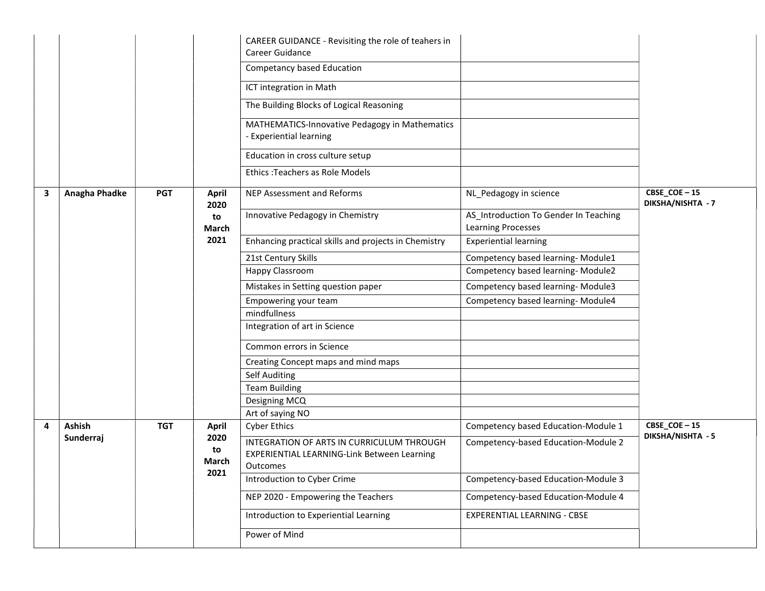|   |               |            |                      | CAREER GUIDANCE - Revisiting the role of teahers in<br>Career Guidance                                      |                                                                    |                                  |
|---|---------------|------------|----------------------|-------------------------------------------------------------------------------------------------------------|--------------------------------------------------------------------|----------------------------------|
|   |               |            |                      | Competancy based Education                                                                                  |                                                                    |                                  |
|   |               |            |                      | ICT integration in Math                                                                                     |                                                                    |                                  |
|   |               |            |                      | The Building Blocks of Logical Reasoning                                                                    |                                                                    |                                  |
|   |               |            |                      | MATHEMATICS-Innovative Pedagogy in Mathematics<br><b>Experiential learning</b>                              |                                                                    |                                  |
|   |               |            |                      | Education in cross culture setup                                                                            |                                                                    |                                  |
|   |               |            |                      | Ethics: Teachers as Role Models                                                                             |                                                                    |                                  |
| 3 | Anagha Phadke | <b>PGT</b> | <b>April</b><br>2020 | NEP Assessment and Reforms                                                                                  | NL_Pedagogy in science                                             | CBSE_COE-15<br>DIKSHA/NISHTA - 7 |
|   |               |            | to<br>March          | Innovative Pedagogy in Chemistry                                                                            | AS_Introduction To Gender In Teaching<br><b>Learning Processes</b> |                                  |
|   |               |            | 2021                 | Enhancing practical skills and projects in Chemistry                                                        | <b>Experiential learning</b>                                       |                                  |
|   |               |            |                      | 21st Century Skills                                                                                         | Competency based learning- Module1                                 |                                  |
|   |               |            |                      | Happy Classroom                                                                                             | Competency based learning-Module2                                  |                                  |
|   |               |            |                      | Mistakes in Setting question paper                                                                          | Competency based learning-Module3                                  |                                  |
|   |               |            |                      | Empowering your team                                                                                        | Competency based learning-Module4                                  |                                  |
|   |               |            |                      | mindfullness                                                                                                |                                                                    |                                  |
|   |               |            |                      | Integration of art in Science                                                                               |                                                                    |                                  |
|   |               |            |                      | Common errors in Science                                                                                    |                                                                    |                                  |
|   |               |            |                      | Creating Concept maps and mind maps                                                                         |                                                                    |                                  |
|   |               |            |                      | Self Auditing                                                                                               |                                                                    |                                  |
|   |               |            |                      | <b>Team Building</b>                                                                                        |                                                                    |                                  |
|   |               |            |                      | Designing MCQ                                                                                               |                                                                    |                                  |
|   |               |            |                      | Art of saying NO                                                                                            |                                                                    |                                  |
| 4 | Ashish        | <b>TGT</b> | <b>April</b>         | <b>Cyber Ethics</b>                                                                                         | Competency based Education-Module 1                                | CBSE_COE-15<br>DIKSHA/NISHTA - 5 |
|   | Sunderraj     |            | 2020<br>to<br>March  | INTEGRATION OF ARTS IN CURRICULUM THROUGH<br><b>EXPERIENTIAL LEARNING-Link Between Learning</b><br>Outcomes | Competency-based Education-Module 2                                |                                  |
|   |               |            | 2021                 | Introduction to Cyber Crime                                                                                 | Competency-based Education-Module 3                                |                                  |
|   |               |            |                      | NEP 2020 - Empowering the Teachers                                                                          | Competency-based Education-Module 4                                |                                  |
|   |               |            |                      | Introduction to Experiential Learning                                                                       | EXPERENTIAL LEARNING - CBSE                                        |                                  |
|   |               |            |                      | Power of Mind                                                                                               |                                                                    |                                  |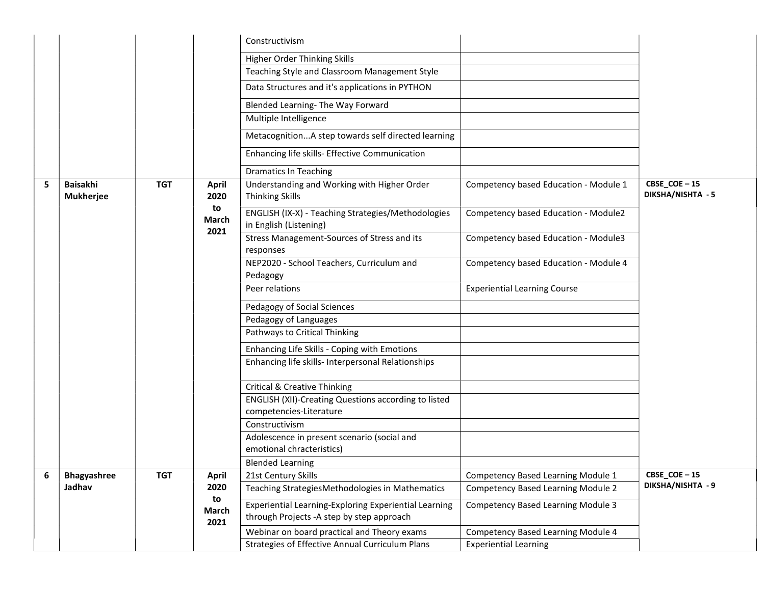|   |                              |            |                      | Constructivism                                                                                      |                                           |                                  |
|---|------------------------------|------------|----------------------|-----------------------------------------------------------------------------------------------------|-------------------------------------------|----------------------------------|
|   |                              |            |                      | Higher Order Thinking Skills                                                                        |                                           |                                  |
|   |                              |            |                      | Teaching Style and Classroom Management Style                                                       |                                           |                                  |
|   |                              |            |                      | Data Structures and it's applications in PYTHON                                                     |                                           |                                  |
|   |                              |            |                      | Blended Learning- The Way Forward                                                                   |                                           |                                  |
|   |                              |            |                      | Multiple Intelligence                                                                               |                                           |                                  |
|   |                              |            |                      | MetacognitionA step towards self directed learning                                                  |                                           |                                  |
|   |                              |            |                      | Enhancing life skills- Effective Communication                                                      |                                           |                                  |
|   |                              |            |                      | <b>Dramatics In Teaching</b>                                                                        |                                           |                                  |
| 5 | Baisakhi<br><b>Mukherjee</b> | <b>TGT</b> | <b>April</b><br>2020 | Understanding and Working with Higher Order<br><b>Thinking Skills</b>                               | Competency based Education - Module 1     | CBSE_COE-15<br>DIKSHA/NISHTA - 5 |
|   |                              |            | to<br>March          | ENGLISH (IX-X) - Teaching Strategies/Methodologies<br>in English (Listening)                        | Competency based Education - Module2      |                                  |
|   |                              |            | 2021                 | Stress Management-Sources of Stress and its<br>responses                                            | Competency based Education - Module3      |                                  |
|   |                              |            |                      | NEP2020 - School Teachers, Curriculum and<br>Pedagogy                                               | Competency based Education - Module 4     |                                  |
|   |                              |            |                      | Peer relations                                                                                      | <b>Experiential Learning Course</b>       |                                  |
|   |                              |            |                      | Pedagogy of Social Sciences                                                                         |                                           |                                  |
|   |                              |            |                      | Pedagogy of Languages                                                                               |                                           |                                  |
|   |                              |            |                      | Pathways to Critical Thinking                                                                       |                                           |                                  |
|   |                              |            |                      | Enhancing Life Skills - Coping with Emotions                                                        |                                           |                                  |
|   |                              |            |                      | Enhancing life skills- Interpersonal Relationships                                                  |                                           |                                  |
|   |                              |            |                      | <b>Critical &amp; Creative Thinking</b>                                                             |                                           |                                  |
|   |                              |            |                      | <b>ENGLISH (XII)-Creating Questions according to listed</b>                                         |                                           |                                  |
|   |                              |            |                      | competencies-Literature<br>Constructivism                                                           |                                           |                                  |
|   |                              |            |                      | Adolescence in present scenario (social and                                                         |                                           |                                  |
|   |                              |            |                      | emotional chracteristics)                                                                           |                                           |                                  |
|   |                              |            |                      | <b>Blended Learning</b>                                                                             |                                           |                                  |
| 6 | Bhagyashree                  | <b>TGT</b> | <b>April</b>         | 21st Century Skills                                                                                 | Competency Based Learning Module 1        | CBSE_COE-15                      |
|   | Jadhav                       |            | 2020                 | Teaching StrategiesMethodologies in Mathematics                                                     | <b>Competency Based Learning Module 2</b> | DIKSHA/NISHTA - 9                |
|   |                              |            | to<br>March<br>2021  | Experiential Learning-Exploring Experiential Learning<br>through Projects - A step by step approach | <b>Competency Based Learning Module 3</b> |                                  |
|   |                              |            |                      | Webinar on board practical and Theory exams                                                         | Competency Based Learning Module 4        |                                  |
|   |                              |            |                      | Strategies of Effective Annual Curriculum Plans                                                     | <b>Experiential Learning</b>              |                                  |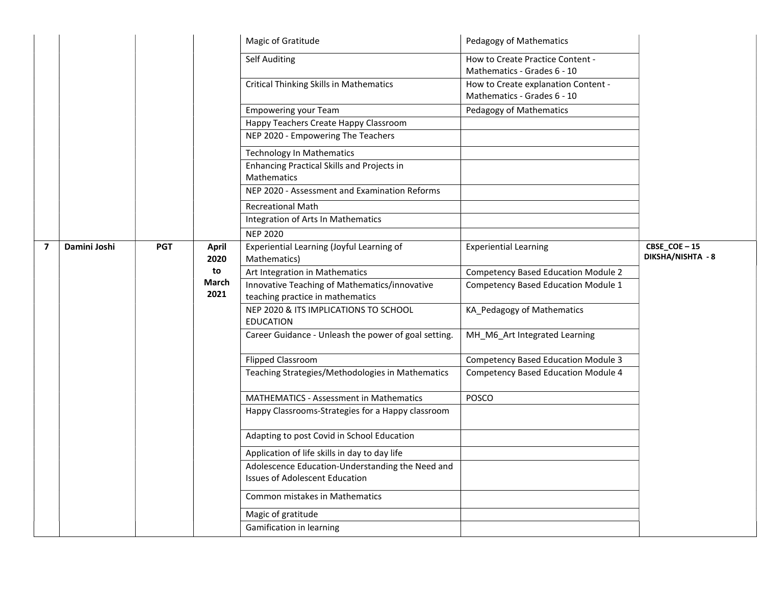|                         |                            |  |       | Magic of Gratitude                                                                        | Pedagogy of Mathematics                                            |                                                           |                              |                                  |
|-------------------------|----------------------------|--|-------|-------------------------------------------------------------------------------------------|--------------------------------------------------------------------|-----------------------------------------------------------|------------------------------|----------------------------------|
|                         |                            |  |       | Self Auditing                                                                             | How to Create Practice Content -<br>Mathematics - Grades 6 - 10    |                                                           |                              |                                  |
|                         |                            |  |       | <b>Critical Thinking Skills in Mathematics</b>                                            | How to Create explanation Content -<br>Mathematics - Grades 6 - 10 |                                                           |                              |                                  |
|                         |                            |  |       | <b>Empowering your Team</b>                                                               | Pedagogy of Mathematics                                            |                                                           |                              |                                  |
|                         |                            |  |       | Happy Teachers Create Happy Classroom                                                     |                                                                    |                                                           |                              |                                  |
|                         |                            |  |       | NEP 2020 - Empowering The Teachers                                                        |                                                                    |                                                           |                              |                                  |
|                         |                            |  |       | <b>Technology In Mathematics</b>                                                          |                                                                    |                                                           |                              |                                  |
|                         |                            |  |       | Enhancing Practical Skills and Projects in<br>Mathematics                                 |                                                                    |                                                           |                              |                                  |
|                         |                            |  |       | NEP 2020 - Assessment and Examination Reforms                                             |                                                                    |                                                           |                              |                                  |
|                         |                            |  |       | <b>Recreational Math</b>                                                                  |                                                                    |                                                           |                              |                                  |
|                         |                            |  |       | Integration of Arts In Mathematics                                                        |                                                                    |                                                           |                              |                                  |
|                         |                            |  |       | <b>NEP 2020</b>                                                                           |                                                                    |                                                           |                              |                                  |
| $\overline{\mathbf{z}}$ | Damini Joshi<br><b>PGT</b> |  |       |                                                                                           | <b>April</b><br>2020                                               | Experiential Learning (Joyful Learning of<br>Mathematics) | <b>Experiential Learning</b> | CBSE_COE-15<br>DIKSHA/NISHTA - 8 |
|                         |                            |  | to    | Art Integration in Mathematics                                                            | <b>Competency Based Education Module 2</b>                         |                                                           |                              |                                  |
|                         |                            |  | March | Innovative Teaching of Mathematics/innovative                                             | <b>Competency Based Education Module 1</b>                         |                                                           |                              |                                  |
|                         |                            |  | 2021  | teaching practice in mathematics                                                          |                                                                    |                                                           |                              |                                  |
|                         |                            |  |       | NEP 2020 & ITS IMPLICATIONS TO SCHOOL<br><b>EDUCATION</b>                                 | KA_Pedagogy of Mathematics                                         |                                                           |                              |                                  |
|                         |                            |  |       | Career Guidance - Unleash the power of goal setting.                                      | MH_M6_Art Integrated Learning                                      |                                                           |                              |                                  |
|                         |                            |  |       | <b>Flipped Classroom</b>                                                                  | <b>Competency Based Education Module 3</b>                         |                                                           |                              |                                  |
|                         |                            |  |       | Teaching Strategies/Methodologies in Mathematics                                          | Competency Based Education Module 4                                |                                                           |                              |                                  |
|                         |                            |  |       | <b>MATHEMATICS - Assessment in Mathematics</b>                                            | POSCO                                                              |                                                           |                              |                                  |
|                         |                            |  |       | Happy Classrooms-Strategies for a Happy classroom                                         |                                                                    |                                                           |                              |                                  |
|                         |                            |  |       | Adapting to post Covid in School Education                                                |                                                                    |                                                           |                              |                                  |
|                         |                            |  |       | Application of life skills in day to day life                                             |                                                                    |                                                           |                              |                                  |
|                         |                            |  |       | Adolescence Education-Understanding the Need and<br><b>Issues of Adolescent Education</b> |                                                                    |                                                           |                              |                                  |
|                         |                            |  |       | Common mistakes in Mathematics                                                            |                                                                    |                                                           |                              |                                  |
|                         |                            |  |       | Magic of gratitude                                                                        |                                                                    |                                                           |                              |                                  |
|                         |                            |  |       | Gamification in learning                                                                  |                                                                    |                                                           |                              |                                  |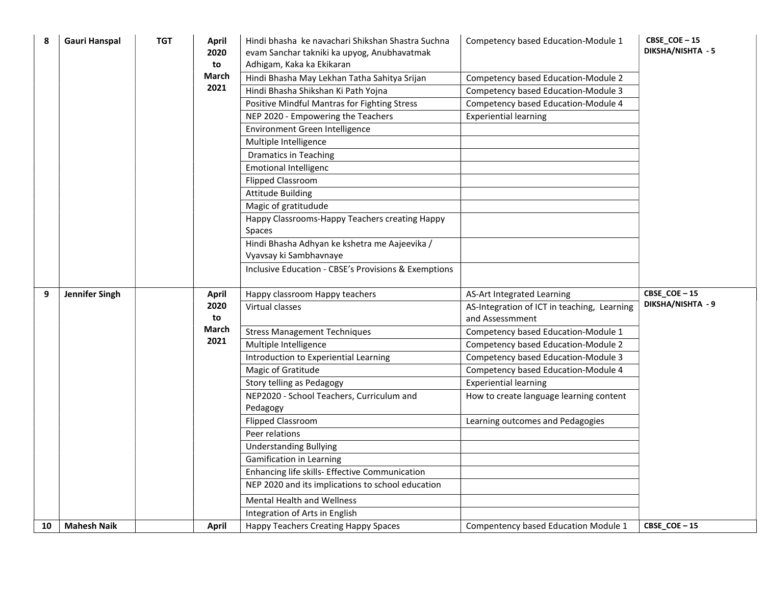| 8  | <b>Gauri Hanspal</b>  | <b>TGT</b> | April<br>2020<br>to<br>March<br>2021 | Hindi bhasha ke navachari Shikshan Shastra Suchna<br>evam Sanchar takniki ka upyog, Anubhavatmak<br>Adhigam, Kaka ka Ekikaran<br>Hindi Bhasha May Lekhan Tatha Sahitya Srijan<br>Hindi Bhasha Shikshan Ki Path Yojna<br>Positive Mindful Mantras for Fighting Stress<br>NEP 2020 - Empowering the Teachers<br>Environment Green Intelligence<br>Multiple Intelligence<br><b>Dramatics in Teaching</b><br><b>Emotional Intelligenc</b><br><b>Flipped Classroom</b><br><b>Attitude Building</b><br>Magic of gratitudude<br>Happy Classrooms-Happy Teachers creating Happy | Competency based Education-Module 1<br>Competency based Education-Module 2<br>Competency based Education-Module 3<br>Competency based Education-Module 4<br><b>Experiential learning</b> | CBSE_COE-15<br>DIKSHA/NISHTA - 5 |
|----|-----------------------|------------|--------------------------------------|-------------------------------------------------------------------------------------------------------------------------------------------------------------------------------------------------------------------------------------------------------------------------------------------------------------------------------------------------------------------------------------------------------------------------------------------------------------------------------------------------------------------------------------------------------------------------|------------------------------------------------------------------------------------------------------------------------------------------------------------------------------------------|----------------------------------|
|    |                       |            |                                      | Spaces<br>Hindi Bhasha Adhyan ke kshetra me Aajeevika /<br>Vyavsay ki Sambhavnaye<br>Inclusive Education - CBSE's Provisions & Exemptions                                                                                                                                                                                                                                                                                                                                                                                                                               |                                                                                                                                                                                          |                                  |
| 9  | <b>Jennifer Singh</b> |            | April<br>2020<br>to                  | Happy classroom Happy teachers<br>Virtual classes                                                                                                                                                                                                                                                                                                                                                                                                                                                                                                                       | AS-Art Integrated Learning<br>AS-Integration of ICT in teaching, Learning<br>and Assessmment                                                                                             | CBSE_COE-15<br>DIKSHA/NISHTA - 9 |
|    |                       |            | March<br>2021                        | <b>Stress Management Techniques</b><br>Multiple Intelligence<br>Introduction to Experiential Learning                                                                                                                                                                                                                                                                                                                                                                                                                                                                   | Competency based Education-Module 1<br>Competency based Education-Module 2<br>Competency based Education-Module 3                                                                        |                                  |
|    |                       |            |                                      | Magic of Gratitude<br>Story telling as Pedagogy                                                                                                                                                                                                                                                                                                                                                                                                                                                                                                                         | Competency based Education-Module 4<br><b>Experiential learning</b>                                                                                                                      |                                  |
|    |                       |            |                                      | NEP2020 - School Teachers, Curriculum and<br>Pedagogy                                                                                                                                                                                                                                                                                                                                                                                                                                                                                                                   | How to create language learning content                                                                                                                                                  |                                  |
|    |                       |            |                                      | <b>Flipped Classroom</b>                                                                                                                                                                                                                                                                                                                                                                                                                                                                                                                                                | Learning outcomes and Pedagogies                                                                                                                                                         |                                  |
|    |                       |            |                                      | Peer relations                                                                                                                                                                                                                                                                                                                                                                                                                                                                                                                                                          |                                                                                                                                                                                          |                                  |
|    |                       |            |                                      | <b>Understanding Bullying</b><br>Gamification in Learning                                                                                                                                                                                                                                                                                                                                                                                                                                                                                                               |                                                                                                                                                                                          |                                  |
|    |                       |            |                                      | Enhancing life skills- Effective Communication                                                                                                                                                                                                                                                                                                                                                                                                                                                                                                                          |                                                                                                                                                                                          |                                  |
|    |                       |            |                                      | NEP 2020 and its implications to school education                                                                                                                                                                                                                                                                                                                                                                                                                                                                                                                       |                                                                                                                                                                                          |                                  |
|    |                       |            |                                      | <b>Mental Health and Wellness</b>                                                                                                                                                                                                                                                                                                                                                                                                                                                                                                                                       |                                                                                                                                                                                          |                                  |
|    |                       |            |                                      | Integration of Arts in English                                                                                                                                                                                                                                                                                                                                                                                                                                                                                                                                          |                                                                                                                                                                                          |                                  |
| 10 | <b>Mahesh Naik</b>    |            | <b>April</b>                         | Happy Teachers Creating Happy Spaces                                                                                                                                                                                                                                                                                                                                                                                                                                                                                                                                    | Compentency based Education Module 1                                                                                                                                                     | CBSE_COE-15                      |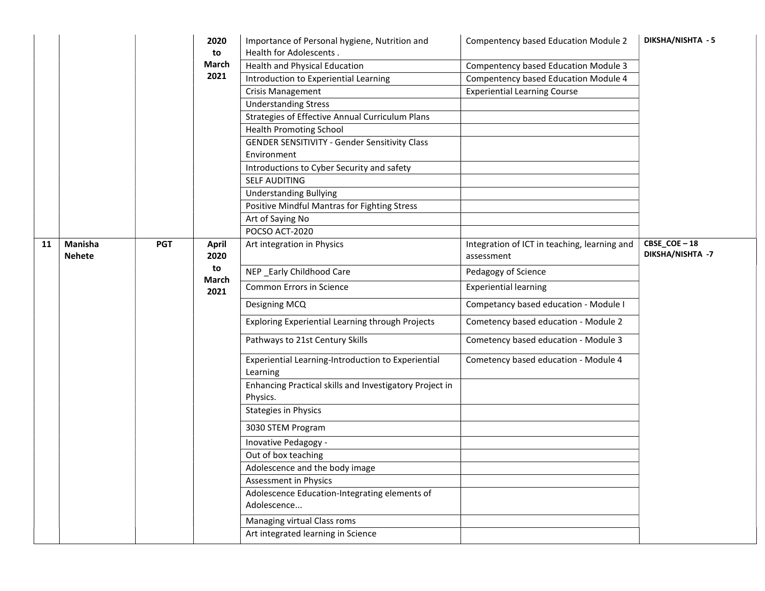|    |                                 |            | 2020<br>to    | Importance of Personal hygiene, Nutrition and<br>Health for Adolescents. | Compentency based Education Module 2                       | DIKSHA/NISHTA - 5               |
|----|---------------------------------|------------|---------------|--------------------------------------------------------------------------|------------------------------------------------------------|---------------------------------|
|    |                                 |            | March         | Health and Physical Education                                            | <b>Compentency based Education Module 3</b>                |                                 |
|    |                                 |            | 2021          | Introduction to Experiential Learning                                    | Compentency based Education Module 4                       |                                 |
|    |                                 |            |               | <b>Crisis Management</b>                                                 | <b>Experiential Learning Course</b>                        |                                 |
|    |                                 |            |               | <b>Understanding Stress</b>                                              |                                                            |                                 |
|    |                                 |            |               | Strategies of Effective Annual Curriculum Plans                          |                                                            |                                 |
|    |                                 |            |               | <b>Health Promoting School</b>                                           |                                                            |                                 |
|    |                                 |            |               | <b>GENDER SENSITIVITY - Gender Sensitivity Class</b><br>Environment      |                                                            |                                 |
|    |                                 |            |               | Introductions to Cyber Security and safety                               |                                                            |                                 |
|    |                                 |            |               | <b>SELF AUDITING</b>                                                     |                                                            |                                 |
|    |                                 |            |               | <b>Understanding Bullying</b>                                            |                                                            |                                 |
|    |                                 |            |               | Positive Mindful Mantras for Fighting Stress                             |                                                            |                                 |
|    |                                 |            |               | Art of Saying No                                                         |                                                            |                                 |
|    |                                 |            |               | POCSO ACT-2020                                                           |                                                            |                                 |
| 11 | <b>Manisha</b><br><b>Nehete</b> | <b>PGT</b> | April<br>2020 | Art integration in Physics                                               | Integration of ICT in teaching, learning and<br>assessment | CBSE_COE-18<br>DIKSHA/NISHTA -7 |
|    |                                 |            | to            | NEP _Early Childhood Care                                                | Pedagogy of Science                                        |                                 |
|    |                                 |            | March<br>2021 | Common Errors in Science                                                 | <b>Experiential learning</b>                               |                                 |
|    |                                 |            |               | Designing MCQ                                                            | Competancy based education - Module I                      |                                 |
|    |                                 |            |               | Exploring Experiential Learning through Projects                         | Cometency based education - Module 2                       |                                 |
|    |                                 |            |               | Pathways to 21st Century Skills                                          | Cometency based education - Module 3                       |                                 |
|    |                                 |            |               | Experiential Learning-Introduction to Experiential<br>Learning           | Cometency based education - Module 4                       |                                 |
|    |                                 |            |               | Enhancing Practical skills and Investigatory Project in<br>Physics.      |                                                            |                                 |
|    |                                 |            |               | <b>Stategies in Physics</b>                                              |                                                            |                                 |
|    |                                 |            |               | 3030 STEM Program                                                        |                                                            |                                 |
|    |                                 |            |               | Inovative Pedagogy -                                                     |                                                            |                                 |
|    |                                 |            |               | Out of box teaching                                                      |                                                            |                                 |
|    |                                 |            |               | Adolescence and the body image                                           |                                                            |                                 |
|    |                                 |            |               | Assessment in Physics                                                    |                                                            |                                 |
|    |                                 |            |               | Adolescence Education-Integrating elements of<br>Adolescence             |                                                            |                                 |
|    |                                 |            |               | Managing virtual Class roms                                              |                                                            |                                 |
|    |                                 |            |               | Art integrated learning in Science                                       |                                                            |                                 |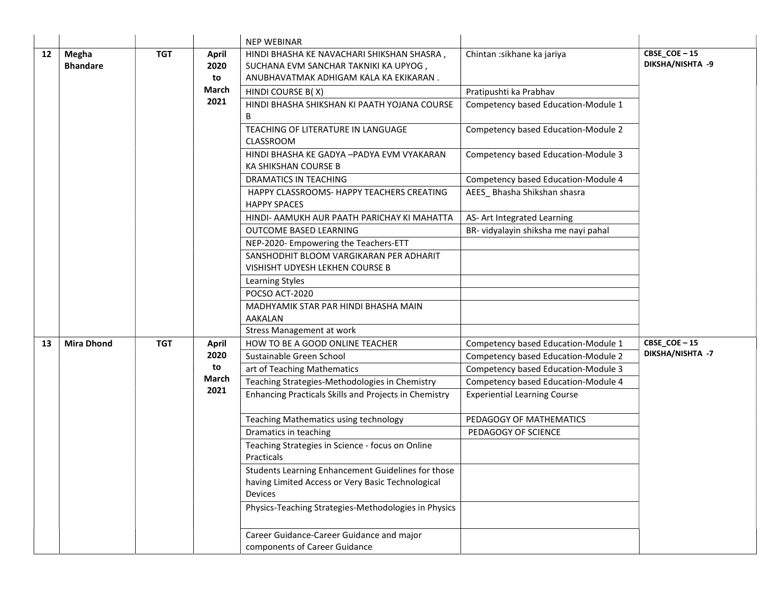|    |                          |            |                                                                            | <b>NEP WEBINAR</b>                                                                                                            |                                      |                                 |
|----|--------------------------|------------|----------------------------------------------------------------------------|-------------------------------------------------------------------------------------------------------------------------------|--------------------------------------|---------------------------------|
| 12 | Megha<br><b>Bhandare</b> | <b>TGT</b> | <b>April</b><br>2020<br>to                                                 | HINDI BHASHA KE NAVACHARI SHIKSHAN SHASRA,<br>SUCHANA EVM SANCHAR TAKNIKI KA UPYOG,<br>ANUBHAVATMAK ADHIGAM KALA KA EKIKARAN. | Chintan : sikhane ka jariya          | CBSE_COE-15<br>DIKSHA/NISHTA -9 |
|    |                          |            | <b>March</b>                                                               | HINDI COURSE B(X)                                                                                                             | Pratipushti ka Prabhav               |                                 |
|    |                          |            | 2021                                                                       | HINDI BHASHA SHIKSHAN KI PAATH YOJANA COURSE<br>В                                                                             | Competency based Education-Module 1  |                                 |
|    |                          |            |                                                                            | TEACHING OF LITERATURE IN LANGUAGE<br>CLASSROOM                                                                               | Competency based Education-Module 2  |                                 |
|    |                          |            |                                                                            | HINDI BHASHA KE GADYA -PADYA EVM VYAKARAN<br>KA SHIKSHAN COURSE B                                                             | Competency based Education-Module 3  |                                 |
|    |                          |            |                                                                            | DRAMATICS IN TEACHING                                                                                                         | Competency based Education-Module 4  |                                 |
|    |                          |            |                                                                            | HAPPY CLASSROOMS- HAPPY TEACHERS CREATING<br><b>HAPPY SPACES</b>                                                              | AEES_ Bhasha Shikshan shasra         |                                 |
|    |                          |            |                                                                            | HINDI- AAMUKH AUR PAATH PARICHAY KI MAHATTA                                                                                   | AS- Art Integrated Learning          |                                 |
|    |                          |            |                                                                            | OUTCOME BASED LEARNING                                                                                                        | BR- vidyalayin shiksha me nayi pahal |                                 |
|    |                          |            |                                                                            | NEP-2020- Empowering the Teachers-ETT                                                                                         |                                      |                                 |
|    |                          |            | SANSHODHIT BLOOM VARGIKARAN PER ADHARIT<br>VISHISHT UDYESH LEKHEN COURSE B |                                                                                                                               |                                      |                                 |
|    |                          |            |                                                                            | Learning Styles                                                                                                               |                                      |                                 |
|    |                          |            |                                                                            | POCSO ACT-2020                                                                                                                |                                      |                                 |
|    |                          |            |                                                                            | MADHYAMIK STAR PAR HINDI BHASHA MAIN<br><b>AAKALAN</b>                                                                        |                                      |                                 |
|    |                          |            |                                                                            | <b>Stress Management at work</b>                                                                                              |                                      |                                 |
| 13 | <b>Mira Dhond</b>        | <b>TGT</b> | April                                                                      | HOW TO BE A GOOD ONLINE TEACHER                                                                                               | Competency based Education-Module 1  | CBSE_COE-15                     |
|    |                          |            | 2020                                                                       | Sustainable Green School                                                                                                      | Competency based Education-Module 2  | DIKSHA/NISHTA -7                |
|    |                          |            | to                                                                         | art of Teaching Mathematics                                                                                                   | Competency based Education-Module 3  |                                 |
|    |                          |            | March<br>2021                                                              | Teaching Strategies-Methodologies in Chemistry                                                                                | Competency based Education-Module 4  |                                 |
|    |                          |            |                                                                            | Enhancing Practicals Skills and Projects in Chemistry                                                                         | <b>Experiential Learning Course</b>  |                                 |
|    |                          |            |                                                                            | Teaching Mathematics using technology                                                                                         | PEDAGOGY OF MATHEMATICS              |                                 |
|    |                          |            |                                                                            | Dramatics in teaching                                                                                                         | PEDAGOGY OF SCIENCE                  |                                 |
|    |                          |            |                                                                            | Teaching Strategies in Science - focus on Online<br>Practicals                                                                |                                      |                                 |
|    |                          |            |                                                                            | Students Learning Enhancement Guidelines for those                                                                            |                                      |                                 |
|    |                          |            |                                                                            | having Limited Access or Very Basic Technological<br><b>Devices</b>                                                           |                                      |                                 |
|    |                          |            |                                                                            | Physics-Teaching Strategies-Methodologies in Physics                                                                          |                                      |                                 |
|    |                          |            |                                                                            | Career Guidance-Career Guidance and major<br>components of Career Guidance                                                    |                                      |                                 |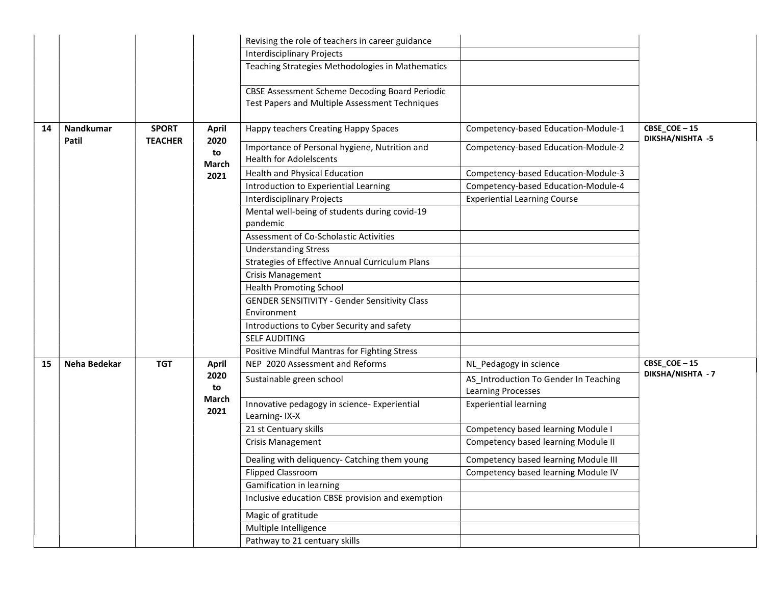|    |              |                |                     | Revising the role of teachers in career guidance                                                        |                                                                    |                                 |
|----|--------------|----------------|---------------------|---------------------------------------------------------------------------------------------------------|--------------------------------------------------------------------|---------------------------------|
|    |              |                |                     | <b>Interdisciplinary Projects</b>                                                                       |                                                                    |                                 |
|    |              |                |                     | Teaching Strategies Methodologies in Mathematics                                                        |                                                                    |                                 |
|    |              |                |                     | <b>CBSE Assessment Scheme Decoding Board Periodic</b><br>Test Papers and Multiple Assessment Techniques |                                                                    |                                 |
| 14 | Nandkumar    | <b>SPORT</b>   | <b>April</b>        | Happy teachers Creating Happy Spaces                                                                    | Competency-based Education-Module-1                                | CBSE_COE-15<br>DIKSHA/NISHTA -5 |
|    | Patil        | <b>TEACHER</b> | 2020<br>to<br>March | Importance of Personal hygiene, Nutrition and<br><b>Health for Adolelscents</b>                         | Competency-based Education-Module-2                                |                                 |
|    |              |                | 2021                | Health and Physical Education                                                                           | Competency-based Education-Module-3                                |                                 |
|    |              |                |                     | Introduction to Experiential Learning                                                                   | Competency-based Education-Module-4                                |                                 |
|    |              |                |                     | <b>Interdisciplinary Projects</b>                                                                       | <b>Experiential Learning Course</b>                                |                                 |
|    |              |                |                     | Mental well-being of students during covid-19<br>pandemic                                               |                                                                    |                                 |
|    |              |                |                     | Assessment of Co-Scholastic Activities                                                                  |                                                                    |                                 |
|    |              |                |                     | <b>Understanding Stress</b>                                                                             |                                                                    |                                 |
|    |              |                |                     | Strategies of Effective Annual Curriculum Plans                                                         |                                                                    |                                 |
|    |              |                |                     | <b>Crisis Management</b>                                                                                |                                                                    |                                 |
|    |              |                |                     | <b>Health Promoting School</b>                                                                          |                                                                    |                                 |
|    |              |                |                     | <b>GENDER SENSITIVITY - Gender Sensitivity Class</b>                                                    |                                                                    |                                 |
|    |              |                |                     | Environment                                                                                             |                                                                    |                                 |
|    |              |                |                     | Introductions to Cyber Security and safety                                                              |                                                                    |                                 |
|    |              |                |                     | <b>SELF AUDITING</b>                                                                                    |                                                                    |                                 |
|    |              |                |                     | Positive Mindful Mantras for Fighting Stress                                                            |                                                                    |                                 |
| 15 | Neha Bedekar | <b>TGT</b>     | <b>April</b>        | NEP 2020 Assessment and Reforms                                                                         | NL_Pedagogy in science                                             | CBSE_COE-15                     |
|    |              |                | 2020<br>to          | Sustainable green school                                                                                | AS_Introduction To Gender In Teaching<br><b>Learning Processes</b> | DIKSHA/NISHTA - 7               |
|    |              |                | March<br>2021       | Innovative pedagogy in science- Experiential<br>Learning-IX-X                                           | <b>Experiential learning</b>                                       |                                 |
|    |              |                |                     | 21 st Centuary skills                                                                                   | Competency based learning Module I                                 |                                 |
|    |              |                |                     | <b>Crisis Management</b>                                                                                | Competency based learning Module II                                |                                 |
|    |              |                |                     | Dealing with deliquency- Catching them young                                                            | Competency based learning Module III                               |                                 |
|    |              |                |                     | <b>Flipped Classroom</b>                                                                                | Competency based learning Module IV                                |                                 |
|    |              |                |                     | Gamification in learning                                                                                |                                                                    |                                 |
|    |              |                |                     | Inclusive education CBSE provision and exemption                                                        |                                                                    |                                 |
|    |              |                |                     | Magic of gratitude                                                                                      |                                                                    |                                 |
|    |              |                |                     | Multiple Intelligence                                                                                   |                                                                    |                                 |
|    |              |                |                     | Pathway to 21 centuary skills                                                                           |                                                                    |                                 |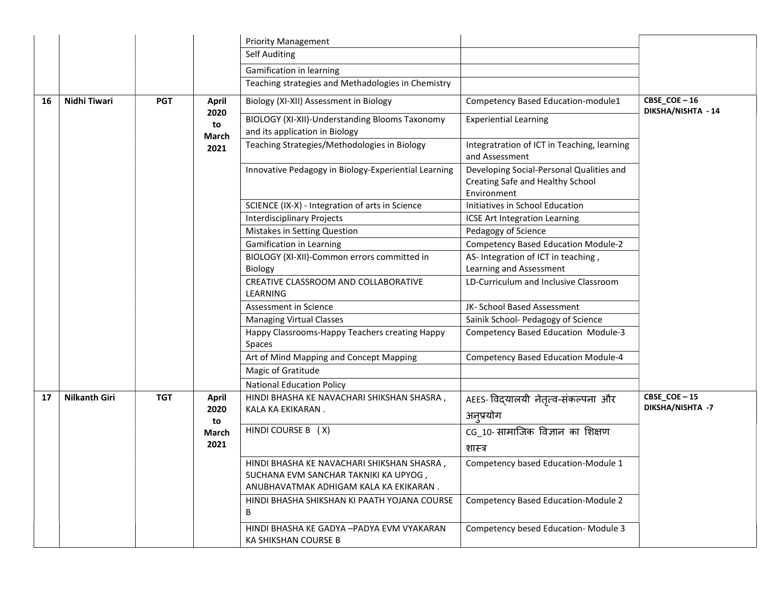|    |                      |            |                      | <b>Priority Management</b>                                                                                                    |                                                                                             |                                   |
|----|----------------------|------------|----------------------|-------------------------------------------------------------------------------------------------------------------------------|---------------------------------------------------------------------------------------------|-----------------------------------|
|    |                      |            |                      | <b>Self Auditing</b>                                                                                                          |                                                                                             |                                   |
|    |                      |            |                      | Gamification in learning                                                                                                      |                                                                                             |                                   |
|    |                      |            |                      | Teaching strategies and Methadologies in Chemistry                                                                            |                                                                                             |                                   |
| 16 | Nidhi Tiwari         | <b>PGT</b> | <b>April</b>         | Biology (XI-XII) Assessment in Biology                                                                                        | Competency Based Education-module1                                                          | CBSE_COE-16<br>DIKSHA/NISHTA - 14 |
|    |                      |            | 2020<br>to           | BIOLOGY (XI-XII)-Understanding Blooms Taxonomy<br>and its application in Biology                                              | <b>Experiential Learning</b>                                                                |                                   |
|    |                      |            | March<br>2021        | Teaching Strategies/Methodologies in Biology                                                                                  | Integratration of ICT in Teaching, learning<br>and Assessment                               |                                   |
|    |                      |            |                      | Innovative Pedagogy in Biology-Experiential Learning                                                                          | Developing Social-Personal Qualities and<br>Creating Safe and Healthy School<br>Environment |                                   |
|    |                      |            |                      | SCIENCE (IX-X) - Integration of arts in Science                                                                               | Initiatives in School Education                                                             |                                   |
|    |                      |            |                      | <b>Interdisciplinary Projects</b>                                                                                             | ICSE Art Integration Learning                                                               |                                   |
|    |                      |            |                      | Mistakes in Setting Question                                                                                                  | Pedagogy of Science                                                                         |                                   |
|    |                      |            |                      | <b>Gamification in Learning</b>                                                                                               | <b>Competency Based Education Module-2</b>                                                  |                                   |
|    |                      |            |                      | BIOLOGY (XI-XII)-Common errors committed in                                                                                   | AS-Integration of ICT in teaching,                                                          |                                   |
|    |                      |            |                      | <b>Biology</b>                                                                                                                | Learning and Assessment                                                                     |                                   |
|    |                      |            |                      | CREATIVE CLASSROOM AND COLLABORATIVE<br>LEARNING                                                                              | LD-Curriculum and Inclusive Classroom                                                       |                                   |
|    |                      |            |                      | Assessment in Science                                                                                                         | JK- School Based Assessment                                                                 |                                   |
|    |                      |            |                      | <b>Managing Virtual Classes</b>                                                                                               | Sainik School- Pedagogy of Science                                                          |                                   |
|    |                      |            |                      | Happy Classrooms-Happy Teachers creating Happy<br>Spaces                                                                      | <b>Competency Based Education Module-3</b>                                                  |                                   |
|    |                      |            |                      | Art of Mind Mapping and Concept Mapping                                                                                       | <b>Competency Based Education Module-4</b>                                                  |                                   |
|    |                      |            |                      | Magic of Gratitude                                                                                                            |                                                                                             |                                   |
|    |                      |            |                      | <b>National Education Policy</b>                                                                                              |                                                                                             |                                   |
| 17 | <b>Nilkanth Giri</b> | <b>TGT</b> | <b>April</b><br>2020 | HINDI BHASHA KE NAVACHARI SHIKSHAN SHASRA,<br>KALA KA EKIKARAN.                                                               | AEES- विद्यालयी नेतृत्व-संकल्पना और<br>अनुप्रयोग                                            | CBSE_COE-15<br>DIKSHA/NISHTA -7   |
|    |                      |            | to                   | HINDI COURSE B (X)                                                                                                            | CG 10-सामाजिक विज्ञान का शिक्षण                                                             |                                   |
|    |                      |            | March<br>2021        |                                                                                                                               |                                                                                             |                                   |
|    |                      |            |                      |                                                                                                                               | शास्त्र                                                                                     |                                   |
|    |                      |            |                      | HINDI BHASHA KE NAVACHARI SHIKSHAN SHASRA,<br>SUCHANA EVM SANCHAR TAKNIKI KA UPYOG,<br>ANUBHAVATMAK ADHIGAM KALA KA EKIKARAN. | Competency based Education-Module 1                                                         |                                   |
|    |                      |            |                      | HINDI BHASHA SHIKSHAN KI PAATH YOJANA COURSE<br>B                                                                             | <b>Competency Based Education-Module 2</b>                                                  |                                   |
|    |                      |            |                      | HINDI BHASHA KE GADYA -PADYA EVM VYAKARAN<br>KA SHIKSHAN COURSE B                                                             | Competency besed Education-Module 3                                                         |                                   |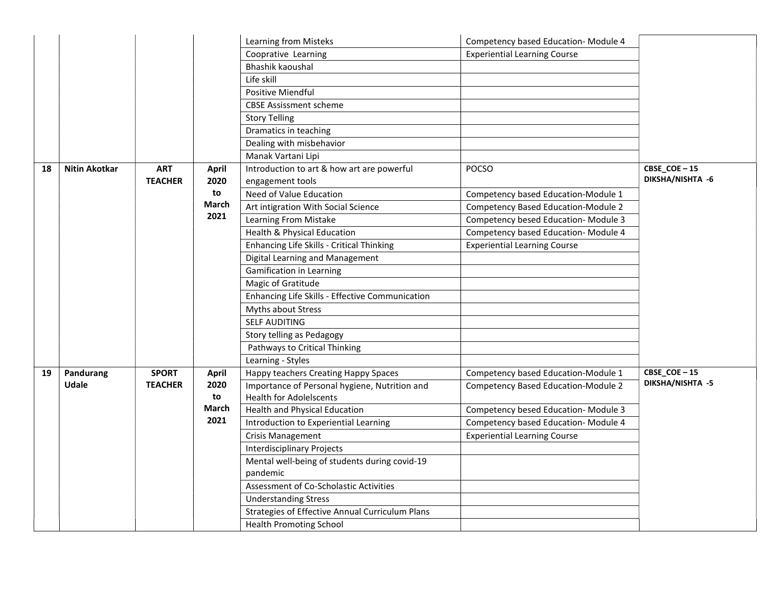|    |                      |                |              | Learning from Misteks                           | Competency based Education-Module 4 |                  |
|----|----------------------|----------------|--------------|-------------------------------------------------|-------------------------------------|------------------|
|    |                      |                |              | Cooprative Learning                             | <b>Experiential Learning Course</b> |                  |
|    |                      |                |              | <b>Bhashik kaoushal</b>                         |                                     |                  |
|    |                      |                |              | Life skill                                      |                                     |                  |
|    |                      |                |              | Positive Miendful                               |                                     |                  |
|    |                      |                |              | <b>CBSE Assissment scheme</b>                   |                                     |                  |
|    |                      |                |              | <b>Story Telling</b>                            |                                     |                  |
|    |                      |                |              | Dramatics in teaching                           |                                     |                  |
|    |                      |                |              | Dealing with misbehavior                        |                                     |                  |
|    |                      |                |              | Manak Vartani Lipi                              |                                     |                  |
| 18 | <b>Nitin Akotkar</b> | <b>ART</b>     | April        | Introduction to art & how art are powerful      | <b>POCSO</b>                        | CBSE_COE-15      |
|    |                      | <b>TEACHER</b> | 2020         | engagement tools                                |                                     | DIKSHA/NISHTA -6 |
|    |                      |                | to           | Need of Value Education                         | Competency based Education-Module 1 |                  |
|    |                      |                | March        | Art intigration With Social Science             | Competency Based Education-Module 2 |                  |
|    |                      |                | 2021         | Learning From Mistake                           | Competency besed Education-Module 3 |                  |
|    |                      |                |              | Health & Physical Education                     | Competency based Education-Module 4 |                  |
|    |                      |                |              | Enhancing Life Skills - Critical Thinking       | <b>Experiential Learning Course</b> |                  |
|    |                      |                |              | Digital Learning and Management                 |                                     |                  |
|    |                      |                |              | <b>Gamification in Learning</b>                 |                                     |                  |
|    |                      |                |              | Magic of Gratitude                              |                                     |                  |
|    |                      |                |              | Enhancing Life Skills - Effective Communication |                                     |                  |
|    |                      |                |              | Myths about Stress                              |                                     |                  |
|    |                      |                |              | <b>SELF AUDITING</b>                            |                                     |                  |
|    |                      |                |              | Story telling as Pedagogy                       |                                     |                  |
|    |                      |                |              | Pathways to Critical Thinking                   |                                     |                  |
|    |                      |                |              | Learning - Styles                               |                                     |                  |
| 19 | Pandurang            | <b>SPORT</b>   | <b>April</b> | Happy teachers Creating Happy Spaces            | Competency based Education-Module 1 | CBSE_COE-15      |
|    | <b>Udale</b>         | <b>TEACHER</b> | 2020         | Importance of Personal hygiene, Nutrition and   | Competency Based Education-Module 2 | DIKSHA/NISHTA -5 |
|    |                      |                | to           | <b>Health for Adolelscents</b>                  |                                     |                  |
|    |                      |                | March        | Health and Physical Education                   | Competency besed Education-Module 3 |                  |
|    |                      |                | 2021         | Introduction to Experiential Learning           | Competency based Education-Module 4 |                  |
|    |                      |                |              | Crisis Management                               | <b>Experiential Learning Course</b> |                  |
|    |                      |                |              | <b>Interdisciplinary Projects</b>               |                                     |                  |
|    |                      |                |              | Mental well-being of students during covid-19   |                                     |                  |
|    |                      |                |              | pandemic                                        |                                     |                  |
|    |                      |                |              | Assessment of Co-Scholastic Activities          |                                     |                  |
|    |                      |                |              | <b>Understanding Stress</b>                     |                                     |                  |
|    |                      |                |              | Strategies of Effective Annual Curriculum Plans |                                     |                  |
|    |                      |                |              | <b>Health Promoting School</b>                  |                                     |                  |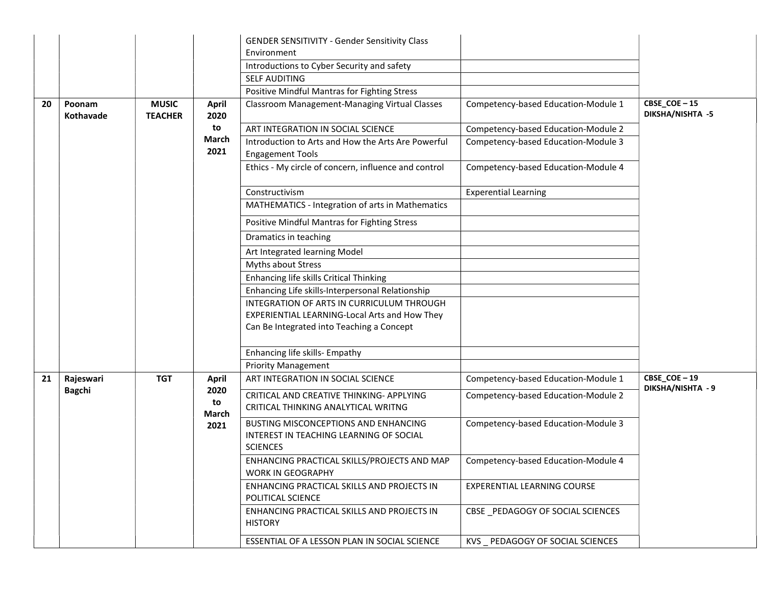|    |                            |                                |                      | <b>GENDER SENSITIVITY - Gender Sensitivity Class</b><br>Environment                                |                                     |                                        |
|----|----------------------------|--------------------------------|----------------------|----------------------------------------------------------------------------------------------------|-------------------------------------|----------------------------------------|
|    |                            |                                |                      | Introductions to Cyber Security and safety                                                         |                                     |                                        |
|    |                            |                                |                      | SELF AUDITING                                                                                      |                                     |                                        |
|    |                            |                                |                      | Positive Mindful Mantras for Fighting Stress                                                       |                                     |                                        |
| 20 | Poonam<br><b>Kothavade</b> | <b>MUSIC</b><br><b>TEACHER</b> | <b>April</b><br>2020 | Classroom Management-Managing Virtual Classes                                                      | Competency-based Education-Module 1 | CBSE_COE-15<br><b>DIKSHA/NISHTA -5</b> |
|    |                            |                                | to                   | ART INTEGRATION IN SOCIAL SCIENCE                                                                  | Competency-based Education-Module 2 |                                        |
|    |                            |                                | <b>March</b><br>2021 | Introduction to Arts and How the Arts Are Powerful<br><b>Engagement Tools</b>                      | Competency-based Education-Module 3 |                                        |
|    |                            |                                |                      | Ethics - My circle of concern, influence and control                                               | Competency-based Education-Module 4 |                                        |
|    |                            |                                |                      | Constructivism                                                                                     | <b>Experential Learning</b>         |                                        |
|    |                            |                                |                      | MATHEMATICS - Integration of arts in Mathematics                                                   |                                     |                                        |
|    |                            |                                |                      | Positive Mindful Mantras for Fighting Stress                                                       |                                     |                                        |
|    |                            |                                |                      | Dramatics in teaching                                                                              |                                     |                                        |
|    |                            |                                |                      | Art Integrated learning Model                                                                      |                                     |                                        |
|    |                            |                                |                      | Myths about Stress                                                                                 |                                     |                                        |
|    |                            |                                |                      | Enhancing life skills Critical Thinking                                                            |                                     |                                        |
|    |                            |                                |                      | Enhancing Life skills-Interpersonal Relationship                                                   |                                     |                                        |
|    |                            |                                |                      | INTEGRATION OF ARTS IN CURRICULUM THROUGH                                                          |                                     |                                        |
|    |                            |                                |                      | EXPERIENTIAL LEARNING-Local Arts and How They                                                      |                                     |                                        |
|    |                            |                                |                      | Can Be Integrated into Teaching a Concept                                                          |                                     |                                        |
|    |                            |                                |                      | Enhancing life skills- Empathy                                                                     |                                     |                                        |
|    |                            |                                |                      | <b>Priority Management</b>                                                                         |                                     |                                        |
| 21 | Rajeswari<br><b>Bagchi</b> | <b>TGT</b>                     | <b>April</b><br>2020 | ART INTEGRATION IN SOCIAL SCIENCE                                                                  | Competency-based Education-Module 1 | CBSE_COE-19<br>DIKSHA/NISHTA - 9       |
|    |                            |                                | to                   | CRITICAL AND CREATIVE THINKING-APPLYING                                                            | Competency-based Education-Module 2 |                                        |
|    |                            |                                | March                | CRITICAL THINKING ANALYTICAL WRITNG                                                                |                                     |                                        |
|    |                            |                                | 2021                 | BUSTING MISCONCEPTIONS AND ENHANCING<br>INTEREST IN TEACHING LEARNING OF SOCIAL<br><b>SCIENCES</b> | Competency-based Education-Module 3 |                                        |
|    |                            |                                |                      | ENHANCING PRACTICAL SKILLS/PROJECTS AND MAP<br><b>WORK IN GEOGRAPHY</b>                            | Competency-based Education-Module 4 |                                        |
|    |                            |                                |                      | ENHANCING PRACTICAL SKILLS AND PROJECTS IN<br>POLITICAL SCIENCE                                    | EXPERENTIAL LEARNING COURSE         |                                        |
|    |                            |                                |                      | ENHANCING PRACTICAL SKILLS AND PROJECTS IN<br><b>HISTORY</b>                                       | CBSE PEDAGOGY OF SOCIAL SCIENCES    |                                        |
|    |                            |                                |                      | ESSENTIAL OF A LESSON PLAN IN SOCIAL SCIENCE                                                       | KVS PEDAGOGY OF SOCIAL SCIENCES     |                                        |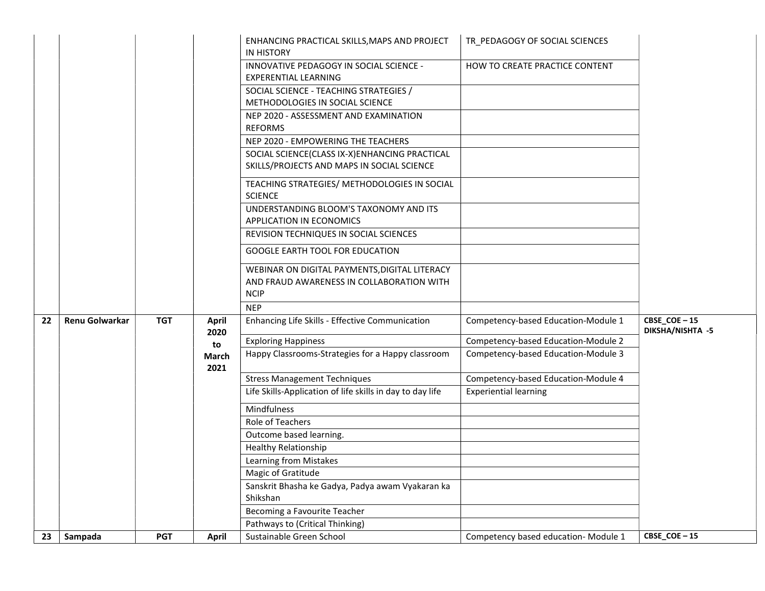|    |                |            |                      | ENHANCING PRACTICAL SKILLS, MAPS AND PROJECT<br><b>IN HISTORY</b>                                         | TR PEDAGOGY OF SOCIAL SCIENCES       |                                        |
|----|----------------|------------|----------------------|-----------------------------------------------------------------------------------------------------------|--------------------------------------|----------------------------------------|
|    |                |            |                      | INNOVATIVE PEDAGOGY IN SOCIAL SCIENCE -<br><b>EXPERENTIAL LEARNING</b>                                    | HOW TO CREATE PRACTICE CONTENT       |                                        |
|    |                |            |                      | SOCIAL SCIENCE - TEACHING STRATEGIES /<br>METHODOLOGIES IN SOCIAL SCIENCE                                 |                                      |                                        |
|    |                |            |                      | NEP 2020 - ASSESSMENT AND EXAMINATION<br><b>REFORMS</b>                                                   |                                      |                                        |
|    |                |            |                      | NEP 2020 - EMPOWERING THE TEACHERS                                                                        |                                      |                                        |
|    |                |            |                      | SOCIAL SCIENCE(CLASS IX-X)ENHANCING PRACTICAL<br>SKILLS/PROJECTS AND MAPS IN SOCIAL SCIENCE               |                                      |                                        |
|    |                |            |                      | TEACHING STRATEGIES/ METHODOLOGIES IN SOCIAL<br><b>SCIENCE</b>                                            |                                      |                                        |
|    |                |            |                      | UNDERSTANDING BLOOM'S TAXONOMY AND ITS<br>APPLICATION IN ECONOMICS                                        |                                      |                                        |
|    |                |            |                      | REVISION TECHNIQUES IN SOCIAL SCIENCES                                                                    |                                      |                                        |
|    |                |            |                      | <b>GOOGLE EARTH TOOL FOR EDUCATION</b>                                                                    |                                      |                                        |
|    |                |            |                      | WEBINAR ON DIGITAL PAYMENTS, DIGITAL LITERACY<br>AND FRAUD AWARENESS IN COLLABORATION WITH<br><b>NCIP</b> |                                      |                                        |
|    |                |            |                      | <b>NEP</b>                                                                                                |                                      |                                        |
| 22 | Renu Golwarkar | <b>TGT</b> | <b>April</b><br>2020 | Enhancing Life Skills - Effective Communication                                                           | Competency-based Education-Module 1  | CBSE_COE-15<br><b>DIKSHA/NISHTA -5</b> |
|    |                |            | to                   | <b>Exploring Happiness</b>                                                                                | Competency-based Education-Module 2  |                                        |
|    |                |            | March<br>2021        | Happy Classrooms-Strategies for a Happy classroom                                                         | Competency-based Education-Module 3  |                                        |
|    |                |            |                      | <b>Stress Management Techniques</b>                                                                       | Competency-based Education-Module 4  |                                        |
|    |                |            |                      | Life Skills-Application of life skills in day to day life                                                 | <b>Experiential learning</b>         |                                        |
|    |                |            |                      | Mindfulness                                                                                               |                                      |                                        |
|    |                |            |                      | Role of Teachers                                                                                          |                                      |                                        |
|    |                |            |                      | Outcome based learning.                                                                                   |                                      |                                        |
|    |                |            |                      | <b>Healthy Relationship</b>                                                                               |                                      |                                        |
|    |                |            |                      | Learning from Mistakes                                                                                    |                                      |                                        |
|    |                |            |                      | Magic of Gratitude                                                                                        |                                      |                                        |
|    |                |            |                      | Sanskrit Bhasha ke Gadya, Padya awam Vyakaran ka<br>Shikshan                                              |                                      |                                        |
|    |                |            |                      | Becoming a Favourite Teacher                                                                              |                                      |                                        |
|    |                |            |                      | Pathways to (Critical Thinking)                                                                           |                                      |                                        |
| 23 | Sampada        | <b>PGT</b> | <b>April</b>         | Sustainable Green School                                                                                  | Competency based education- Module 1 | CBSE_COE-15                            |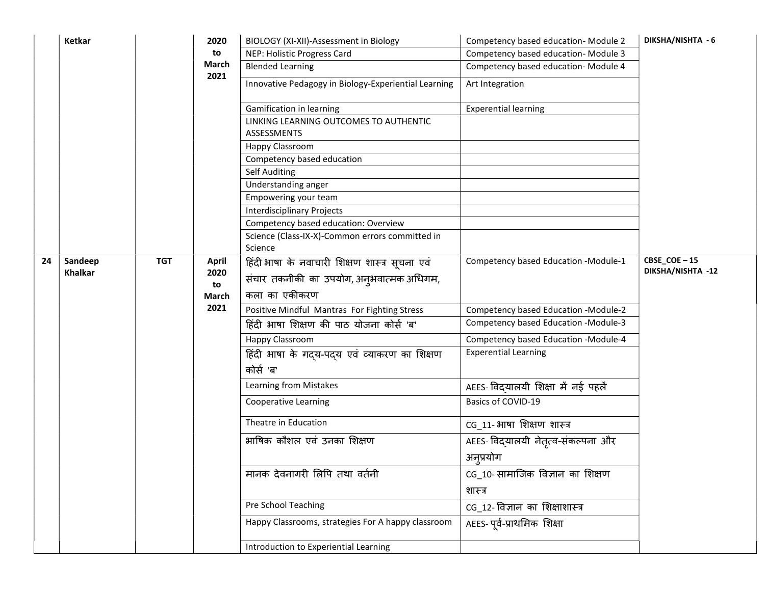|    | Ketkar         |            | 2020         | BIOLOGY (XI-XII)-Assessment in Biology                       | Competency based education- Module 2 | DIKSHA/NISHTA - 6 |
|----|----------------|------------|--------------|--------------------------------------------------------------|--------------------------------------|-------------------|
|    |                |            | to           | NEP: Holistic Progress Card                                  | Competency based education- Module 3 |                   |
|    |                |            | March        | <b>Blended Learning</b>                                      | Competency based education- Module 4 |                   |
|    |                |            | 2021         | Innovative Pedagogy in Biology-Experiential Learning         | Art Integration                      |                   |
|    |                |            |              | Gamification in learning                                     | <b>Experential learning</b>          |                   |
|    |                |            |              | LINKING LEARNING OUTCOMES TO AUTHENTIC<br><b>ASSESSMENTS</b> |                                      |                   |
|    |                |            |              | Happy Classroom                                              |                                      |                   |
|    |                |            |              | Competency based education                                   |                                      |                   |
|    |                |            |              | <b>Self Auditing</b>                                         |                                      |                   |
|    |                |            |              | Understanding anger                                          |                                      |                   |
|    |                |            |              | Empowering your team                                         |                                      |                   |
|    |                |            |              | <b>Interdisciplinary Projects</b>                            |                                      |                   |
|    |                |            |              | Competency based education: Overview                         |                                      |                   |
|    |                |            |              | Science (Class-IX-X)-Common errors committed in<br>Science   |                                      |                   |
| 24 | Sandeep        | <b>TGT</b> | <b>April</b> | हिंदी भाषा के नवाचारी शिक्षण शास्त्र सूचना एवं               | Competency based Education -Module-1 | CBSE_COE-15       |
|    | <b>Khalkar</b> |            | 2020<br>to   | संचार तकनीकी का उपयोग, अनुभवात्मक अधिगम,                     |                                      | DIKSHA/NISHTA -12 |
|    |                |            | March        | कला का एकीकरण                                                |                                      |                   |
|    |                |            | 2021         | Positive Mindful Mantras For Fighting Stress                 | Competency based Education -Module-2 |                   |
|    |                |            |              | हिंदी भाषा शिक्षण की पाठ योजना कोर्स 'ब'                     | Competency based Education -Module-3 |                   |
|    |                |            |              | Happy Classroom                                              | Competency based Education -Module-4 |                   |
|    |                |            |              | हिंदी भाषा के गदय-पदय एवं व्याकरण का शिक्षण                  | <b>Experential Learning</b>          |                   |
|    |                |            |              | कोर्स 'ब'                                                    |                                      |                   |
|    |                |            |              | Learning from Mistakes                                       | AEES- विद्यालयी शिक्षा में नई पहलें  |                   |
|    |                |            |              | <b>Cooperative Learning</b>                                  | Basics of COVID-19                   |                   |
|    |                |            |              | Theatre in Education                                         | CG_11- भाषा शिक्षण शास्त्र           |                   |
|    |                |            |              | भाषिक कौशल एवं उनका शिक्षण                                   | AEES- विद्यालयी नेतृत्व-संकल्पना और  |                   |
|    |                |            |              |                                                              | अनुप्रयोग                            |                   |
|    |                |            |              | मानक देवनागरी लिपि तथा वर्तनी                                | CG_10-सामाजिक विज्ञान का शिक्षण      |                   |
|    |                |            |              |                                                              | शास्त्र                              |                   |
|    |                |            |              | Pre School Teaching                                          | CG_12- विज्ञान का शिक्षाशास्त्र      |                   |
|    |                |            |              | Happy Classrooms, strategies For A happy classroom           | AEES-पूर्व-प्राथमिक शिक्षा           |                   |
|    |                |            |              | Introduction to Experiential Learning                        |                                      |                   |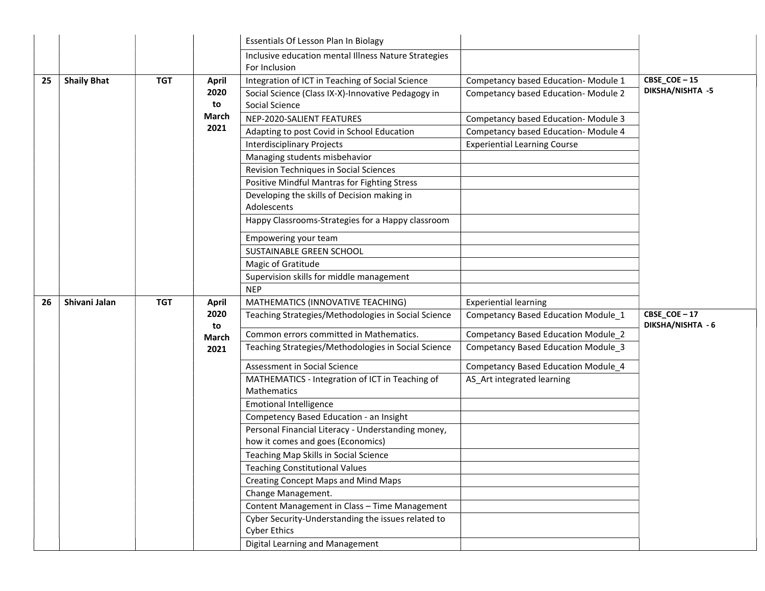|    |                    |            |                                             | Essentials Of Lesson Plan In Biolagy                                                                                                                                                                                                                                                                                                                                                                                                                                                   |                                                                                                                                                                                                  |                                           |
|----|--------------------|------------|---------------------------------------------|----------------------------------------------------------------------------------------------------------------------------------------------------------------------------------------------------------------------------------------------------------------------------------------------------------------------------------------------------------------------------------------------------------------------------------------------------------------------------------------|--------------------------------------------------------------------------------------------------------------------------------------------------------------------------------------------------|-------------------------------------------|
|    |                    |            |                                             | Inclusive education mental Illness Nature Strategies<br>For Inclusion                                                                                                                                                                                                                                                                                                                                                                                                                  |                                                                                                                                                                                                  |                                           |
| 25 | <b>Shaily Bhat</b> | <b>TGT</b> | <b>April</b><br>2020<br>to<br>March<br>2021 | Integration of ICT in Teaching of Social Science<br>Social Science (Class IX-X)-Innovative Pedagogy in<br>Social Science<br>NEP-2020-SALIENT FEATURES<br>Adapting to post Covid in School Education<br><b>Interdisciplinary Projects</b><br>Managing students misbehavior<br>Revision Techniques in Social Sciences<br>Positive Mindful Mantras for Fighting Stress<br>Developing the skills of Decision making in<br>Adolescents<br>Happy Classrooms-Strategies for a Happy classroom | Competancy based Education- Module 1<br>Competancy based Education-Module 2<br>Competancy based Education-Module 3<br>Competancy based Education-Module 4<br><b>Experiential Learning Course</b> | CBSE_COE $-15$<br><b>DIKSHA/NISHTA -5</b> |
|    |                    |            |                                             | Empowering your team<br>SUSTAINABLE GREEN SCHOOL<br>Magic of Gratitude<br>Supervision skills for middle management<br><b>NEP</b>                                                                                                                                                                                                                                                                                                                                                       |                                                                                                                                                                                                  |                                           |
| 26 | Shivani Jalan      | <b>TGT</b> | <b>April</b><br>2020<br>to<br>March<br>2021 | MATHEMATICS (INNOVATIVE TEACHING)<br>Teaching Strategies/Methodologies in Social Science                                                                                                                                                                                                                                                                                                                                                                                               | <b>Experiential learning</b><br>Competancy Based Education Module_1                                                                                                                              | CBSE COE-17                               |
|    |                    |            |                                             | Common errors committed in Mathematics.<br>Teaching Strategies/Methodologies in Social Science<br>Assessment in Social Science<br>MATHEMATICS - Integration of ICT in Teaching of<br>Mathematics                                                                                                                                                                                                                                                                                       | Competancy Based Education Module_2<br>Competancy Based Education Module_3<br>Competancy Based Education Module_4<br>AS Art integrated learning                                                  | DIKSHA/NISHTA - 6                         |
|    |                    |            |                                             | <b>Emotional Intelligence</b><br>Competency Based Education - an Insight<br>Personal Financial Literacy - Understanding money,<br>how it comes and goes (Economics)<br>Teaching Map Skills in Social Science<br><b>Teaching Constitutional Values</b><br>Creating Concept Maps and Mind Maps<br>Change Management.<br>Content Management in Class - Time Management<br>Cyber Security-Understanding the issues related to<br><b>Cyber Ethics</b><br>Digital Learning and Management    |                                                                                                                                                                                                  |                                           |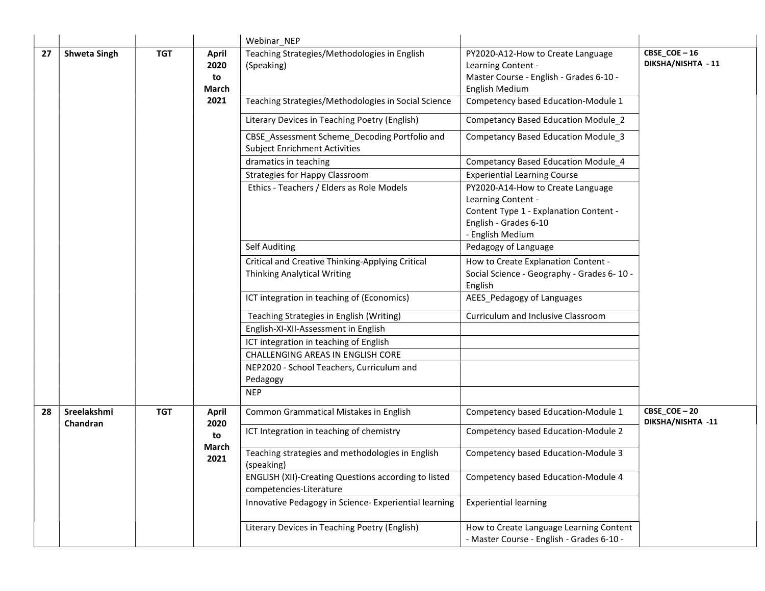|    |                         |            |                                     | Webinar NEP                                                                            |                                                                                                                                                |                                   |
|----|-------------------------|------------|-------------------------------------|----------------------------------------------------------------------------------------|------------------------------------------------------------------------------------------------------------------------------------------------|-----------------------------------|
| 27 | <b>Shweta Singh</b>     | <b>TGT</b> | <b>April</b><br>2020<br>to<br>March | Teaching Strategies/Methodologies in English<br>(Speaking)                             | PY2020-A12-How to Create Language<br>Learning Content -<br>Master Course - English - Grades 6-10 -<br>English Medium                           | CBSE_COE-16<br>DIKSHA/NISHTA - 11 |
|    |                         |            | 2021                                | Teaching Strategies/Methodologies in Social Science                                    | Competency based Education-Module 1                                                                                                            |                                   |
|    |                         |            |                                     | Literary Devices in Teaching Poetry (English)                                          | <b>Competancy Based Education Module 2</b>                                                                                                     |                                   |
|    |                         |            |                                     | CBSE_Assessment Scheme_Decoding Portfolio and<br><b>Subject Enrichment Activities</b>  | Competancy Based Education Module 3                                                                                                            |                                   |
|    |                         |            |                                     | dramatics in teaching                                                                  | Competancy Based Education Module_4                                                                                                            |                                   |
|    |                         |            |                                     | <b>Strategies for Happy Classroom</b>                                                  | <b>Experiential Learning Course</b>                                                                                                            |                                   |
|    |                         |            |                                     | Ethics - Teachers / Elders as Role Models                                              | PY2020-A14-How to Create Language<br>Learning Content -<br>Content Type 1 - Explanation Content -<br>English - Grades 6-10<br>- English Medium |                                   |
|    |                         |            |                                     | Self Auditing                                                                          | Pedagogy of Language                                                                                                                           |                                   |
|    |                         |            |                                     | Critical and Creative Thinking-Applying Critical<br><b>Thinking Analytical Writing</b> | How to Create Explanation Content -<br>Social Science - Geography - Grades 6-10 -<br>English                                                   |                                   |
|    |                         |            |                                     | ICT integration in teaching of (Economics)                                             | AEES_Pedagogy of Languages                                                                                                                     |                                   |
|    |                         |            |                                     | Teaching Strategies in English (Writing)                                               | Curriculum and Inclusive Classroom                                                                                                             |                                   |
|    |                         |            |                                     | English-XI-XII-Assessment in English                                                   |                                                                                                                                                |                                   |
|    |                         |            |                                     | ICT integration in teaching of English                                                 |                                                                                                                                                |                                   |
|    |                         |            |                                     | CHALLENGING AREAS IN ENGLISH CORE                                                      |                                                                                                                                                |                                   |
|    |                         |            |                                     | NEP2020 - School Teachers, Curriculum and<br>Pedagogy                                  |                                                                                                                                                |                                   |
|    |                         |            |                                     | <b>NEP</b>                                                                             |                                                                                                                                                |                                   |
| 28 | Sreelakshmi<br>Chandran | <b>TGT</b> | April<br>2020                       | Common Grammatical Mistakes in English                                                 | Competency based Education-Module 1                                                                                                            | CBSE_COE-20<br>DIKSHA/NISHTA -11  |
|    |                         |            | to                                  | ICT Integration in teaching of chemistry                                               | Competency based Education-Module 2                                                                                                            |                                   |
|    |                         |            | March<br>2021                       | Teaching strategies and methodologies in English<br>(speaking)                         | Competency based Education-Module 3                                                                                                            |                                   |
|    |                         |            |                                     | ENGLISH (XII)-Creating Questions according to listed<br>competencies-Literature        | Competency based Education-Module 4                                                                                                            |                                   |
|    |                         |            |                                     | Innovative Pedagogy in Science- Experiential learning                                  | <b>Experiential learning</b>                                                                                                                   |                                   |
|    |                         |            |                                     | Literary Devices in Teaching Poetry (English)                                          | How to Create Language Learning Content<br>- Master Course - English - Grades 6-10 -                                                           |                                   |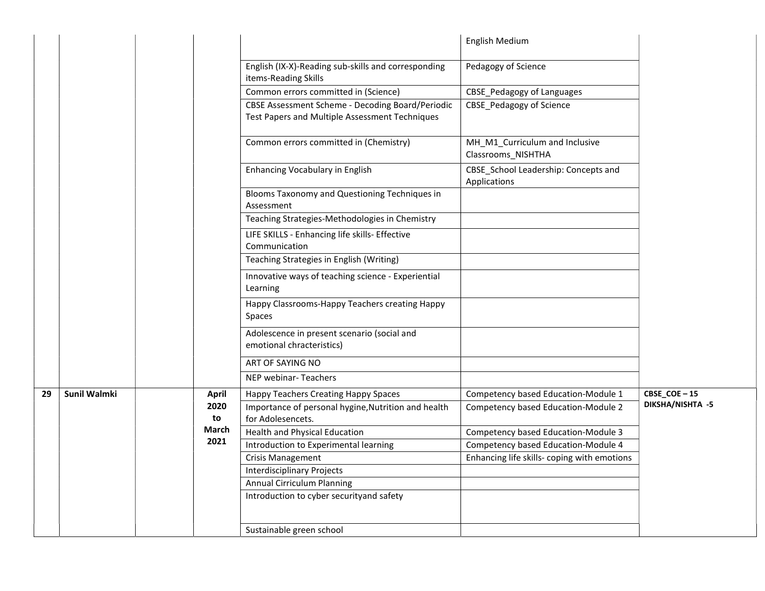|    |                     |              |                                                                                                    | English Medium                                       |                  |
|----|---------------------|--------------|----------------------------------------------------------------------------------------------------|------------------------------------------------------|------------------|
|    |                     |              | English (IX-X)-Reading sub-skills and corresponding<br>items-Reading Skills                        | Pedagogy of Science                                  |                  |
|    |                     |              | Common errors committed in (Science)                                                               | CBSE_Pedagogy of Languages                           |                  |
|    |                     |              | CBSE Assessment Scheme - Decoding Board/Periodic<br>Test Papers and Multiple Assessment Techniques | <b>CBSE_Pedagogy of Science</b>                      |                  |
|    |                     |              | Common errors committed in (Chemistry)                                                             | MH_M1_Curriculum and Inclusive<br>Classrooms_NISHTHA |                  |
|    |                     |              | Enhancing Vocabulary in English                                                                    | CBSE_School Leadership: Concepts and<br>Applications |                  |
|    |                     |              | Blooms Taxonomy and Questioning Techniques in<br>Assessment                                        |                                                      |                  |
|    |                     |              | Teaching Strategies-Methodologies in Chemistry                                                     |                                                      |                  |
|    |                     |              | LIFE SKILLS - Enhancing life skills- Effective<br>Communication                                    |                                                      |                  |
|    |                     |              | Teaching Strategies in English (Writing)                                                           |                                                      |                  |
|    |                     |              | Innovative ways of teaching science - Experiential<br>Learning                                     |                                                      |                  |
|    |                     |              | Happy Classrooms-Happy Teachers creating Happy<br>Spaces                                           |                                                      |                  |
|    |                     |              | Adolescence in present scenario (social and<br>emotional chracteristics)                           |                                                      |                  |
|    |                     |              | ART OF SAYING NO                                                                                   |                                                      |                  |
|    |                     |              | NEP webinar-Teachers                                                                               |                                                      |                  |
| 29 | <b>Sunil Walmki</b> | <b>April</b> | Happy Teachers Creating Happy Spaces                                                               | Competency based Education-Module 1                  | $CBSE\_COE - 15$ |
|    |                     | 2020<br>to   | Importance of personal hygine, Nutrition and health<br>for Adolesencets.                           | Competency based Education-Module 2                  | DIKSHA/NISHTA -5 |
|    |                     | <b>March</b> | <b>Health and Physical Education</b>                                                               | Competency based Education-Module 3                  |                  |
|    |                     | 2021         | Introduction to Experimental learning                                                              | Competency based Education-Module 4                  |                  |
|    |                     |              | <b>Crisis Management</b>                                                                           | Enhancing life skills-coping with emotions           |                  |
|    |                     |              | <b>Interdisciplinary Projects</b>                                                                  |                                                      |                  |
|    |                     |              | Annual Cirriculum Planning                                                                         |                                                      |                  |
|    |                     |              | Introduction to cyber securityand safety                                                           |                                                      |                  |
|    |                     |              | Sustainable green school                                                                           |                                                      |                  |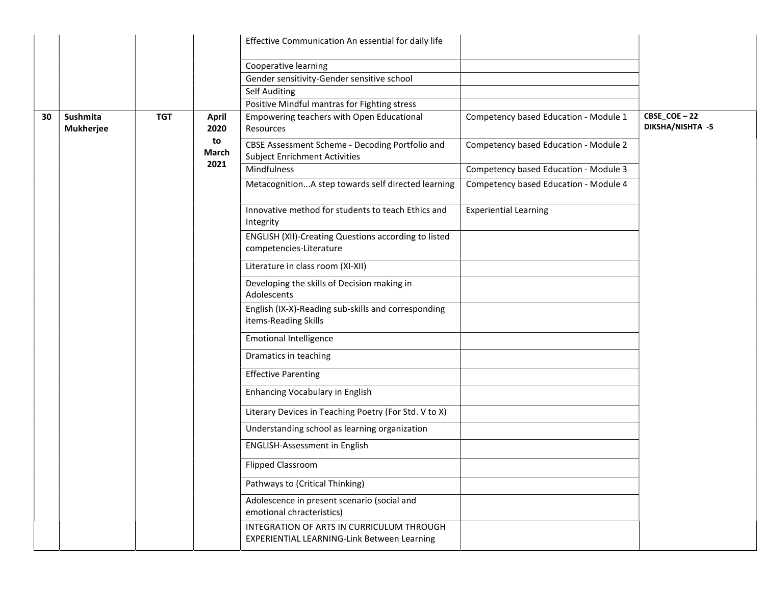|    |                                            |  |                      | Effective Communication An essential for daily life                                      |                                                                                        |                                 |  |
|----|--------------------------------------------|--|----------------------|------------------------------------------------------------------------------------------|----------------------------------------------------------------------------------------|---------------------------------|--|
|    |                                            |  |                      | Cooperative learning                                                                     |                                                                                        |                                 |  |
|    |                                            |  |                      | Gender sensitivity-Gender sensitive school                                               |                                                                                        |                                 |  |
|    |                                            |  |                      | Self Auditing                                                                            |                                                                                        |                                 |  |
|    |                                            |  |                      | Positive Mindful mantras for Fighting stress                                             |                                                                                        |                                 |  |
| 30 | Sushmita<br><b>TGT</b><br><b>Mukherjee</b> |  | <b>April</b><br>2020 | Empowering teachers with Open Educational<br>Resources                                   | Competency based Education - Module 1                                                  | CBSE_COE-22<br>DIKSHA/NISHTA -5 |  |
|    |                                            |  | to<br>March<br>2021  | CBSE Assessment Scheme - Decoding Portfolio and<br><b>Subject Enrichment Activities</b>  | Competency based Education - Module 2                                                  |                                 |  |
|    |                                            |  |                      | Mindfulness                                                                              | Competency based Education - Module 3                                                  |                                 |  |
|    |                                            |  |                      | MetacognitionA step towards self directed learning                                       | Competency based Education - Module 4                                                  |                                 |  |
|    |                                            |  |                      | Innovative method for students to teach Ethics and<br>Integrity                          | <b>Experiential Learning</b>                                                           |                                 |  |
|    |                                            |  |                      |                                                                                          | <b>ENGLISH (XII)-Creating Questions according to listed</b><br>competencies-Literature |                                 |  |
|    |                                            |  |                      | Literature in class room (XI-XII)                                                        |                                                                                        |                                 |  |
|    |                                            |  |                      | Developing the skills of Decision making in<br>Adolescents                               |                                                                                        |                                 |  |
|    |                                            |  |                      | English (IX-X)-Reading sub-skills and corresponding<br>items-Reading Skills              |                                                                                        |                                 |  |
|    |                                            |  |                      | <b>Emotional Intelligence</b>                                                            |                                                                                        |                                 |  |
|    |                                            |  |                      | Dramatics in teaching                                                                    |                                                                                        |                                 |  |
|    |                                            |  |                      | <b>Effective Parenting</b>                                                               |                                                                                        |                                 |  |
|    |                                            |  |                      | Enhancing Vocabulary in English                                                          |                                                                                        |                                 |  |
|    |                                            |  |                      | Literary Devices in Teaching Poetry (For Std. V to X)                                    |                                                                                        |                                 |  |
|    |                                            |  |                      | Understanding school as learning organization                                            |                                                                                        |                                 |  |
|    |                                            |  |                      | <b>ENGLISH-Assessment in English</b>                                                     |                                                                                        |                                 |  |
|    |                                            |  |                      | <b>Flipped Classroom</b>                                                                 |                                                                                        |                                 |  |
|    |                                            |  |                      | Pathways to (Critical Thinking)                                                          |                                                                                        |                                 |  |
|    |                                            |  |                      |                                                                                          | Adolescence in present scenario (social and<br>emotional chracteristics)               |                                 |  |
|    |                                            |  |                      | INTEGRATION OF ARTS IN CURRICULUM THROUGH<br>EXPERIENTIAL LEARNING-Link Between Learning |                                                                                        |                                 |  |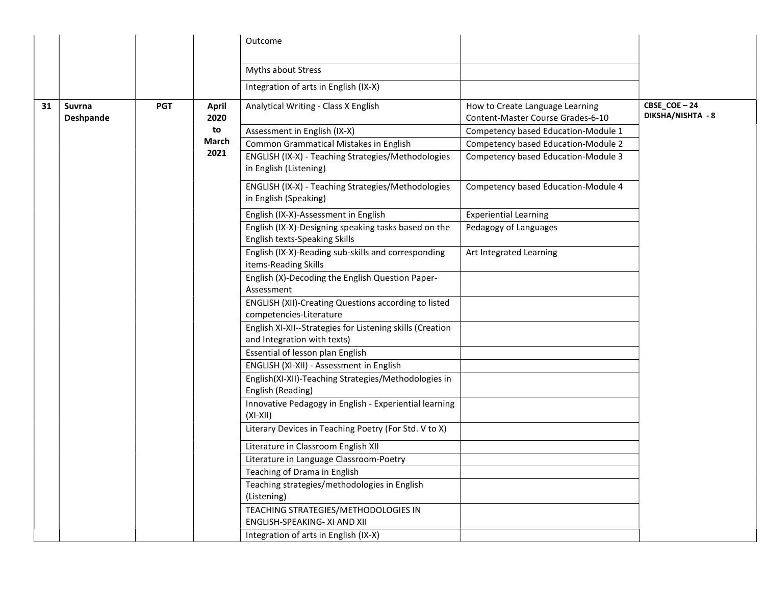|    |                            |            |                      | Outcome                                                                                  |                                                                      |                                  |
|----|----------------------------|------------|----------------------|------------------------------------------------------------------------------------------|----------------------------------------------------------------------|----------------------------------|
|    |                            |            |                      | Myths about Stress                                                                       |                                                                      |                                  |
|    |                            |            |                      | Integration of arts in English (IX-X)                                                    |                                                                      |                                  |
| 31 | Suvrna<br><b>Deshpande</b> | <b>PGT</b> | <b>April</b><br>2020 | Analytical Writing - Class X English                                                     | How to Create Language Learning<br>Content-Master Course Grades-6-10 | CBSE_COE-24<br>DIKSHA/NISHTA - 8 |
|    |                            |            | to                   | Assessment in English (IX-X)                                                             | Competency based Education-Module 1                                  |                                  |
|    |                            |            | March                | Common Grammatical Mistakes in English                                                   | Competency based Education-Module 2                                  |                                  |
|    |                            |            | 2021                 | ENGLISH (IX-X) - Teaching Strategies/Methodologies<br>in English (Listening)             | Competency based Education-Module 3                                  |                                  |
|    |                            |            |                      | ENGLISH (IX-X) - Teaching Strategies/Methodologies<br>in English (Speaking)              | Competency based Education-Module 4                                  |                                  |
|    |                            |            |                      | English (IX-X)-Assessment in English                                                     | <b>Experiential Learning</b>                                         |                                  |
|    |                            |            |                      | English (IX-X)-Designing speaking tasks based on the<br>English texts-Speaking Skills    | Pedagogy of Languages                                                |                                  |
|    |                            |            |                      | English (IX-X)-Reading sub-skills and corresponding<br>items-Reading Skills              | Art Integrated Learning                                              |                                  |
|    |                            |            |                      | English (X)-Decoding the English Question Paper-<br>Assessment                           |                                                                      |                                  |
|    |                            |            |                      | <b>ENGLISH (XII)-Creating Questions according to listed</b><br>competencies-Literature   |                                                                      |                                  |
|    |                            |            |                      | English XI-XII--Strategies for Listening skills (Creation<br>and Integration with texts) |                                                                      |                                  |
|    |                            |            |                      | Essential of lesson plan English                                                         |                                                                      |                                  |
|    |                            |            |                      | ENGLISH (XI-XII) - Assessment in English                                                 |                                                                      |                                  |
|    |                            |            |                      | English(XI-XII)-Teaching Strategies/Methodologies in<br>English (Reading)                |                                                                      |                                  |
|    |                            |            |                      | Innovative Pedagogy in English - Experiential learning<br>$(XI-XII)$                     |                                                                      |                                  |
|    |                            |            |                      | Literary Devices in Teaching Poetry (For Std. V to X)                                    |                                                                      |                                  |
|    |                            |            |                      | Literature in Classroom English XII                                                      |                                                                      |                                  |
|    |                            |            |                      | Literature in Language Classroom-Poetry                                                  |                                                                      |                                  |
|    |                            |            |                      | Teaching of Drama in English                                                             |                                                                      |                                  |
|    |                            |            |                      | Teaching strategies/methodologies in English<br>(Listening)                              |                                                                      |                                  |
|    |                            |            |                      | TEACHING STRATEGIES/METHODOLOGIES IN<br>ENGLISH-SPEAKING- XI AND XII                     |                                                                      |                                  |
|    |                            |            |                      | Integration of arts in English (IX-X)                                                    |                                                                      |                                  |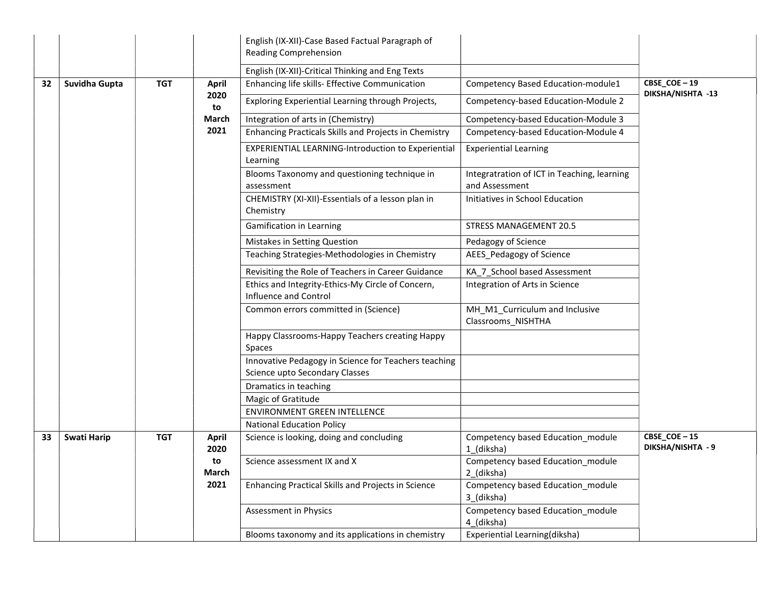|    |                    |            |                      | English (IX-XII)-Case Based Factual Paragraph of                                       |                                                               |                                  |
|----|--------------------|------------|----------------------|----------------------------------------------------------------------------------------|---------------------------------------------------------------|----------------------------------|
|    |                    |            |                      | <b>Reading Comprehension</b>                                                           |                                                               |                                  |
|    |                    |            |                      | English (IX-XII)-Critical Thinking and Eng Texts                                       |                                                               |                                  |
| 32 | Suvidha Gupta      | <b>TGT</b> | <b>April</b>         | Enhancing life skills- Effective Communication                                         | Competency Based Education-module1                            | CBSE_COE-19                      |
|    |                    |            | 2020<br>to           | Exploring Experiential Learning through Projects,                                      | Competency-based Education-Module 2                           | DIKSHA/NISHTA -13                |
|    |                    |            | March                | Integration of arts in (Chemistry)                                                     | Competency-based Education-Module 3                           |                                  |
|    |                    |            | 2021                 | Enhancing Practicals Skills and Projects in Chemistry                                  | Competency-based Education-Module 4                           |                                  |
|    |                    |            |                      | <b>EXPERIENTIAL LEARNING-Introduction to Experiential</b><br>Learning                  | <b>Experiential Learning</b>                                  |                                  |
|    |                    |            |                      | Blooms Taxonomy and questioning technique in<br>assessment                             | Integratration of ICT in Teaching, learning<br>and Assessment |                                  |
|    |                    |            |                      | CHEMISTRY (XI-XII)-Essentials of a lesson plan in<br>Chemistry                         | Initiatives in School Education                               |                                  |
|    |                    |            |                      | <b>Gamification in Learning</b>                                                        | <b>STRESS MANAGEMENT 20.5</b>                                 |                                  |
|    |                    |            |                      | Mistakes in Setting Question                                                           | Pedagogy of Science                                           |                                  |
|    |                    |            |                      | Teaching Strategies-Methodologies in Chemistry                                         | AEES Pedagogy of Science                                      |                                  |
|    |                    |            |                      | Revisiting the Role of Teachers in Career Guidance                                     | KA_7_School based Assessment                                  |                                  |
|    |                    |            |                      | Ethics and Integrity-Ethics-My Circle of Concern,<br>Influence and Control             | Integration of Arts in Science                                |                                  |
|    |                    |            |                      | Common errors committed in (Science)                                                   | MH_M1_Curriculum and Inclusive<br>Classrooms_NISHTHA          |                                  |
|    |                    |            |                      | Happy Classrooms-Happy Teachers creating Happy<br>Spaces                               |                                                               |                                  |
|    |                    |            |                      | Innovative Pedagogy in Science for Teachers teaching<br>Science upto Secondary Classes |                                                               |                                  |
|    |                    |            |                      | Dramatics in teaching                                                                  |                                                               |                                  |
|    |                    |            |                      | Magic of Gratitude                                                                     |                                                               |                                  |
|    |                    |            |                      | <b>ENVIRONMENT GREEN INTELLENCE</b>                                                    |                                                               |                                  |
|    |                    |            |                      | <b>National Education Policy</b>                                                       |                                                               |                                  |
| 33 | <b>Swati Harip</b> | <b>TGT</b> | <b>April</b><br>2020 | Science is looking, doing and concluding                                               | Competency based Education_module<br>1 (diksha)               | CBSE_COE-15<br>DIKSHA/NISHTA - 9 |
|    |                    |            | to<br><b>March</b>   | Science assessment IX and X                                                            | Competency based Education module<br>2_(diksha)               |                                  |
|    |                    |            | 2021                 | Enhancing Practical Skills and Projects in Science                                     | Competency based Education_module<br>3_(diksha)               |                                  |
|    |                    |            |                      | Assessment in Physics                                                                  | Competency based Education_module<br>4_(diksha)               |                                  |
|    |                    |            |                      | Blooms taxonomy and its applications in chemistry                                      | Experiential Learning(diksha)                                 |                                  |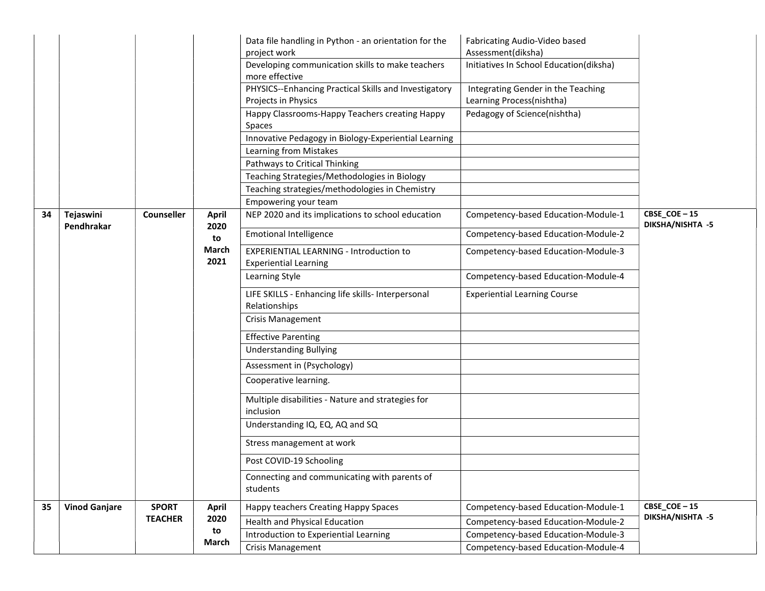|    |                         |                   |                      | Data file handling in Python - an orientation for the<br>project work          | Fabricating Audio-Video based<br>Assessment(diksha) |                                 |
|----|-------------------------|-------------------|----------------------|--------------------------------------------------------------------------------|-----------------------------------------------------|---------------------------------|
|    |                         |                   |                      | Developing communication skills to make teachers<br>more effective             | Initiatives In School Education(diksha)             |                                 |
|    |                         |                   |                      | PHYSICS--Enhancing Practical Skills and Investigatory                          | Integrating Gender in the Teaching                  |                                 |
|    |                         |                   |                      | Projects in Physics                                                            | Learning Process(nishtha)                           |                                 |
|    |                         |                   |                      | Happy Classrooms-Happy Teachers creating Happy                                 | Pedagogy of Science(nishtha)                        |                                 |
|    |                         |                   |                      | Spaces                                                                         |                                                     |                                 |
|    |                         |                   |                      | Innovative Pedagogy in Biology-Experiential Learning                           |                                                     |                                 |
|    |                         |                   |                      | Learning from Mistakes                                                         |                                                     |                                 |
|    |                         |                   |                      | Pathways to Critical Thinking                                                  |                                                     |                                 |
|    |                         |                   |                      | Teaching Strategies/Methodologies in Biology                                   |                                                     |                                 |
|    |                         |                   |                      | Teaching strategies/methodologies in Chemistry                                 |                                                     |                                 |
|    |                         |                   |                      | Empowering your team                                                           |                                                     |                                 |
| 34 | Tejaswini<br>Pendhrakar | <b>Counseller</b> | <b>April</b><br>2020 | NEP 2020 and its implications to school education                              | Competency-based Education-Module-1                 | CBSE_COE-15<br>DIKSHA/NISHTA -5 |
|    |                         |                   | to                   | <b>Emotional Intelligence</b>                                                  | Competency-based Education-Module-2                 |                                 |
|    |                         |                   | <b>March</b><br>2021 | <b>EXPERIENTIAL LEARNING - Introduction to</b><br><b>Experiential Learning</b> | Competency-based Education-Module-3                 |                                 |
|    |                         |                   |                      | Learning Style                                                                 | Competency-based Education-Module-4                 |                                 |
|    |                         |                   |                      | LIFE SKILLS - Enhancing life skills- Interpersonal<br>Relationships            | <b>Experiential Learning Course</b>                 |                                 |
|    |                         |                   |                      | Crisis Management                                                              |                                                     |                                 |
|    |                         |                   |                      | <b>Effective Parenting</b>                                                     |                                                     |                                 |
|    |                         |                   |                      | <b>Understanding Bullying</b>                                                  |                                                     |                                 |
|    |                         |                   |                      | Assessment in (Psychology)                                                     |                                                     |                                 |
|    |                         |                   |                      | Cooperative learning.                                                          |                                                     |                                 |
|    |                         |                   |                      | Multiple disabilities - Nature and strategies for<br>inclusion                 |                                                     |                                 |
|    |                         |                   |                      | Understanding IQ, EQ, AQ and SQ                                                |                                                     |                                 |
|    |                         |                   |                      | Stress management at work                                                      |                                                     |                                 |
|    |                         |                   |                      | Post COVID-19 Schooling                                                        |                                                     |                                 |
|    |                         |                   |                      | Connecting and communicating with parents of<br>students                       |                                                     |                                 |
| 35 | <b>Vinod Ganjare</b>    | <b>SPORT</b>      | <b>April</b>         | Happy teachers Creating Happy Spaces                                           | Competency-based Education-Module-1                 | CBSE COE-15                     |
|    |                         | <b>TEACHER</b>    | 2020                 | <b>Health and Physical Education</b>                                           | Competency-based Education-Module-2                 | DIKSHA/NISHTA -5                |
|    |                         |                   | to                   | Introduction to Experiential Learning                                          | Competency-based Education-Module-3                 |                                 |
|    |                         |                   | March                | <b>Crisis Management</b>                                                       | Competency-based Education-Module-4                 |                                 |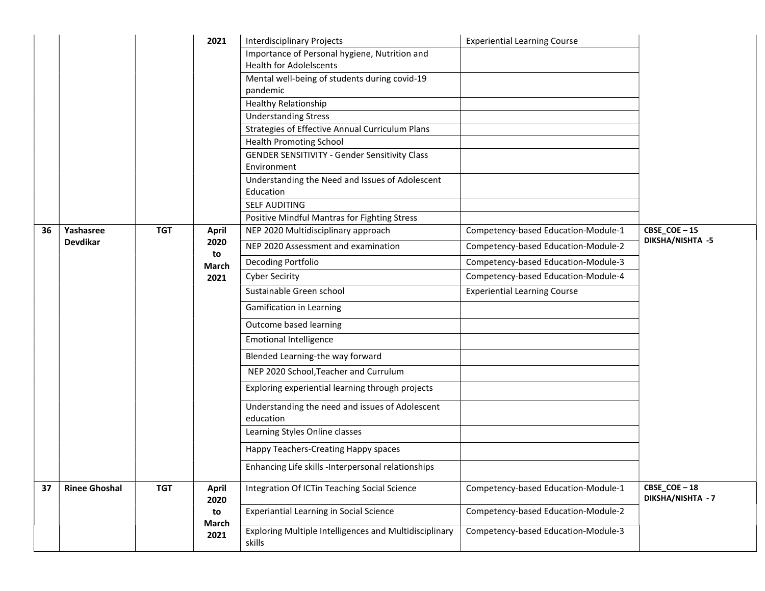|    |                      |            | 2021                 | <b>Interdisciplinary Projects</b>                                   | <b>Experiential Learning Course</b> |                                  |
|----|----------------------|------------|----------------------|---------------------------------------------------------------------|-------------------------------------|----------------------------------|
|    |                      |            |                      | Importance of Personal hygiene, Nutrition and                       |                                     |                                  |
|    |                      |            |                      | <b>Health for Adolelscents</b>                                      |                                     |                                  |
|    |                      |            |                      | Mental well-being of students during covid-19                       |                                     |                                  |
|    |                      |            |                      | pandemic                                                            |                                     |                                  |
|    |                      |            |                      | <b>Healthy Relationship</b>                                         |                                     |                                  |
|    |                      |            |                      | <b>Understanding Stress</b>                                         |                                     |                                  |
|    |                      |            |                      | Strategies of Effective Annual Curriculum Plans                     |                                     |                                  |
|    |                      |            |                      | <b>Health Promoting School</b>                                      |                                     |                                  |
|    |                      |            |                      | <b>GENDER SENSITIVITY - Gender Sensitivity Class</b><br>Environment |                                     |                                  |
|    |                      |            |                      | Understanding the Need and Issues of Adolescent                     |                                     |                                  |
|    |                      |            |                      | Education                                                           |                                     |                                  |
|    |                      |            |                      | <b>SELF AUDITING</b>                                                |                                     |                                  |
|    |                      |            |                      | Positive Mindful Mantras for Fighting Stress                        |                                     |                                  |
| 36 | Yashasree            | <b>TGT</b> | <b>April</b>         | NEP 2020 Multidisciplinary approach                                 | Competency-based Education-Module-1 | CBSE_COE-15                      |
|    | Devdikar             |            | 2020                 | NEP 2020 Assessment and examination                                 | Competency-based Education-Module-2 | <b>DIKSHA/NISHTA -5</b>          |
|    |                      |            | to<br>March          | Decoding Portfolio                                                  | Competency-based Education-Module-3 |                                  |
|    |                      |            | 2021                 | <b>Cyber Secirity</b>                                               | Competency-based Education-Module-4 |                                  |
|    |                      |            |                      | Sustainable Green school                                            | <b>Experiential Learning Course</b> |                                  |
|    |                      |            |                      | Gamification in Learning                                            |                                     |                                  |
|    |                      |            |                      | Outcome based learning                                              |                                     |                                  |
|    |                      |            |                      | <b>Emotional Intelligence</b>                                       |                                     |                                  |
|    |                      |            |                      | Blended Learning-the way forward                                    |                                     |                                  |
|    |                      |            |                      | NEP 2020 School, Teacher and Currulum                               |                                     |                                  |
|    |                      |            |                      | Exploring experiential learning through projects                    |                                     |                                  |
|    |                      |            |                      | Understanding the need and issues of Adolescent                     |                                     |                                  |
|    |                      |            |                      | education                                                           |                                     |                                  |
|    |                      |            |                      | Learning Styles Online classes                                      |                                     |                                  |
|    |                      |            |                      | Happy Teachers-Creating Happy spaces                                |                                     |                                  |
|    |                      |            |                      | Enhancing Life skills -Interpersonal relationships                  |                                     |                                  |
| 37 | <b>Rinee Ghoshal</b> | <b>TGT</b> | <b>April</b><br>2020 | Integration Of ICTin Teaching Social Science                        | Competency-based Education-Module-1 | CBSE_COE-18<br>DIKSHA/NISHTA - 7 |
|    |                      |            | to                   | <b>Experiantial Learning in Social Science</b>                      | Competency-based Education-Module-2 |                                  |
|    |                      |            | March<br>2021        | Exploring Multiple Intelligences and Multidisciplinary<br>skills    | Competency-based Education-Module-3 |                                  |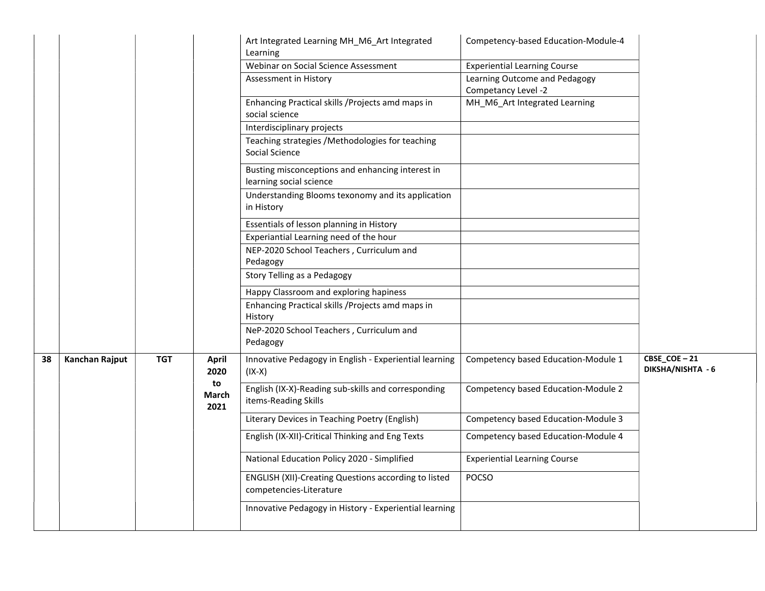|    |                |            |                                             | Art Integrated Learning MH_M6_Art Integrated<br>Learning<br>Webinar on Social Science Assessment<br>Assessment in History<br>Enhancing Practical skills / Projects amd maps in<br>social science<br>Interdisciplinary projects<br>Teaching strategies /Methodologies for teaching<br>Social Science<br>Busting misconceptions and enhancing interest in<br>learning social science<br>Understanding Blooms texonomy and its application<br>in History<br>Essentials of lesson planning in History<br>Experiantial Learning need of the hour<br>NEP-2020 School Teachers, Curriculum and<br>Pedagogy<br>Story Telling as a Pedagogy<br>Happy Classroom and exploring hapiness<br>Enhancing Practical skills / Projects amd maps in<br>History<br>NeP-2020 School Teachers, Curriculum and | Competency-based Education-Module-4<br><b>Experiential Learning Course</b><br>Learning Outcome and Pedagogy<br>Competancy Level -2<br>MH_M6_Art Integrated Learning                                             |                                  |
|----|----------------|------------|---------------------------------------------|------------------------------------------------------------------------------------------------------------------------------------------------------------------------------------------------------------------------------------------------------------------------------------------------------------------------------------------------------------------------------------------------------------------------------------------------------------------------------------------------------------------------------------------------------------------------------------------------------------------------------------------------------------------------------------------------------------------------------------------------------------------------------------------|-----------------------------------------------------------------------------------------------------------------------------------------------------------------------------------------------------------------|----------------------------------|
| 38 | Kanchan Rajput | <b>TGT</b> | <b>April</b><br>2020<br>to<br>March<br>2021 | Pedagogy<br>Innovative Pedagogy in English - Experiential learning<br>(IX-X)<br>English (IX-X)-Reading sub-skills and corresponding<br>items-Reading Skills<br>Literary Devices in Teaching Poetry (English)<br>English (IX-XII)-Critical Thinking and Eng Texts<br>National Education Policy 2020 - Simplified<br>ENGLISH (XII)-Creating Questions according to listed<br>competencies-Literature<br>Innovative Pedagogy in History - Experiential learning                                                                                                                                                                                                                                                                                                                             | Competency based Education-Module 1<br>Competency based Education-Module 2<br>Competency based Education-Module 3<br>Competency based Education-Module 4<br><b>Experiential Learning Course</b><br><b>POCSO</b> | CBSE_COE-21<br>DIKSHA/NISHTA - 6 |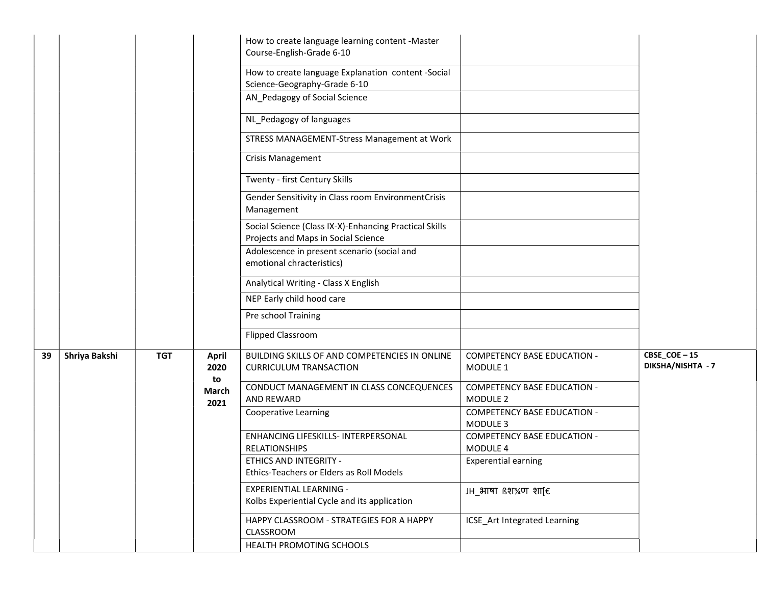|    |               |            |                     | How to create language learning content -Master<br>Course-English-Grade 6-10                  |                                                |                                         |
|----|---------------|------------|---------------------|-----------------------------------------------------------------------------------------------|------------------------------------------------|-----------------------------------------|
|    |               |            |                     | How to create language Explanation content -Social<br>Science-Geography-Grade 6-10            |                                                |                                         |
|    |               |            |                     | AN_Pedagogy of Social Science                                                                 |                                                |                                         |
|    |               |            |                     | NL_Pedagogy of languages                                                                      |                                                |                                         |
|    |               |            |                     | STRESS MANAGEMENT-Stress Management at Work                                                   |                                                |                                         |
|    |               |            |                     | Crisis Management                                                                             |                                                |                                         |
|    |               |            |                     | Twenty - first Century Skills                                                                 |                                                |                                         |
|    |               |            |                     | Gender Sensitivity in Class room EnvironmentCrisis<br>Management                              |                                                |                                         |
|    |               |            |                     | Social Science (Class IX-X)-Enhancing Practical Skills<br>Projects and Maps in Social Science |                                                |                                         |
|    |               |            |                     | Adolescence in present scenario (social and<br>emotional chracteristics)                      |                                                |                                         |
|    |               |            |                     | Analytical Writing - Class X English                                                          |                                                |                                         |
|    |               |            |                     | NEP Early child hood care                                                                     |                                                |                                         |
|    |               |            |                     | Pre school Training                                                                           |                                                |                                         |
|    |               |            |                     | <b>Flipped Classroom</b>                                                                      |                                                |                                         |
| 39 | Shriya Bakshi | <b>TGT</b> | April<br>2020       | BUILDING SKILLS OF AND COMPETENCIES IN ONLINE<br><b>CURRICULUM TRANSACTION</b>                | <b>COMPETENCY BASE EDUCATION -</b><br>MODULE 1 | CBSE_COE-15<br><b>DIKSHA/NISHTA - 7</b> |
|    |               |            | to<br>March<br>2021 | CONDUCT MANAGEMENT IN CLASS CONCEQUENCES<br>AND REWARD                                        | <b>COMPETENCY BASE EDUCATION -</b><br>MODULE 2 |                                         |
|    |               |            |                     | Cooperative Learning                                                                          | <b>COMPETENCY BASE EDUCATION -</b><br>MODULE 3 |                                         |
|    |               |            |                     | ENHANCING LIFESKILLS- INTERPERSONAL<br><b>RELATIONSHIPS</b>                                   | <b>COMPETENCY BASE EDUCATION -</b><br>MODULE 4 |                                         |
|    |               |            |                     | ETHICS AND INTEGRITY -<br>Ethics-Teachers or Elders as Roll Models                            | <b>Experential earning</b>                     |                                         |
|    |               |            |                     | <b>EXPERIENTIAL LEARNING -</b><br>Kolbs Experiential Cycle and its application                | $JH$ आषा $R$ श $\frac{3}{4}$ ण शा[ $\epsilon$  |                                         |
|    |               |            |                     | HAPPY CLASSROOM - STRATEGIES FOR A HAPPY<br>CLASSROOM                                         | ICSE_Art Integrated Learning                   |                                         |
|    |               |            |                     | HEALTH PROMOTING SCHOOLS                                                                      |                                                |                                         |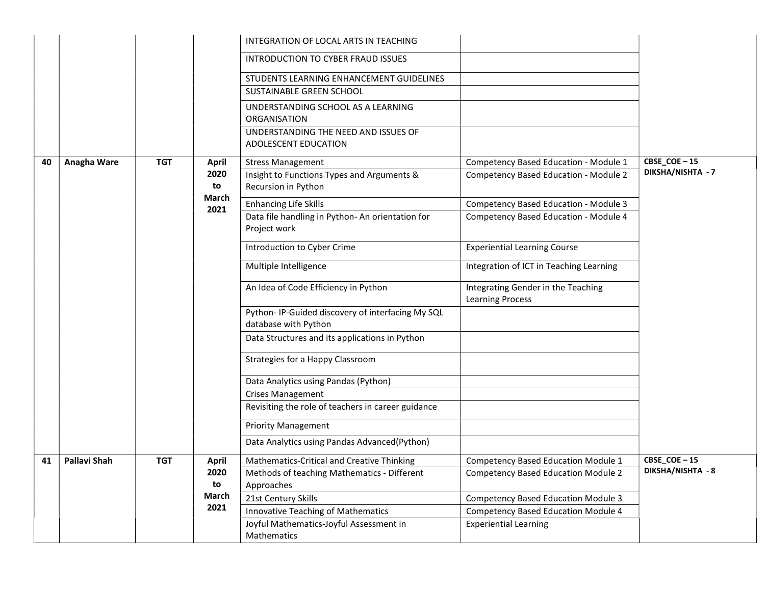|    |                     |              |                              | INTEGRATION OF LOCAL ARTS IN TEACHING                                    |                                                               |                   |
|----|---------------------|--------------|------------------------------|--------------------------------------------------------------------------|---------------------------------------------------------------|-------------------|
|    |                     |              |                              | INTRODUCTION TO CYBER FRAUD ISSUES                                       |                                                               |                   |
|    |                     |              |                              | STUDENTS LEARNING ENHANCEMENT GUIDELINES                                 |                                                               |                   |
|    |                     |              |                              | SUSTAINABLE GREEN SCHOOL                                                 |                                                               |                   |
|    |                     |              |                              | UNDERSTANDING SCHOOL AS A LEARNING<br>ORGANISATION                       |                                                               |                   |
|    |                     |              |                              | UNDERSTANDING THE NEED AND ISSUES OF<br>ADOLESCENT EDUCATION             |                                                               |                   |
| 40 | Anagha Ware         | <b>TGT</b>   | April                        | <b>Stress Management</b>                                                 | Competency Based Education - Module 1                         | CBSE_COE-15       |
|    |                     |              | 2020<br>to                   | Insight to Functions Types and Arguments &<br>Recursion in Python        | Competency Based Education - Module 2                         | DIKSHA/NISHTA - 7 |
|    |                     | <b>March</b> | <b>Enhancing Life Skills</b> | Competency Based Education - Module 3                                    |                                                               |                   |
|    |                     |              | 2021                         | Data file handling in Python-An orientation for<br>Project work          | Competency Based Education - Module 4                         |                   |
|    |                     |              |                              | Introduction to Cyber Crime                                              | <b>Experiential Learning Course</b>                           |                   |
|    |                     |              |                              | Multiple Intelligence                                                    | Integration of ICT in Teaching Learning                       |                   |
|    |                     |              |                              | An Idea of Code Efficiency in Python                                     | Integrating Gender in the Teaching<br><b>Learning Process</b> |                   |
|    |                     |              |                              | Python-IP-Guided discovery of interfacing My SQL<br>database with Python |                                                               |                   |
|    |                     |              |                              | Data Structures and its applications in Python                           |                                                               |                   |
|    |                     |              |                              | Strategies for a Happy Classroom                                         |                                                               |                   |
|    |                     |              |                              | Data Analytics using Pandas (Python)                                     |                                                               |                   |
|    |                     |              |                              | <b>Crises Management</b>                                                 |                                                               |                   |
|    |                     |              |                              | Revisiting the role of teachers in career guidance                       |                                                               |                   |
|    |                     |              |                              | <b>Priority Management</b>                                               |                                                               |                   |
|    |                     |              |                              | Data Analytics using Pandas Advanced(Python)                             |                                                               |                   |
| 41 | <b>Pallavi Shah</b> | <b>TGT</b>   | April                        | Mathematics-Critical and Creative Thinking                               | Competency Based Education Module 1                           | CBSE_COE-15       |
|    |                     |              | 2020                         | Methods of teaching Mathematics - Different                              | <b>Competency Based Education Module 2</b>                    | DIKSHA/NISHTA - 8 |
|    |                     |              | to                           | Approaches                                                               |                                                               |                   |
|    |                     |              | March<br>2021                | 21st Century Skills                                                      | <b>Competency Based Education Module 3</b>                    |                   |
|    |                     |              |                              | Innovative Teaching of Mathematics                                       | <b>Competency Based Education Module 4</b>                    |                   |
|    |                     |              |                              | Joyful Mathematics-Joyful Assessment in<br>Mathematics                   | <b>Experiential Learning</b>                                  |                   |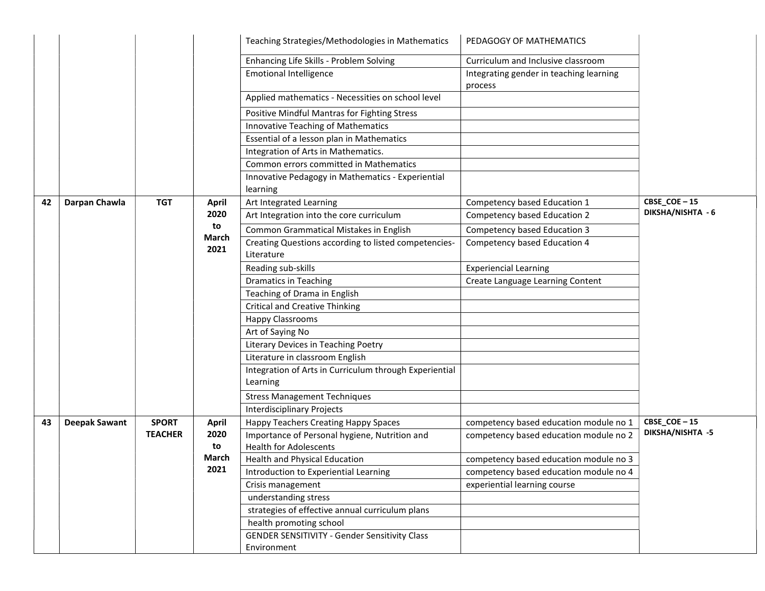|    |                      |                |                      | Teaching Strategies/Methodologies in Mathematics                   | PEDAGOGY OF MATHEMATICS                            |                   |
|----|----------------------|----------------|----------------------|--------------------------------------------------------------------|----------------------------------------------------|-------------------|
|    |                      |                |                      | Enhancing Life Skills - Problem Solving                            | Curriculum and Inclusive classroom                 |                   |
|    |                      |                |                      | <b>Emotional Intelligence</b>                                      | Integrating gender in teaching learning<br>process |                   |
|    |                      |                |                      | Applied mathematics - Necessities on school level                  |                                                    |                   |
|    |                      |                |                      | Positive Mindful Mantras for Fighting Stress                       |                                                    |                   |
|    |                      |                |                      | Innovative Teaching of Mathematics                                 |                                                    |                   |
|    |                      |                |                      | Essential of a lesson plan in Mathematics                          |                                                    |                   |
|    |                      |                |                      | Integration of Arts in Mathematics.                                |                                                    |                   |
|    |                      |                |                      | Common errors committed in Mathematics                             |                                                    |                   |
|    |                      |                |                      | Innovative Pedagogy in Mathematics - Experiential<br>learning      |                                                    |                   |
| 42 | Darpan Chawla        | <b>TGT</b>     | <b>April</b>         | Art Integrated Learning                                            | Competency based Education 1                       | CBSE_COE-15       |
|    |                      |                | 2020                 | Art Integration into the core curriculum                           | Competency based Education 2                       | DIKSHA/NISHTA - 6 |
|    |                      |                | to                   | Common Grammatical Mistakes in English                             | Competency based Education 3                       |                   |
|    |                      |                | <b>March</b><br>2021 | Creating Questions according to listed competencies-<br>Literature | Competency based Education 4                       |                   |
|    |                      |                |                      | Reading sub-skills                                                 | <b>Experiencial Learning</b>                       |                   |
|    |                      |                |                      | <b>Dramatics in Teaching</b>                                       | Create Language Learning Content                   |                   |
|    |                      |                |                      | Teaching of Drama in English                                       |                                                    |                   |
|    |                      |                |                      | <b>Critical and Creative Thinking</b>                              |                                                    |                   |
|    |                      |                |                      | <b>Happy Classrooms</b>                                            |                                                    |                   |
|    |                      |                |                      | Art of Saying No                                                   |                                                    |                   |
|    |                      |                |                      | Literary Devices in Teaching Poetry                                |                                                    |                   |
|    |                      |                |                      | Literature in classroom English                                    |                                                    |                   |
|    |                      |                |                      | Integration of Arts in Curriculum through Experiential<br>Learning |                                                    |                   |
|    |                      |                |                      | <b>Stress Management Techniques</b>                                |                                                    |                   |
|    |                      |                |                      | <b>Interdisciplinary Projects</b>                                  |                                                    |                   |
| 43 | <b>Deepak Sawant</b> | <b>SPORT</b>   | <b>April</b>         | Happy Teachers Creating Happy Spaces                               | competency based education module no 1             | CBSE_COE-15       |
|    |                      | <b>TEACHER</b> | 2020                 | Importance of Personal hygiene, Nutrition and                      | competency based education module no 2             | DIKSHA/NISHTA -5  |
|    |                      |                | to                   | <b>Health for Adolescents</b>                                      |                                                    |                   |
|    |                      |                | March                | Health and Physical Education                                      | competency based education module no 3             |                   |
|    |                      |                | 2021                 | Introduction to Experiential Learning                              | competency based education module no 4             |                   |
|    |                      |                |                      | Crisis management                                                  | experiential learning course                       |                   |
|    |                      |                |                      | understanding stress                                               |                                                    |                   |
|    |                      |                |                      | strategies of effective annual curriculum plans                    |                                                    |                   |
|    |                      |                |                      | health promoting school                                            |                                                    |                   |
|    |                      |                |                      | <b>GENDER SENSITIVITY - Gender Sensitivity Class</b>               |                                                    |                   |
|    |                      |                |                      | Environment                                                        |                                                    |                   |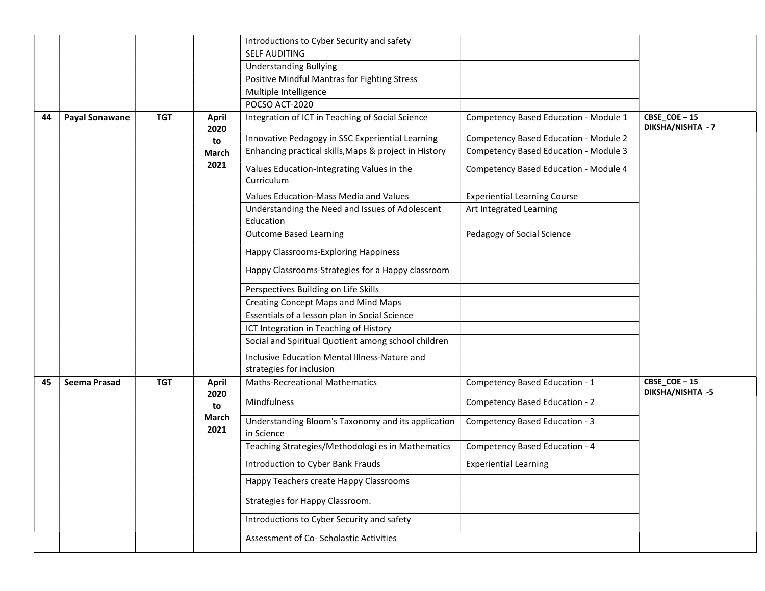|    |                       |            |                      | Introductions to Cyber Security and safety                                |                                       |                                        |
|----|-----------------------|------------|----------------------|---------------------------------------------------------------------------|---------------------------------------|----------------------------------------|
|    |                       |            |                      | <b>SELF AUDITING</b>                                                      |                                       |                                        |
|    |                       |            |                      | <b>Understanding Bullying</b>                                             |                                       |                                        |
|    |                       |            |                      | Positive Mindful Mantras for Fighting Stress                              |                                       |                                        |
|    |                       |            |                      | Multiple Intelligence                                                     |                                       |                                        |
|    |                       |            |                      | POCSO ACT-2020                                                            |                                       |                                        |
| 44 | <b>Payal Sonawane</b> | <b>TGT</b> | <b>April</b><br>2020 | Integration of ICT in Teaching of Social Science                          | Competency Based Education - Module 1 | CBSE_COE-15<br>DIKSHA/NISHTA - 7       |
|    |                       |            | to                   | Innovative Pedagogy in SSC Experiential Learning                          | Competency Based Education - Module 2 |                                        |
|    |                       |            | March                | Enhancing practical skills, Maps & project in History                     | Competency Based Education - Module 3 |                                        |
|    |                       |            | 2021                 | Values Education-Integrating Values in the<br>Curriculum                  | Competency Based Education - Module 4 |                                        |
|    |                       |            |                      | Values Education-Mass Media and Values                                    | <b>Experiential Learning Course</b>   |                                        |
|    |                       |            |                      | Understanding the Need and Issues of Adolescent<br>Education              | Art Integrated Learning               |                                        |
|    |                       |            |                      | <b>Outcome Based Learning</b>                                             | Pedagogy of Social Science            |                                        |
|    |                       |            |                      | Happy Classrooms-Exploring Happiness                                      |                                       |                                        |
|    |                       |            |                      | Happy Classrooms-Strategies for a Happy classroom                         |                                       |                                        |
|    |                       |            |                      | Perspectives Building on Life Skills                                      |                                       |                                        |
|    |                       |            |                      | <b>Creating Concept Maps and Mind Maps</b>                                |                                       |                                        |
|    |                       |            |                      | Essentials of a lesson plan in Social Science                             |                                       |                                        |
|    |                       |            |                      | ICT Integration in Teaching of History                                    |                                       |                                        |
|    |                       |            |                      | Social and Spiritual Quotient among school children                       |                                       |                                        |
|    |                       |            |                      | Inclusive Education Mental Illness-Nature and<br>strategies for inclusion |                                       |                                        |
| 45 | <b>Seema Prasad</b>   | <b>TGT</b> | April<br>2020        | <b>Maths-Recreational Mathematics</b>                                     | Competency Based Education - 1        | CBSE_COE-15<br><b>DIKSHA/NISHTA -5</b> |
|    |                       |            | to                   | Mindfulness                                                               | Competency Based Education - 2        |                                        |
|    |                       |            | March<br>2021        | Understanding Bloom's Taxonomy and its application<br>in Science          | Competency Based Education - 3        |                                        |
|    |                       |            |                      | Teaching Strategies/Methodologi es in Mathematics                         | Competency Based Education - 4        |                                        |
|    |                       |            |                      | Introduction to Cyber Bank Frauds                                         | <b>Experiential Learning</b>          |                                        |
|    |                       |            |                      | Happy Teachers create Happy Classrooms                                    |                                       |                                        |
|    |                       |            |                      | Strategies for Happy Classroom.                                           |                                       |                                        |
|    |                       |            |                      | Introductions to Cyber Security and safety                                |                                       |                                        |
|    |                       |            |                      | Assessment of Co- Scholastic Activities                                   |                                       |                                        |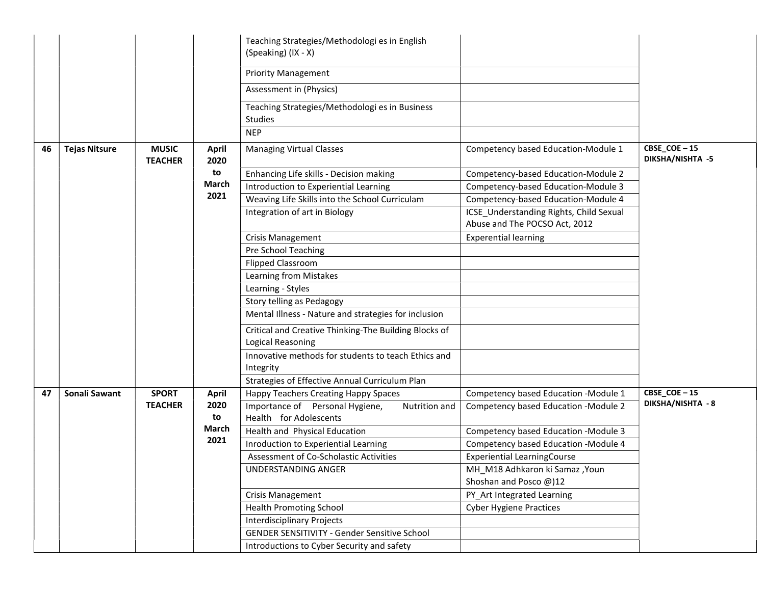|    |                      |                                |                      | Teaching Strategies/Methodologi es in English<br>(Speaking) (IX - X)       |                                                                          |                                        |
|----|----------------------|--------------------------------|----------------------|----------------------------------------------------------------------------|--------------------------------------------------------------------------|----------------------------------------|
|    |                      |                                |                      | <b>Priority Management</b>                                                 |                                                                          |                                        |
|    |                      |                                |                      | Assessment in (Physics)                                                    |                                                                          |                                        |
|    |                      |                                |                      | Teaching Strategies/Methodologi es in Business<br>Studies                  |                                                                          |                                        |
|    |                      |                                |                      | <b>NEP</b>                                                                 |                                                                          |                                        |
| 46 | <b>Tejas Nitsure</b> | <b>MUSIC</b><br><b>TEACHER</b> | <b>April</b><br>2020 | <b>Managing Virtual Classes</b>                                            | Competency based Education-Module 1                                      | CBSE_COE-15<br><b>DIKSHA/NISHTA -5</b> |
|    |                      |                                | to                   | Enhancing Life skills - Decision making                                    | Competency-based Education-Module 2                                      |                                        |
|    |                      |                                | March                | Introduction to Experiential Learning                                      | Competency-based Education-Module 3                                      |                                        |
|    |                      |                                | 2021                 | Weaving Life Skills into the School Curriculam                             | Competency-based Education-Module 4                                      |                                        |
|    |                      |                                |                      | Integration of art in Biology                                              | ICSE_Understanding Rights, Child Sexual<br>Abuse and The POCSO Act, 2012 |                                        |
|    |                      |                                |                      | <b>Crisis Management</b>                                                   | <b>Experential learning</b>                                              |                                        |
|    |                      |                                |                      | Pre School Teaching                                                        |                                                                          |                                        |
|    |                      |                                |                      | Flipped Classroom                                                          |                                                                          |                                        |
|    |                      |                                |                      | Learning from Mistakes                                                     |                                                                          |                                        |
|    |                      |                                |                      | Learning - Styles                                                          |                                                                          |                                        |
|    |                      |                                |                      | Story telling as Pedagogy                                                  |                                                                          |                                        |
|    |                      |                                |                      | Mental Illness - Nature and strategies for inclusion                       |                                                                          |                                        |
|    |                      |                                |                      | Critical and Creative Thinking-The Building Blocks of<br>Logical Reasoning |                                                                          |                                        |
|    |                      |                                |                      | Innovative methods for students to teach Ethics and                        |                                                                          |                                        |
|    |                      |                                |                      | Integrity                                                                  |                                                                          |                                        |
|    |                      |                                |                      | Strategies of Effective Annual Curriculum Plan                             |                                                                          |                                        |
| 47 | Sonali Sawant        | <b>SPORT</b>                   | April                | Happy Teachers Creating Happy Spaces                                       | Competency based Education -Module 1                                     | CBSE_COE-15                            |
|    |                      | <b>TEACHER</b>                 | 2020<br>to           | Importance of Personal Hygiene,<br>Nutrition and<br>Health for Adolescents | Competency based Education - Module 2                                    | <b>DIKSHA/NISHTA - 8</b>               |
|    |                      |                                | March                | Health and Physical Education                                              | Competency based Education -Module 3                                     |                                        |
|    |                      |                                | 2021                 | Inroduction to Experiential Learning                                       | Competency based Education -Module 4                                     |                                        |
|    |                      |                                |                      | Assessment of Co-Scholastic Activities                                     | <b>Experiential LearningCourse</b>                                       |                                        |
|    |                      |                                |                      | UNDERSTANDING ANGER                                                        | MH_M18 Adhkaron ki Samaz , Youn<br>Shoshan and Posco @)12                |                                        |
|    |                      |                                |                      | <b>Crisis Management</b>                                                   | PY_Art Integrated Learning                                               |                                        |
|    |                      |                                |                      | <b>Health Promoting School</b>                                             | <b>Cyber Hygiene Practices</b>                                           |                                        |
|    |                      |                                |                      | <b>Interdisciplinary Projects</b>                                          |                                                                          |                                        |
|    |                      |                                |                      | <b>GENDER SENSITIVITY - Gender Sensitive School</b>                        |                                                                          |                                        |
|    |                      |                                |                      | Introductions to Cyber Security and safety                                 |                                                                          |                                        |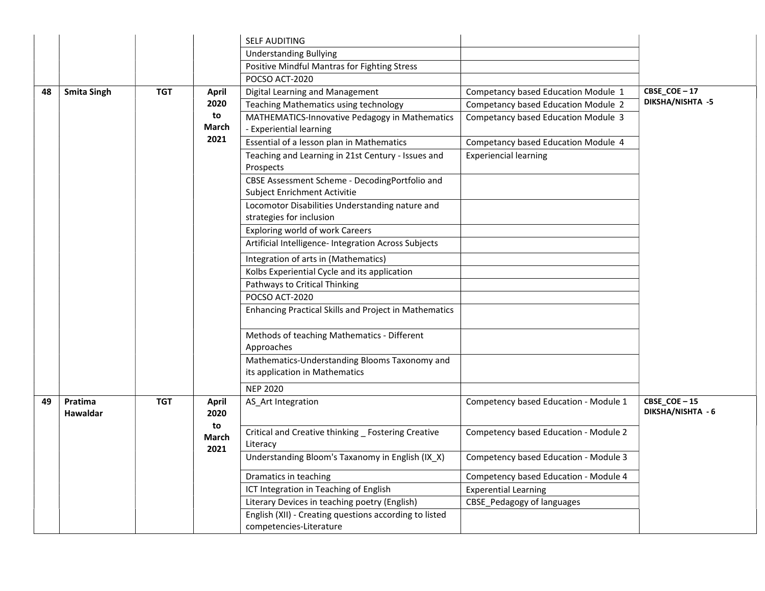|    |                     |            |                     | <b>SELF AUDITING</b>                                            |                                       |                                  |
|----|---------------------|------------|---------------------|-----------------------------------------------------------------|---------------------------------------|----------------------------------|
|    |                     |            |                     | <b>Understanding Bullying</b>                                   |                                       |                                  |
|    |                     |            |                     | Positive Mindful Mantras for Fighting Stress                    |                                       |                                  |
|    |                     |            |                     | POCSO ACT-2020                                                  |                                       |                                  |
| 48 | <b>Smita Singh</b>  | <b>TGT</b> | <b>April</b>        | Digital Learning and Management                                 | Competancy based Education Module 1   | CBSE_COE-17                      |
|    |                     |            | 2020                | Teaching Mathematics using technology                           | Competancy based Education Module 2   | DIKSHA/NISHTA -5                 |
|    |                     |            | to                  | MATHEMATICS-Innovative Pedagogy in Mathematics                  | Competancy based Education Module 3   |                                  |
|    |                     |            | March               | - Experiential learning                                         |                                       |                                  |
|    |                     |            | 2021                | Essential of a lesson plan in Mathematics                       | Competancy based Education Module 4   |                                  |
|    |                     |            |                     | Teaching and Learning in 21st Century - Issues and              | <b>Experiencial learning</b>          |                                  |
|    |                     |            |                     | Prospects                                                       |                                       |                                  |
|    |                     |            |                     | CBSE Assessment Scheme - DecodingPortfolio and                  |                                       |                                  |
|    |                     |            |                     | Subject Enrichment Activitie                                    |                                       |                                  |
|    |                     |            |                     | Locomotor Disabilities Understanding nature and                 |                                       |                                  |
|    |                     |            |                     | strategies for inclusion                                        |                                       |                                  |
|    |                     |            |                     | Exploring world of work Careers                                 |                                       |                                  |
|    |                     |            |                     | Artificial Intelligence- Integration Across Subjects            |                                       |                                  |
|    |                     |            |                     | Integration of arts in (Mathematics)                            |                                       |                                  |
|    |                     |            |                     | Kolbs Experiential Cycle and its application                    |                                       |                                  |
|    |                     |            |                     | Pathways to Critical Thinking                                   |                                       |                                  |
|    |                     |            |                     | POCSO ACT-2020                                                  |                                       |                                  |
|    |                     |            |                     | Enhancing Practical Skills and Project in Mathematics           |                                       |                                  |
|    |                     |            |                     | Methods of teaching Mathematics - Different                     |                                       |                                  |
|    |                     |            |                     | Approaches                                                      |                                       |                                  |
|    |                     |            |                     | Mathematics-Understanding Blooms Taxonomy and                   |                                       |                                  |
|    |                     |            |                     | its application in Mathematics                                  |                                       |                                  |
|    |                     |            |                     | <b>NEP 2020</b>                                                 |                                       |                                  |
| 49 | Pratima<br>Hawaldar | <b>TGT</b> | April<br>2020       | AS Art Integration                                              | Competency based Education - Module 1 | CBSE_COE-15<br>DIKSHA/NISHTA - 6 |
|    |                     |            | to<br>March<br>2021 | Critical and Creative thinking _ Fostering Creative<br>Literacy | Competency based Education - Module 2 |                                  |
|    |                     |            |                     | Understanding Bloom's Taxanomy in English (IX X)                | Competency based Education - Module 3 |                                  |
|    |                     |            |                     | Dramatics in teaching                                           | Competency based Education - Module 4 |                                  |
|    |                     |            |                     | ICT Integration in Teaching of English                          | <b>Experential Learning</b>           |                                  |
|    |                     |            |                     | Literary Devices in teaching poetry (English)                   | <b>CBSE_Pedagogy of languages</b>     |                                  |
|    |                     |            |                     | English (XII) - Creating questions according to listed          |                                       |                                  |
|    |                     |            |                     | competencies-Literature                                         |                                       |                                  |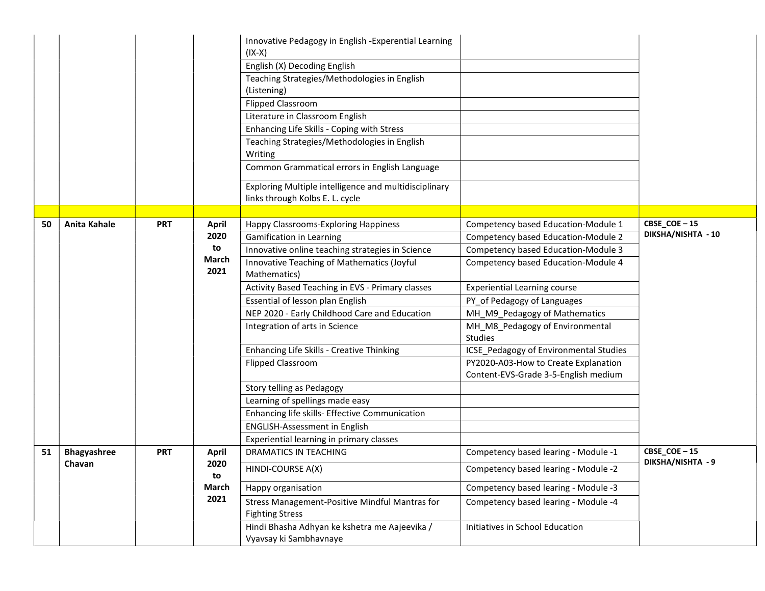|    |                     |            |               | Innovative Pedagogy in English - Experential Learning<br>$(IX-X)$                        |                                            |                                   |
|----|---------------------|------------|---------------|------------------------------------------------------------------------------------------|--------------------------------------------|-----------------------------------|
|    |                     |            |               | English (X) Decoding English                                                             |                                            |                                   |
|    |                     |            |               | Teaching Strategies/Methodologies in English<br>(Listening)                              |                                            |                                   |
|    |                     |            |               | <b>Flipped Classroom</b>                                                                 |                                            |                                   |
|    |                     |            |               | Literature in Classroom English                                                          |                                            |                                   |
|    |                     |            |               | Enhancing Life Skills - Coping with Stress                                               |                                            |                                   |
|    |                     |            |               | Teaching Strategies/Methodologies in English<br>Writing                                  |                                            |                                   |
|    |                     |            |               | Common Grammatical errors in English Language                                            |                                            |                                   |
|    |                     |            |               | Exploring Multiple intelligence and multidisciplinary<br>links through Kolbs E. L. cycle |                                            |                                   |
|    |                     |            |               |                                                                                          |                                            |                                   |
| 50 | <b>Anita Kahale</b> | <b>PRT</b> | <b>April</b>  | Happy Classrooms-Exploring Happiness                                                     | Competency based Education-Module 1        | CBSE_COE-15<br>DIKSHA/NISHTA - 10 |
|    |                     |            | 2020          | <b>Gamification in Learning</b>                                                          | Competency based Education-Module 2        |                                   |
|    |                     |            | to            | Innovative online teaching strategies in Science                                         | Competency based Education-Module 3        |                                   |
|    |                     |            | March<br>2021 | Innovative Teaching of Mathematics (Joyful<br>Mathematics)                               | Competency based Education-Module 4        |                                   |
|    |                     |            |               | Activity Based Teaching in EVS - Primary classes                                         | <b>Experiential Learning course</b>        |                                   |
|    |                     |            |               | Essential of lesson plan English                                                         | PY_of Pedagogy of Languages                |                                   |
|    |                     |            |               | NEP 2020 - Early Childhood Care and Education                                            | MH_M9_Pedagogy of Mathematics              |                                   |
|    |                     |            |               | Integration of arts in Science                                                           | MH_M8_Pedagogy of Environmental<br>Studies |                                   |
|    |                     |            |               | Enhancing Life Skills - Creative Thinking                                                | ICSE_Pedagogy of Environmental Studies     |                                   |
|    |                     |            |               | <b>Flipped Classroom</b>                                                                 | PY2020-A03-How to Create Explanation       |                                   |
|    |                     |            |               |                                                                                          | Content-EVS-Grade 3-5-English medium       |                                   |
|    |                     |            |               | Story telling as Pedagogy                                                                |                                            |                                   |
|    |                     |            |               | Learning of spellings made easy                                                          |                                            |                                   |
|    |                     |            |               | Enhancing life skills- Effective Communication                                           |                                            |                                   |
|    |                     |            |               | <b>ENGLISH-Assessment in English</b>                                                     |                                            |                                   |
|    |                     |            |               | Experiential learning in primary classes                                                 |                                            |                                   |
| 51 | <b>Bhagyashree</b>  | <b>PRT</b> | <b>April</b>  | <b>DRAMATICS IN TEACHING</b>                                                             | Competency based learing - Module -1       | CBSE_COE-15<br>DIKSHA/NISHTA - 9  |
|    | Chavan              |            | 2020<br>to    | HINDI-COURSE A(X)                                                                        | Competency based learing - Module -2       |                                   |
|    |                     |            | March         | Happy organisation                                                                       | Competency based learing - Module -3       |                                   |
|    |                     |            | 2021          | Stress Management-Positive Mindful Mantras for<br><b>Fighting Stress</b>                 | Competency based learing - Module -4       |                                   |
|    |                     |            |               | Hindi Bhasha Adhyan ke kshetra me Aajeevika /<br>Vyavsay ki Sambhavnaye                  | Initiatives in School Education            |                                   |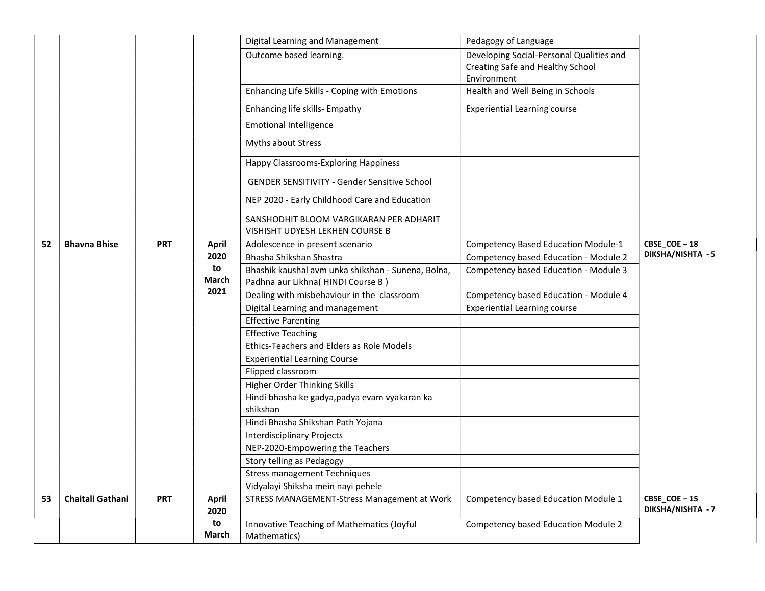|    |                     |            |              | Digital Learning and Management                                                          | Pedagogy of Language                                                                        |                   |
|----|---------------------|------------|--------------|------------------------------------------------------------------------------------------|---------------------------------------------------------------------------------------------|-------------------|
|    |                     |            |              | Outcome based learning.                                                                  | Developing Social-Personal Qualities and<br>Creating Safe and Healthy School<br>Environment |                   |
|    |                     |            |              | Enhancing Life Skills - Coping with Emotions                                             | Health and Well Being in Schools                                                            |                   |
|    |                     |            |              | Enhancing life skills- Empathy                                                           | <b>Experiential Learning course</b>                                                         |                   |
|    |                     |            |              | <b>Emotional Intelligence</b>                                                            |                                                                                             |                   |
|    |                     |            |              | Myths about Stress                                                                       |                                                                                             |                   |
|    |                     |            |              | Happy Classrooms-Exploring Happiness                                                     |                                                                                             |                   |
|    |                     |            |              | <b>GENDER SENSITIVITY - Gender Sensitive School</b>                                      |                                                                                             |                   |
|    |                     |            |              | NEP 2020 - Early Childhood Care and Education                                            |                                                                                             |                   |
|    |                     |            |              | SANSHODHIT BLOOM VARGIKARAN PER ADHARIT<br>VISHISHT UDYESH LEKHEN COURSE B               |                                                                                             |                   |
| 52 | <b>Bhavna Bhise</b> | <b>PRT</b> | <b>April</b> | Adolescence in present scenario                                                          | <b>Competency Based Education Module-1</b>                                                  | CBSE_COE-18       |
|    |                     |            | 2020         | Bhasha Shikshan Shastra                                                                  | Competency based Education - Module 2                                                       | DIKSHA/NISHTA - 5 |
|    |                     |            | to<br>March  | Bhashik kaushal avm unka shikshan - Sunena, Bolna,<br>Padhna aur Likhna (HINDI Course B) | Competency based Education - Module 3                                                       |                   |
|    |                     |            | 2021         | Dealing with misbehaviour in the classroom                                               | Competency based Education - Module 4                                                       |                   |
|    |                     |            |              | Digital Learning and management                                                          | <b>Experiential Learning course</b>                                                         |                   |
|    |                     |            |              | <b>Effective Parenting</b>                                                               |                                                                                             |                   |
|    |                     |            |              | <b>Effective Teaching</b>                                                                |                                                                                             |                   |
|    |                     |            |              | Ethics-Teachers and Elders as Role Models                                                |                                                                                             |                   |
|    |                     |            |              | <b>Experiential Learning Course</b>                                                      |                                                                                             |                   |
|    |                     |            |              | Flipped classroom                                                                        |                                                                                             |                   |
|    |                     |            |              | Higher Order Thinking Skills                                                             |                                                                                             |                   |
|    |                     |            |              | Hindi bhasha ke gadya, padya evam vyakaran ka<br>shikshan                                |                                                                                             |                   |
|    |                     |            |              | Hindi Bhasha Shikshan Path Yojana                                                        |                                                                                             |                   |
|    |                     |            |              | <b>Interdisciplinary Projects</b>                                                        |                                                                                             |                   |
|    |                     |            |              | NEP-2020-Empowering the Teachers                                                         |                                                                                             |                   |
|    |                     |            |              | Story telling as Pedagogy                                                                |                                                                                             |                   |
|    |                     |            |              | <b>Stress management Techniques</b>                                                      |                                                                                             |                   |
|    |                     |            |              | Vidyalayi Shiksha mein nayi pehele                                                       |                                                                                             |                   |
| 53 | Chaitali Gathani    | <b>PRT</b> | <b>April</b> | STRESS MANAGEMENT-Stress Management at Work                                              | Competency based Education Module 1                                                         | CBSE_COE-15       |
|    |                     |            | 2020         |                                                                                          |                                                                                             | DIKSHA/NISHTA - 7 |
|    |                     |            | to           | Innovative Teaching of Mathematics (Joyful                                               | <b>Competency based Education Module 2</b>                                                  |                   |
|    |                     |            | March        | Mathematics)                                                                             |                                                                                             |                   |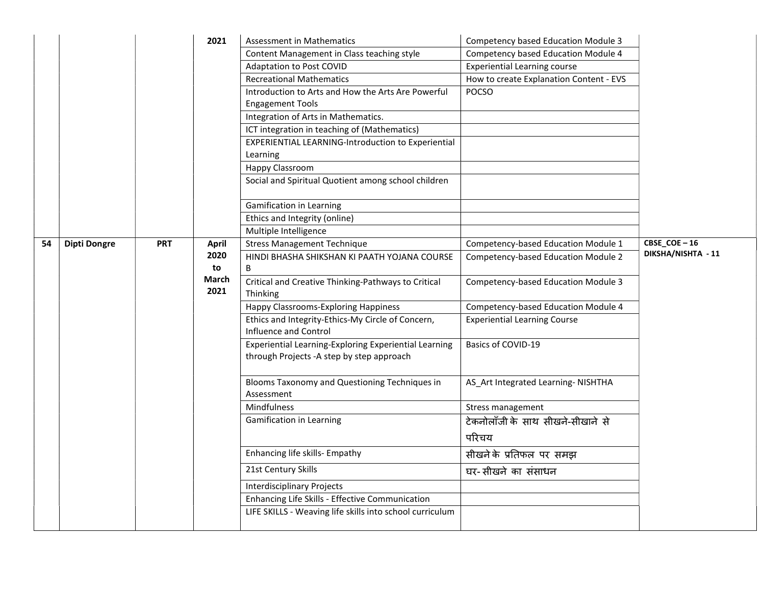|    |                     |            | 2021          | Assessment in Mathematics                                                                           | Competency based Education Module 3     |                                             |
|----|---------------------|------------|---------------|-----------------------------------------------------------------------------------------------------|-----------------------------------------|---------------------------------------------|
|    |                     |            |               | Content Management in Class teaching style                                                          | Competency based Education Module 4     |                                             |
|    |                     |            |               | <b>Adaptation to Post COVID</b>                                                                     | <b>Experiential Learning course</b>     |                                             |
|    |                     |            |               | <b>Recreational Mathematics</b>                                                                     | How to create Explanation Content - EVS |                                             |
|    |                     |            |               | Introduction to Arts and How the Arts Are Powerful                                                  | POCSO                                   |                                             |
|    |                     |            |               | <b>Engagement Tools</b>                                                                             |                                         |                                             |
|    |                     |            |               | Integration of Arts in Mathematics.                                                                 |                                         |                                             |
|    |                     |            |               | ICT integration in teaching of (Mathematics)                                                        |                                         |                                             |
|    |                     |            |               | <b>EXPERIENTIAL LEARNING-Introduction to Experiential</b>                                           |                                         |                                             |
|    |                     |            |               | Learning                                                                                            |                                         |                                             |
|    |                     |            |               | Happy Classroom                                                                                     |                                         |                                             |
|    |                     |            |               | Social and Spiritual Quotient among school children                                                 |                                         |                                             |
|    |                     |            |               | Gamification in Learning                                                                            |                                         |                                             |
|    |                     |            |               | Ethics and Integrity (online)                                                                       |                                         |                                             |
|    |                     |            |               | Multiple Intelligence                                                                               |                                         |                                             |
| 54 | <b>Dipti Dongre</b> | <b>PRT</b> | <b>April</b>  | <b>Stress Management Technique</b>                                                                  | Competency-based Education Module 1     | $CBSE$ <sup>-16</sup><br>DIKSHA/NISHTA - 11 |
|    |                     |            | 2020          | HINDI BHASHA SHIKSHAN KI PAATH YOJANA COURSE                                                        | Competency-based Education Module 2     |                                             |
|    |                     |            | to            | В                                                                                                   |                                         |                                             |
|    |                     |            | March<br>2021 | Critical and Creative Thinking-Pathways to Critical<br>Thinking                                     | Competency-based Education Module 3     |                                             |
|    |                     |            |               | <b>Happy Classrooms-Exploring Happiness</b>                                                         | Competency-based Education Module 4     |                                             |
|    |                     |            |               | Ethics and Integrity-Ethics-My Circle of Concern,<br>Influence and Control                          | <b>Experiential Learning Course</b>     |                                             |
|    |                     |            |               | Experiential Learning-Exploring Experiential Learning<br>through Projects - A step by step approach | Basics of COVID-19                      |                                             |
|    |                     |            |               | Blooms Taxonomy and Questioning Techniques in<br>Assessment                                         | AS_Art Integrated Learning- NISHTHA     |                                             |
|    |                     |            |               | Mindfulness                                                                                         | Stress management                       |                                             |
|    |                     |            |               | Gamification in Learning                                                                            | टेकनोलॉंजी के साथ सीखने-सीखाने से       |                                             |
|    |                     |            |               |                                                                                                     | परिचय                                   |                                             |
|    |                     |            |               | Enhancing life skills- Empathy                                                                      | सीखने के प्रतिफल पर समझ                 |                                             |
|    |                     |            |               | 21st Century Skills                                                                                 | घर-सीखने का संसाधन                      |                                             |
|    |                     |            |               | <b>Interdisciplinary Projects</b>                                                                   |                                         |                                             |
|    |                     |            |               | Enhancing Life Skills - Effective Communication                                                     |                                         |                                             |
|    |                     |            |               | LIFE SKILLS - Weaving life skills into school curriculum                                            |                                         |                                             |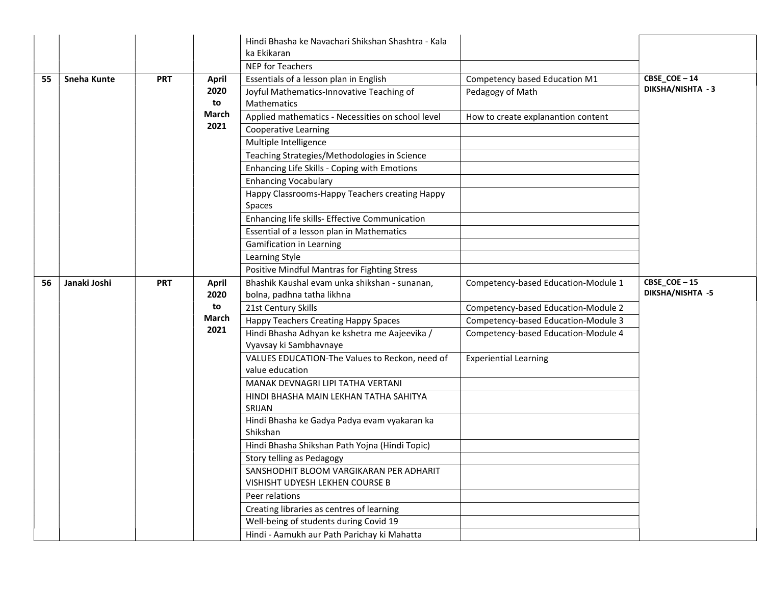|    |              |            |               | Hindi Bhasha ke Navachari Shikshan Shashtra - Kala<br>ka Ekikaran       |                                     |                   |
|----|--------------|------------|---------------|-------------------------------------------------------------------------|-------------------------------------|-------------------|
|    |              |            |               | <b>NEP for Teachers</b>                                                 |                                     |                   |
| 55 | Sneha Kunte  | <b>PRT</b> | <b>April</b>  | Essentials of a lesson plan in English                                  | Competency based Education M1       | CBSE_COE-14       |
|    |              |            | 2020<br>to    | Joyful Mathematics-Innovative Teaching of<br><b>Mathematics</b>         | Pedagogy of Math                    | DIKSHA/NISHTA - 3 |
|    |              |            | March         | Applied mathematics - Necessities on school level                       | How to create explanantion content  |                   |
|    |              |            | 2021          | <b>Cooperative Learning</b>                                             |                                     |                   |
|    |              |            |               | Multiple Intelligence                                                   |                                     |                   |
|    |              |            |               | Teaching Strategies/Methodologies in Science                            |                                     |                   |
|    |              |            |               | Enhancing Life Skills - Coping with Emotions                            |                                     |                   |
|    |              |            |               | <b>Enhancing Vocabulary</b>                                             |                                     |                   |
|    |              |            |               | Happy Classrooms-Happy Teachers creating Happy                          |                                     |                   |
|    |              |            |               | Spaces                                                                  |                                     |                   |
|    |              |            |               | Enhancing life skills- Effective Communication                          |                                     |                   |
|    |              |            |               | Essential of a lesson plan in Mathematics                               |                                     |                   |
|    |              |            |               | Gamification in Learning                                                |                                     |                   |
|    |              |            |               | Learning Style                                                          |                                     |                   |
|    |              |            |               | Positive Mindful Mantras for Fighting Stress                            |                                     |                   |
| 56 | Janaki Joshi | <b>PRT</b> | <b>April</b>  | Bhashik Kaushal evam unka shikshan - sunanan,                           | Competency-based Education-Module 1 | CBSE_COE-15       |
|    |              |            | 2020          | bolna, padhna tatha likhna                                              |                                     | DIKSHA/NISHTA -5  |
|    |              |            | to            | 21st Century Skills                                                     | Competency-based Education-Module 2 |                   |
|    |              |            | March<br>2021 | Happy Teachers Creating Happy Spaces                                    | Competency-based Education-Module 3 |                   |
|    |              |            |               | Hindi Bhasha Adhyan ke kshetra me Aajeevika /<br>Vyavsay ki Sambhavnaye | Competency-based Education-Module 4 |                   |
|    |              |            |               | VALUES EDUCATION-The Values to Reckon, need of                          | <b>Experiential Learning</b>        |                   |
|    |              |            |               | value education                                                         |                                     |                   |
|    |              |            |               | MANAK DEVNAGRI LIPI TATHA VERTANI                                       |                                     |                   |
|    |              |            |               | HINDI BHASHA MAIN LEKHAN TATHA SAHITYA<br>SRIJAN                        |                                     |                   |
|    |              |            |               | Hindi Bhasha ke Gadya Padya evam vyakaran ka                            |                                     |                   |
|    |              |            |               | Shikshan                                                                |                                     |                   |
|    |              |            |               | Hindi Bhasha Shikshan Path Yojna (Hindi Topic)                          |                                     |                   |
|    |              |            |               | Story telling as Pedagogy                                               |                                     |                   |
|    |              |            |               | SANSHODHIT BLOOM VARGIKARAN PER ADHARIT                                 |                                     |                   |
|    |              |            |               | VISHISHT UDYESH LEKHEN COURSE B                                         |                                     |                   |
|    |              |            |               | Peer relations                                                          |                                     |                   |
|    |              |            |               | Creating libraries as centres of learning                               |                                     |                   |
|    |              |            |               | Well-being of students during Covid 19                                  |                                     |                   |
|    |              |            |               | Hindi - Aamukh aur Path Parichay ki Mahatta                             |                                     |                   |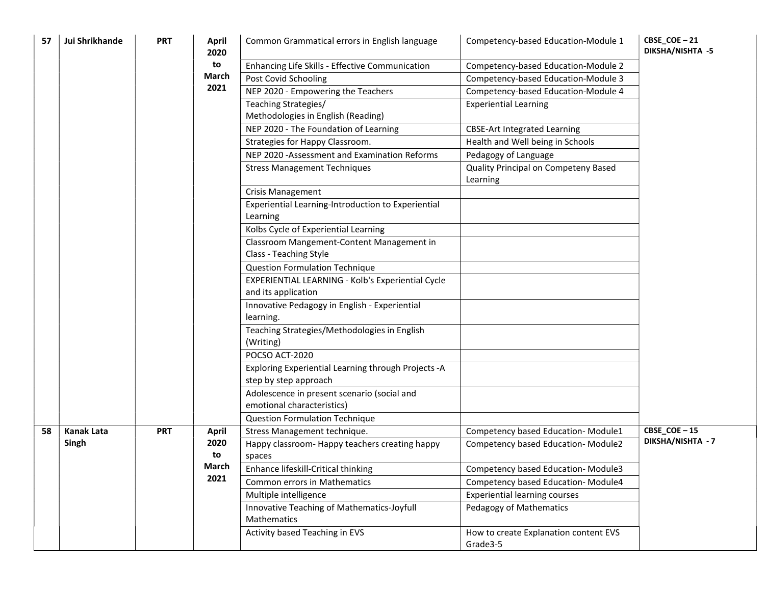| 57 | Jui Shrikhande    | <b>PRT</b> | April<br>2020 | Common Grammatical errors in English language                                | Competency-based Education-Module 1               | CBSE_COE-21<br>DIKSHA/NISHTA -5 |
|----|-------------------|------------|---------------|------------------------------------------------------------------------------|---------------------------------------------------|---------------------------------|
|    |                   |            | to            | Enhancing Life Skills - Effective Communication                              | Competency-based Education-Module 2               |                                 |
|    |                   |            | March         | Post Covid Schooling                                                         | Competency-based Education-Module 3               |                                 |
|    |                   |            | 2021          | NEP 2020 - Empowering the Teachers                                           | Competency-based Education-Module 4               |                                 |
|    |                   |            |               | Teaching Strategies/<br>Methodologies in English (Reading)                   | <b>Experiential Learning</b>                      |                                 |
|    |                   |            |               | NEP 2020 - The Foundation of Learning                                        | <b>CBSE-Art Integrated Learning</b>               |                                 |
|    |                   |            |               | Strategies for Happy Classroom.                                              | Health and Well being in Schools                  |                                 |
|    |                   |            |               | NEP 2020 - Assessment and Examination Reforms                                | Pedagogy of Language                              |                                 |
|    |                   |            |               | <b>Stress Management Techniques</b>                                          | Quality Principal on Competeny Based<br>Learning  |                                 |
|    |                   |            |               | <b>Crisis Management</b>                                                     |                                                   |                                 |
|    |                   |            |               | Experiential Learning-Introduction to Experiential<br>Learning               |                                                   |                                 |
|    |                   |            |               | Kolbs Cycle of Experiential Learning                                         |                                                   |                                 |
|    |                   |            |               | Classroom Mangement-Content Management in                                    |                                                   |                                 |
|    |                   |            |               | Class - Teaching Style                                                       |                                                   |                                 |
|    |                   |            |               | <b>Question Formulation Technique</b>                                        |                                                   |                                 |
|    |                   |            |               | EXPERIENTIAL LEARNING - Kolb's Experiential Cycle                            |                                                   |                                 |
|    |                   |            |               | and its application                                                          |                                                   |                                 |
|    |                   |            |               | Innovative Pedagogy in English - Experiential                                |                                                   |                                 |
|    |                   |            |               | learning.                                                                    |                                                   |                                 |
|    |                   |            |               | Teaching Strategies/Methodologies in English<br>(Writing)                    |                                                   |                                 |
|    |                   |            |               | POCSO ACT-2020                                                               |                                                   |                                 |
|    |                   |            |               | Exploring Experiential Learning through Projects -A<br>step by step approach |                                                   |                                 |
|    |                   |            |               | Adolescence in present scenario (social and<br>emotional characteristics)    |                                                   |                                 |
|    |                   |            |               | Question Formulation Technique                                               |                                                   |                                 |
| 58 | <b>Kanak Lata</b> | <b>PRT</b> | <b>April</b>  | Stress Management technique.                                                 | Competency based Education-Module1                | CBSE_COE-15                     |
|    | Singh             |            | 2020<br>to    | Happy classroom- Happy teachers creating happy<br>spaces                     | Competency based Education-Module2                | DIKSHA/NISHTA - 7               |
|    |                   |            | March         | Enhance lifeskill-Critical thinking                                          | Competency based Education-Module3                |                                 |
|    |                   |            | 2021          | Common errors in Mathematics                                                 | Competency based Education-Module4                |                                 |
|    |                   |            |               | Multiple intelligence                                                        | <b>Experiential learning courses</b>              |                                 |
|    |                   |            |               | Innovative Teaching of Mathematics-Joyfull<br>Mathematics                    | Pedagogy of Mathematics                           |                                 |
|    |                   |            |               | Activity based Teaching in EVS                                               | How to create Explanation content EVS<br>Grade3-5 |                                 |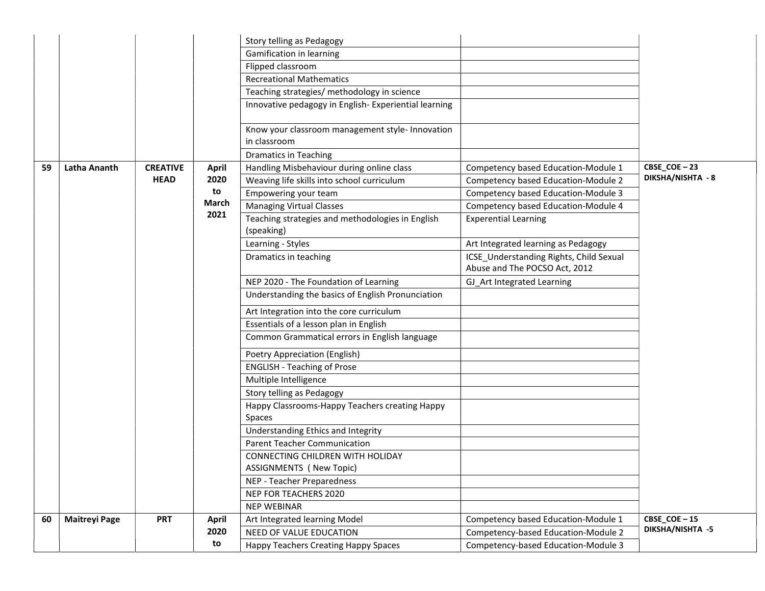|    |                      |                 |              | Story telling as Pedagogy                            |                                         |                   |
|----|----------------------|-----------------|--------------|------------------------------------------------------|-----------------------------------------|-------------------|
|    |                      |                 |              | Gamification in learning                             |                                         |                   |
|    |                      |                 |              | Flipped classroom                                    |                                         |                   |
|    |                      |                 |              | <b>Recreational Mathematics</b>                      |                                         |                   |
|    |                      |                 |              | Teaching strategies/ methodology in science          |                                         |                   |
|    |                      |                 |              | Innovative pedagogy in English-Experiential learning |                                         |                   |
|    |                      |                 |              |                                                      |                                         |                   |
|    |                      |                 |              | Know your classroom management style- Innovation     |                                         |                   |
|    |                      |                 |              | in classroom                                         |                                         |                   |
|    |                      |                 |              | <b>Dramatics in Teaching</b>                         |                                         |                   |
| 59 | Latha Ananth         | <b>CREATIVE</b> | <b>April</b> | Handling Misbehaviour during online class            | Competency based Education-Module 1     | CBSE_COE-23       |
|    |                      | <b>HEAD</b>     | 2020         | Weaving life skills into school curriculum           | Competency based Education-Module 2     | DIKSHA/NISHTA - 8 |
|    |                      |                 | to           | Empowering your team                                 | Competency based Education-Module 3     |                   |
|    |                      |                 | March        | <b>Managing Virtual Classes</b>                      | Competency based Education-Module 4     |                   |
|    |                      |                 | 2021         | Teaching strategies and methodologies in English     | <b>Experential Learning</b>             |                   |
|    |                      |                 |              | (speaking)                                           |                                         |                   |
|    |                      |                 |              | Learning - Styles                                    | Art Integrated learning as Pedagogy     |                   |
|    |                      |                 |              | Dramatics in teaching                                | ICSE_Understanding Rights, Child Sexual |                   |
|    |                      |                 |              |                                                      | Abuse and The POCSO Act, 2012           |                   |
|    |                      |                 |              | NEP 2020 - The Foundation of Learning                | GJ_Art Integrated Learning              |                   |
|    |                      |                 |              | Understanding the basics of English Pronunciation    |                                         |                   |
|    |                      |                 |              | Art Integration into the core curriculum             |                                         |                   |
|    |                      |                 |              | Essentials of a lesson plan in English               |                                         |                   |
|    |                      |                 |              | Common Grammatical errors in English language        |                                         |                   |
|    |                      |                 |              | Poetry Appreciation (English)                        |                                         |                   |
|    |                      |                 |              | <b>ENGLISH - Teaching of Prose</b>                   |                                         |                   |
|    |                      |                 |              | Multiple Intelligence                                |                                         |                   |
|    |                      |                 |              | Story telling as Pedagogy                            |                                         |                   |
|    |                      |                 |              | Happy Classrooms-Happy Teachers creating Happy       |                                         |                   |
|    |                      |                 |              | Spaces                                               |                                         |                   |
|    |                      |                 |              | Understanding Ethics and Integrity                   |                                         |                   |
|    |                      |                 |              | Parent Teacher Communication                         |                                         |                   |
|    |                      |                 |              | CONNECTING CHILDREN WITH HOLIDAY                     |                                         |                   |
|    |                      |                 |              | <b>ASSIGNMENTS (New Topic)</b>                       |                                         |                   |
|    |                      |                 |              | NEP - Teacher Preparedness                           |                                         |                   |
|    |                      |                 |              | NEP FOR TEACHERS 2020                                |                                         |                   |
|    |                      |                 |              | <b>NEP WEBINAR</b>                                   |                                         |                   |
| 60 | <b>Maitreyi Page</b> | <b>PRT</b>      | <b>April</b> | Art Integrated learning Model                        | Competency based Education-Module 1     | CBSE_COE-15       |
|    |                      |                 | 2020         | NEED OF VALUE EDUCATION                              | Competency-based Education-Module 2     | DIKSHA/NISHTA -5  |
|    |                      |                 | to           | Happy Teachers Creating Happy Spaces                 | Competency-based Education-Module 3     |                   |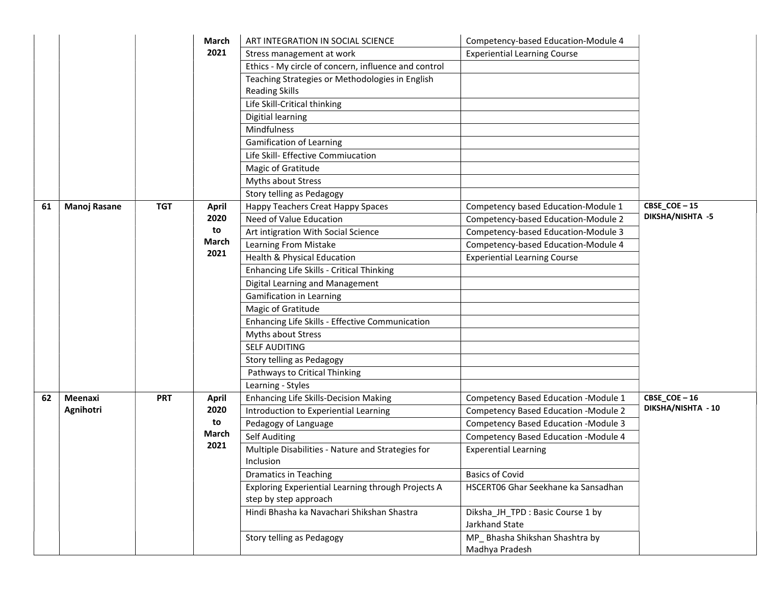|    |                     |            | March        | ART INTEGRATION IN SOCIAL SCIENCE                                        | Competency-based Education-Module 4                |                    |
|----|---------------------|------------|--------------|--------------------------------------------------------------------------|----------------------------------------------------|--------------------|
|    |                     |            | 2021         | Stress management at work                                                | <b>Experiential Learning Course</b>                |                    |
|    |                     |            |              | Ethics - My circle of concern, influence and control                     |                                                    |                    |
|    |                     |            |              | Teaching Strategies or Methodologies in English<br><b>Reading Skills</b> |                                                    |                    |
|    |                     |            |              | Life Skill-Critical thinking                                             |                                                    |                    |
|    |                     |            |              | Digitial learning                                                        |                                                    |                    |
|    |                     |            |              | Mindfulness                                                              |                                                    |                    |
|    |                     |            |              | <b>Gamification of Learning</b>                                          |                                                    |                    |
|    |                     |            |              | Life Skill- Effective Commiucation                                       |                                                    |                    |
|    |                     |            |              | Magic of Gratitude                                                       |                                                    |                    |
|    |                     |            |              | Myths about Stress                                                       |                                                    |                    |
|    |                     |            |              | Story telling as Pedagogy                                                |                                                    |                    |
| 61 | <b>Manoj Rasane</b> | <b>TGT</b> | <b>April</b> | Happy Teachers Creat Happy Spaces                                        | Competency based Education-Module 1                | CBSE_COE-15        |
|    |                     |            | 2020         | Need of Value Education                                                  | Competency-based Education-Module 2                | DIKSHA/NISHTA -5   |
|    |                     |            | to           | Art intigration With Social Science                                      | Competency-based Education-Module 3                |                    |
|    |                     |            | March        | Learning From Mistake                                                    | Competency-based Education-Module 4                |                    |
|    |                     |            | 2021         | <b>Health &amp; Physical Education</b>                                   | <b>Experiential Learning Course</b>                |                    |
|    |                     |            |              | Enhancing Life Skills - Critical Thinking                                |                                                    |                    |
|    |                     |            |              | Digital Learning and Management                                          |                                                    |                    |
|    |                     |            |              | Gamification in Learning                                                 |                                                    |                    |
|    |                     |            |              | Magic of Gratitude                                                       |                                                    |                    |
|    |                     |            |              | Enhancing Life Skills - Effective Communication                          |                                                    |                    |
|    |                     |            |              | Myths about Stress                                                       |                                                    |                    |
|    |                     |            |              | <b>SELF AUDITING</b>                                                     |                                                    |                    |
|    |                     |            |              | Story telling as Pedagogy                                                |                                                    |                    |
|    |                     |            |              | Pathways to Critical Thinking                                            |                                                    |                    |
|    |                     |            |              | Learning - Styles                                                        |                                                    |                    |
| 62 | Meenaxi             | <b>PRT</b> | <b>April</b> | Enhancing Life Skills-Decision Making                                    | Competency Based Education - Module 1              | CBSE_COE-16        |
|    | Agnihotri           |            | 2020         | Introduction to Experiential Learning                                    | <b>Competency Based Education -Module 2</b>        | DIKSHA/NISHTA - 10 |
|    |                     |            | to           | Pedagogy of Language                                                     | Competency Based Education - Module 3              |                    |
|    |                     |            | March        | <b>Self Auditing</b>                                                     | Competency Based Education - Module 4              |                    |
|    |                     |            | 2021         | Multiple Disabilities - Nature and Strategies for<br>Inclusion           | <b>Experential Learning</b>                        |                    |
|    |                     |            |              | <b>Dramatics in Teaching</b>                                             | <b>Basics of Covid</b>                             |                    |
|    |                     |            |              | Exploring Experiential Learning through Projects A                       | HSCERT06 Ghar Seekhane ka Sansadhan                |                    |
|    |                     |            |              | step by step approach                                                    |                                                    |                    |
|    |                     |            |              | Hindi Bhasha ka Navachari Shikshan Shastra                               | Diksha_JH_TPD: Basic Course 1 by<br>Jarkhand State |                    |
|    |                     |            |              | Story telling as Pedagogy                                                | MP_Bhasha Shikshan Shashtra by<br>Madhya Pradesh   |                    |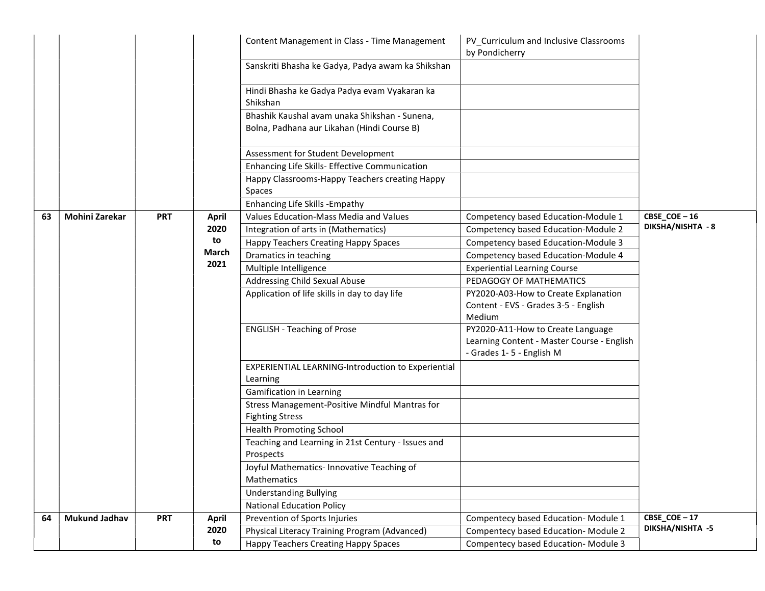|    |                      |            |              | Content Management in Class - Time Management                            | PV Curriculum and Inclusive Classrooms<br>by Pondicherry                                                    |                                |
|----|----------------------|------------|--------------|--------------------------------------------------------------------------|-------------------------------------------------------------------------------------------------------------|--------------------------------|
|    |                      |            |              | Sanskriti Bhasha ke Gadya, Padya awam ka Shikshan                        |                                                                                                             |                                |
|    |                      |            |              | Hindi Bhasha ke Gadya Padya evam Vyakaran ka<br>Shikshan                 |                                                                                                             |                                |
|    |                      |            |              | Bhashik Kaushal avam unaka Shikshan - Sunena,                            |                                                                                                             |                                |
|    |                      |            |              | Bolna, Padhana aur Likahan (Hindi Course B)                              |                                                                                                             |                                |
|    |                      |            |              | Assessment for Student Development                                       |                                                                                                             |                                |
|    |                      |            |              | Enhancing Life Skills- Effective Communication                           |                                                                                                             |                                |
|    |                      |            |              | Happy Classrooms-Happy Teachers creating Happy                           |                                                                                                             |                                |
|    |                      |            |              | Spaces                                                                   |                                                                                                             |                                |
|    |                      |            |              | Enhancing Life Skills - Empathy                                          |                                                                                                             |                                |
| 63 | Mohini Zarekar       | <b>PRT</b> | <b>April</b> | Values Education-Mass Media and Values                                   | Competency based Education-Module 1                                                                         | $CBSE$ <sub>_</sub> $COE - 16$ |
|    |                      |            | 2020         | Integration of arts in (Mathematics)                                     | Competency based Education-Module 2                                                                         | <b>DIKSHA/NISHTA - 8</b>       |
|    |                      |            | to           | Happy Teachers Creating Happy Spaces                                     | Competency based Education-Module 3                                                                         |                                |
|    |                      |            | March        | Dramatics in teaching                                                    | Competency based Education-Module 4                                                                         |                                |
|    |                      |            | 2021         | Multiple Intelligence                                                    | <b>Experiential Learning Course</b>                                                                         |                                |
|    |                      |            |              | <b>Addressing Child Sexual Abuse</b>                                     | PEDAGOGY OF MATHEMATICS                                                                                     |                                |
|    |                      |            |              | Application of life skills in day to day life                            | PY2020-A03-How to Create Explanation<br>Content - EVS - Grades 3-5 - English<br>Medium                      |                                |
|    |                      |            |              | <b>ENGLISH - Teaching of Prose</b>                                       | PY2020-A11-How to Create Language<br>Learning Content - Master Course - English<br>- Grades 1-5 - English M |                                |
|    |                      |            |              | <b>EXPERIENTIAL LEARNING-Introduction to Experiential</b><br>Learning    |                                                                                                             |                                |
|    |                      |            |              | Gamification in Learning                                                 |                                                                                                             |                                |
|    |                      |            |              | Stress Management-Positive Mindful Mantras for<br><b>Fighting Stress</b> |                                                                                                             |                                |
|    |                      |            |              | <b>Health Promoting School</b>                                           |                                                                                                             |                                |
|    |                      |            |              | Teaching and Learning in 21st Century - Issues and<br>Prospects          |                                                                                                             |                                |
|    |                      |            |              | Joyful Mathematics- Innovative Teaching of<br>Mathematics                |                                                                                                             |                                |
|    |                      |            |              | <b>Understanding Bullying</b>                                            |                                                                                                             |                                |
|    |                      |            |              | <b>National Education Policy</b>                                         |                                                                                                             |                                |
| 64 | <b>Mukund Jadhav</b> | <b>PRT</b> | <b>April</b> | Prevention of Sports Injuries                                            | Compentecy based Education-Module 1                                                                         | CBSE COE-17                    |
|    |                      |            | 2020         | Physical Literacy Training Program (Advanced)                            | Compentecy based Education-Module 2                                                                         | DIKSHA/NISHTA -5               |
|    |                      |            | to           | <b>Happy Teachers Creating Happy Spaces</b>                              | Compentecy based Education-Module 3                                                                         |                                |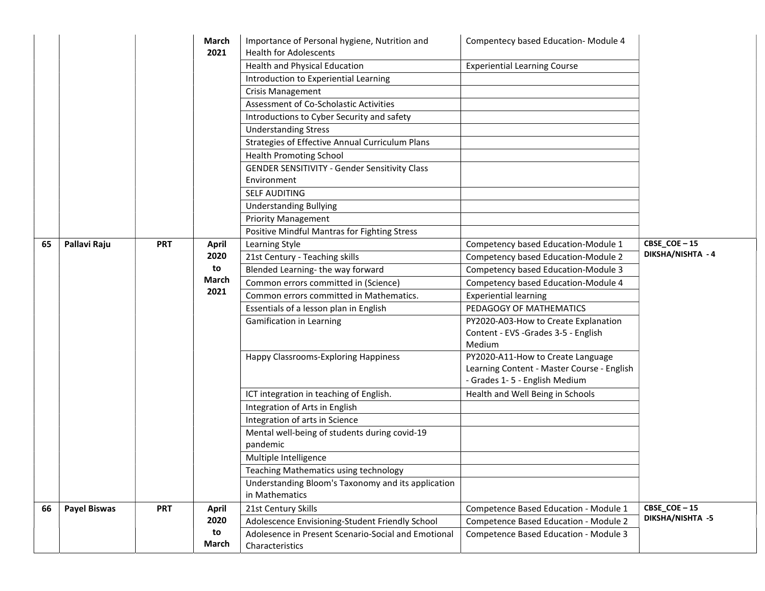|    |                     |            | March<br>2021 | Importance of Personal hygiene, Nutrition and<br><b>Health for Adolescents</b> | Compentecy based Education-Module 4        |                                 |
|----|---------------------|------------|---------------|--------------------------------------------------------------------------------|--------------------------------------------|---------------------------------|
|    |                     |            |               | Health and Physical Education                                                  | <b>Experiential Learning Course</b>        |                                 |
|    |                     |            |               |                                                                                |                                            |                                 |
|    |                     |            |               | Introduction to Experiential Learning                                          |                                            |                                 |
|    |                     |            |               | <b>Crisis Management</b>                                                       |                                            |                                 |
|    |                     |            |               | Assessment of Co-Scholastic Activities                                         |                                            |                                 |
|    |                     |            |               | Introductions to Cyber Security and safety                                     |                                            |                                 |
|    |                     |            |               | <b>Understanding Stress</b>                                                    |                                            |                                 |
|    |                     |            |               | Strategies of Effective Annual Curriculum Plans                                |                                            |                                 |
|    |                     |            |               | <b>Health Promoting School</b>                                                 |                                            |                                 |
|    |                     |            |               | <b>GENDER SENSITIVITY - Gender Sensitivity Class</b>                           |                                            |                                 |
|    |                     |            |               | Environment                                                                    |                                            |                                 |
|    |                     |            |               | <b>SELF AUDITING</b>                                                           |                                            |                                 |
|    |                     |            |               | <b>Understanding Bullying</b>                                                  |                                            |                                 |
|    |                     |            |               | <b>Priority Management</b>                                                     |                                            |                                 |
|    |                     |            |               | Positive Mindful Mantras for Fighting Stress                                   |                                            |                                 |
| 65 | Pallavi Raju        | <b>PRT</b> | <b>April</b>  | Learning Style                                                                 | Competency based Education-Module 1        | CBSE_COE-15                     |
|    |                     |            | 2020          | 21st Century - Teaching skills                                                 | Competency based Education-Module 2        | DIKSHA/NISHTA - 4               |
|    |                     |            | to            | Blended Learning-the way forward                                               | Competency based Education-Module 3        |                                 |
|    |                     |            | March         | Common errors committed in (Science)                                           | Competency based Education-Module 4        |                                 |
|    |                     |            | 2021          | Common errors committed in Mathematics.                                        | <b>Experiential learning</b>               |                                 |
|    |                     |            |               | Essentials of a lesson plan in English                                         | PEDAGOGY OF MATHEMATICS                    |                                 |
|    |                     |            |               | <b>Gamification in Learning</b>                                                | PY2020-A03-How to Create Explanation       |                                 |
|    |                     |            |               |                                                                                | Content - EVS - Grades 3-5 - English       |                                 |
|    |                     |            |               |                                                                                | Medium                                     |                                 |
|    |                     |            |               | Happy Classrooms-Exploring Happiness                                           | PY2020-A11-How to Create Language          |                                 |
|    |                     |            |               |                                                                                | Learning Content - Master Course - English |                                 |
|    |                     |            |               |                                                                                | - Grades 1-5 - English Medium              |                                 |
|    |                     |            |               | ICT integration in teaching of English.                                        | Health and Well Being in Schools           |                                 |
|    |                     |            |               | Integration of Arts in English                                                 |                                            |                                 |
|    |                     |            |               | Integration of arts in Science                                                 |                                            |                                 |
|    |                     |            |               | Mental well-being of students during covid-19                                  |                                            |                                 |
|    |                     |            |               | pandemic                                                                       |                                            |                                 |
|    |                     |            |               | Multiple Intelligence                                                          |                                            |                                 |
|    |                     |            |               | Teaching Mathematics using technology                                          |                                            |                                 |
|    |                     |            |               | Understanding Bloom's Taxonomy and its application                             |                                            |                                 |
|    |                     |            |               | in Mathematics                                                                 |                                            |                                 |
| 66 | <b>Payel Biswas</b> | <b>PRT</b> | <b>April</b>  | 21st Century Skills                                                            | Competence Based Education - Module 1      | CBSE_COE-15<br>DIKSHA/NISHTA -5 |
|    |                     |            | 2020          | Adolescence Envisioning-Student Friendly School                                | Competence Based Education - Module 2      |                                 |
|    |                     |            | to<br>March   | Adolesence in Present Scenario-Social and Emotional<br>Characteristics         | Competence Based Education - Module 3      |                                 |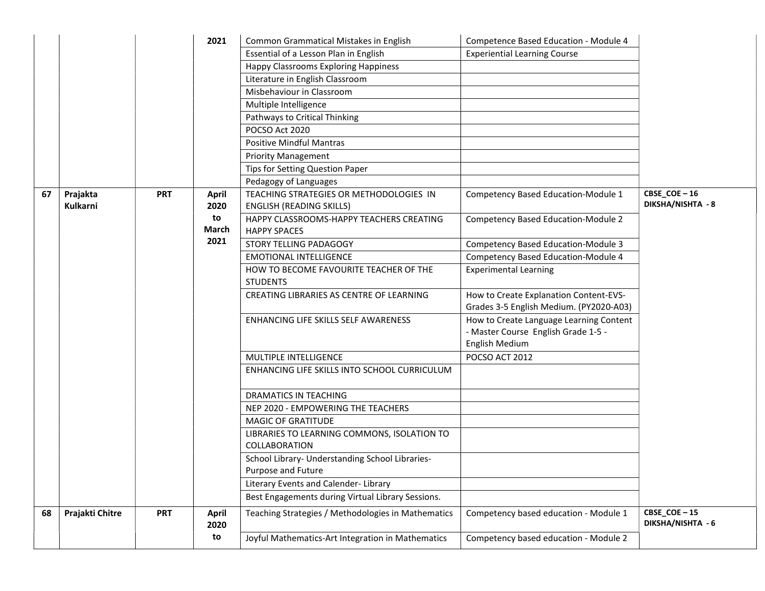|    |                 |            | 2021                 | Common Grammatical Mistakes in English                          | Competence Based Education - Module 4                                                            |                                  |
|----|-----------------|------------|----------------------|-----------------------------------------------------------------|--------------------------------------------------------------------------------------------------|----------------------------------|
|    |                 |            |                      | Essential of a Lesson Plan in English                           | <b>Experiential Learning Course</b>                                                              |                                  |
|    |                 |            |                      | Happy Classrooms Exploring Happiness                            |                                                                                                  |                                  |
|    |                 |            |                      | Literature in English Classroom                                 |                                                                                                  |                                  |
|    |                 |            |                      | Misbehaviour in Classroom                                       |                                                                                                  |                                  |
|    |                 |            |                      | Multiple Intelligence                                           |                                                                                                  |                                  |
|    |                 |            |                      | Pathways to Critical Thinking                                   |                                                                                                  |                                  |
|    |                 |            |                      | POCSO Act 2020                                                  |                                                                                                  |                                  |
|    |                 |            |                      | <b>Positive Mindful Mantras</b>                                 |                                                                                                  |                                  |
|    |                 |            |                      | <b>Priority Management</b>                                      |                                                                                                  |                                  |
|    |                 |            |                      | Tips for Setting Question Paper                                 |                                                                                                  |                                  |
|    |                 |            |                      | Pedagogy of Languages                                           |                                                                                                  |                                  |
| 67 | Prajakta        | <b>PRT</b> | <b>April</b>         | TEACHING STRATEGIES OR METHODOLOGIES IN                         | Competency Based Education-Module 1                                                              | $CBSE$ <sub>COE</sub> $-16$      |
|    | <b>Kulkarni</b> |            | 2020                 | <b>ENGLISH (READING SKILLS)</b>                                 |                                                                                                  | DIKSHA/NISHTA - 8                |
|    |                 |            | to<br><b>March</b>   | HAPPY CLASSROOMS-HAPPY TEACHERS CREATING<br><b>HAPPY SPACES</b> | <b>Competency Based Education-Module 2</b>                                                       |                                  |
|    |                 |            | 2021                 | STORY TELLING PADAGOGY                                          | Competency Based Education-Module 3                                                              |                                  |
|    |                 |            |                      | <b>EMOTIONAL INTELLIGENCE</b>                                   | Competency Based Education-Module 4                                                              |                                  |
|    |                 |            |                      | HOW TO BECOME FAVOURITE TEACHER OF THE<br><b>STUDENTS</b>       | <b>Experimental Learning</b>                                                                     |                                  |
|    |                 |            |                      | CREATING LIBRARIES AS CENTRE OF LEARNING                        | How to Create Explanation Content-EVS-<br>Grades 3-5 English Medium. (PY2020-A03)                |                                  |
|    |                 |            |                      | ENHANCING LIFE SKILLS SELF AWARENESS                            | How to Create Language Learning Content<br>- Master Course English Grade 1-5 -<br>English Medium |                                  |
|    |                 |            |                      | MULTIPLE INTELLIGENCE                                           | POCSO ACT 2012                                                                                   |                                  |
|    |                 |            |                      | ENHANCING LIFE SKILLS INTO SCHOOL CURRICULUM                    |                                                                                                  |                                  |
|    |                 |            |                      | DRAMATICS IN TEACHING                                           |                                                                                                  |                                  |
|    |                 |            |                      | NEP 2020 - EMPOWERING THE TEACHERS                              |                                                                                                  |                                  |
|    |                 |            |                      | <b>MAGIC OF GRATITUDE</b>                                       |                                                                                                  |                                  |
|    |                 |            |                      | LIBRARIES TO LEARNING COMMONS, ISOLATION TO<br>COLLABORATION    |                                                                                                  |                                  |
|    |                 |            |                      | School Library- Understanding School Libraries-                 |                                                                                                  |                                  |
|    |                 |            |                      | Purpose and Future                                              |                                                                                                  |                                  |
|    |                 |            |                      | Literary Events and Calender-Library                            |                                                                                                  |                                  |
|    |                 |            |                      | Best Engagements during Virtual Library Sessions.               |                                                                                                  |                                  |
| 68 | Prajakti Chitre | <b>PRT</b> | <b>April</b><br>2020 | Teaching Strategies / Methodologies in Mathematics              | Competency based education - Module 1                                                            | CBSE_COE-15<br>DIKSHA/NISHTA - 6 |
|    |                 |            | to                   | Joyful Mathematics-Art Integration in Mathematics               | Competency based education - Module 2                                                            |                                  |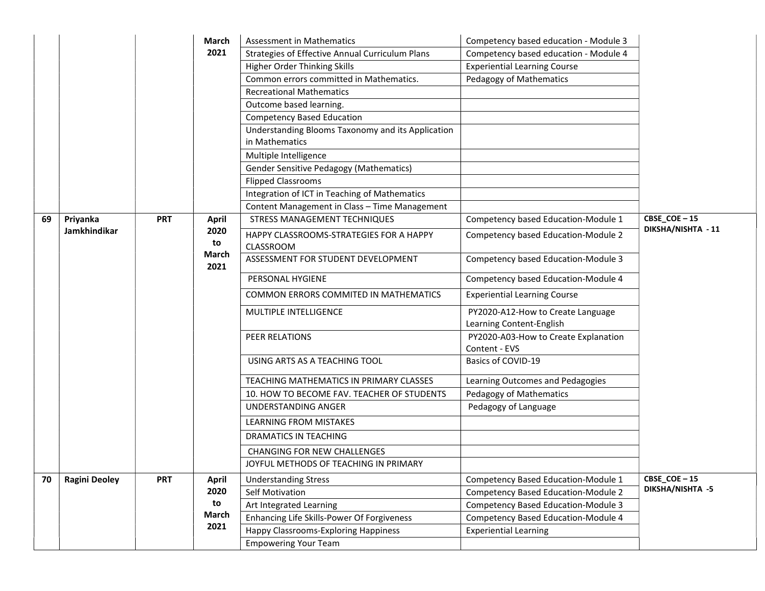|    |                      |            | March         | Assessment in Mathematics                                           | Competency based education - Module 3                         |                    |
|----|----------------------|------------|---------------|---------------------------------------------------------------------|---------------------------------------------------------------|--------------------|
|    |                      |            | 2021          | Strategies of Effective Annual Curriculum Plans                     | Competency based education - Module 4                         |                    |
|    |                      |            |               | Higher Order Thinking Skills                                        | <b>Experiential Learning Course</b>                           |                    |
|    |                      |            |               | Common errors committed in Mathematics.                             | Pedagogy of Mathematics                                       |                    |
|    |                      |            |               | <b>Recreational Mathematics</b>                                     |                                                               |                    |
|    |                      |            |               | Outcome based learning.                                             |                                                               |                    |
|    |                      |            |               | <b>Competency Based Education</b>                                   |                                                               |                    |
|    |                      |            |               | Understanding Blooms Taxonomy and its Application<br>in Mathematics |                                                               |                    |
|    |                      |            |               | Multiple Intelligence                                               |                                                               |                    |
|    |                      |            |               | <b>Gender Sensitive Pedagogy (Mathematics)</b>                      |                                                               |                    |
|    |                      |            |               | <b>Flipped Classrooms</b>                                           |                                                               |                    |
|    |                      |            |               | Integration of ICT in Teaching of Mathematics                       |                                                               |                    |
|    |                      |            |               | Content Management in Class - Time Management                       |                                                               |                    |
| 69 | Priyanka             | <b>PRT</b> | <b>April</b>  | STRESS MANAGEMENT TECHNIQUES                                        | Competency based Education-Module 1                           | CBSE_COE-15        |
|    | <b>Jamkhindikar</b>  |            | 2020<br>to    | HAPPY CLASSROOMS-STRATEGIES FOR A HAPPY                             | Competency based Education-Module 2                           | DIKSHA/NISHTA - 11 |
|    |                      |            |               | CLASSROOM                                                           |                                                               |                    |
|    |                      |            | March<br>2021 | ASSESSMENT FOR STUDENT DEVELOPMENT                                  | Competency based Education-Module 3                           |                    |
|    |                      |            |               | PERSONAL HYGIENE                                                    | Competency based Education-Module 4                           |                    |
|    |                      |            |               | COMMON ERRORS COMMITED IN MATHEMATICS                               | <b>Experiential Learning Course</b>                           |                    |
|    |                      |            |               | MULTIPLE INTELLIGENCE                                               | PY2020-A12-How to Create Language<br>Learning Content-English |                    |
|    |                      |            |               | PEER RELATIONS                                                      | PY2020-A03-How to Create Explanation<br>Content - EVS         |                    |
|    |                      |            |               | USING ARTS AS A TEACHING TOOL                                       | Basics of COVID-19                                            |                    |
|    |                      |            |               | TEACHING MATHEMATICS IN PRIMARY CLASSES                             | Learning Outcomes and Pedagogies                              |                    |
|    |                      |            |               | 10. HOW TO BECOME FAV. TEACHER OF STUDENTS                          | Pedagogy of Mathematics                                       |                    |
|    |                      |            |               | UNDERSTANDING ANGER                                                 | Pedagogy of Language                                          |                    |
|    |                      |            |               | LEARNING FROM MISTAKES                                              |                                                               |                    |
|    |                      |            |               | <b>DRAMATICS IN TEACHING</b>                                        |                                                               |                    |
|    |                      |            |               | <b>CHANGING FOR NEW CHALLENGES</b>                                  |                                                               |                    |
|    |                      |            |               | JOYFUL METHODS OF TEACHING IN PRIMARY                               |                                                               |                    |
| 70 | <b>Ragini Deoley</b> | <b>PRT</b> | <b>April</b>  | <b>Understanding Stress</b>                                         | Competency Based Education-Module 1                           | CBSE_COE-15        |
|    |                      |            | 2020          | Self Motivation                                                     | <b>Competency Based Education-Module 2</b>                    | DIKSHA/NISHTA -5   |
|    |                      |            | to            | Art Integrated Learning                                             | Competency Based Education-Module 3                           |                    |
|    |                      |            | March         | Enhancing Life Skills-Power Of Forgiveness                          | Competency Based Education-Module 4                           |                    |
|    |                      |            | 2021          | Happy Classrooms-Exploring Happiness                                | <b>Experiential Learning</b>                                  |                    |
|    |                      |            |               | <b>Empowering Your Team</b>                                         |                                                               |                    |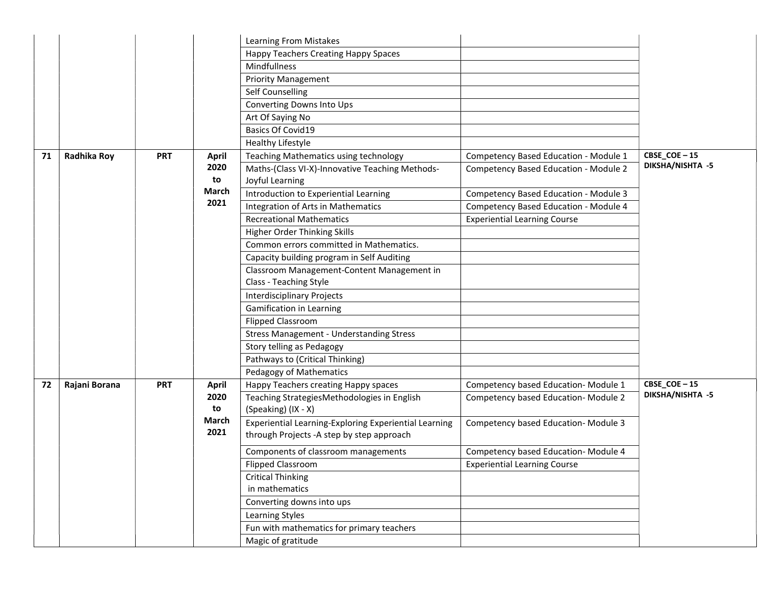|    |               |            |              | Learning From Mistakes                                |                                       |                  |
|----|---------------|------------|--------------|-------------------------------------------------------|---------------------------------------|------------------|
|    |               |            |              | Happy Teachers Creating Happy Spaces                  |                                       |                  |
|    |               |            |              | Mindfullness                                          |                                       |                  |
|    |               |            |              | <b>Priority Management</b>                            |                                       |                  |
|    |               |            |              | Self Counselling                                      |                                       |                  |
|    |               |            |              | Converting Downs Into Ups                             |                                       |                  |
|    |               |            |              | Art Of Saying No                                      |                                       |                  |
|    |               |            |              | <b>Basics Of Covid19</b>                              |                                       |                  |
|    |               |            |              | Healthy Lifestyle                                     |                                       |                  |
| 71 | Radhika Roy   | <b>PRT</b> | <b>April</b> | Teaching Mathematics using technology                 | Competency Based Education - Module 1 | CBSE_COE-15      |
|    |               |            | 2020         | Maths-(Class VI-X)-Innovative Teaching Methods-       | Competency Based Education - Module 2 | DIKSHA/NISHTA -5 |
|    |               |            | to           | Joyful Learning                                       |                                       |                  |
|    |               |            | March        | Introduction to Experiential Learning                 | Competency Based Education - Module 3 |                  |
|    |               |            | 2021         | Integration of Arts in Mathematics                    | Competency Based Education - Module 4 |                  |
|    |               |            |              | <b>Recreational Mathematics</b>                       | <b>Experiential Learning Course</b>   |                  |
|    |               |            |              | Higher Order Thinking Skills                          |                                       |                  |
|    |               |            |              | Common errors committed in Mathematics.               |                                       |                  |
|    |               |            |              | Capacity building program in Self Auditing            |                                       |                  |
|    |               |            |              | Classroom Management-Content Management in            |                                       |                  |
|    |               |            |              | Class - Teaching Style                                |                                       |                  |
|    |               |            |              | <b>Interdisciplinary Projects</b>                     |                                       |                  |
|    |               |            |              | <b>Gamification in Learning</b>                       |                                       |                  |
|    |               |            |              | <b>Flipped Classroom</b>                              |                                       |                  |
|    |               |            |              | <b>Stress Management - Understanding Stress</b>       |                                       |                  |
|    |               |            |              | Story telling as Pedagogy                             |                                       |                  |
|    |               |            |              | Pathways to (Critical Thinking)                       |                                       |                  |
|    |               |            |              | Pedagogy of Mathematics                               |                                       |                  |
| 72 | Rajani Borana | <b>PRT</b> | <b>April</b> | Happy Teachers creating Happy spaces                  | Competency based Education-Module 1   | CBSE_COE-15      |
|    |               |            | 2020         | Teaching StrategiesMethodologies in English           | Competency based Education-Module 2   | DIKSHA/NISHTA -5 |
|    |               |            | to           | (Speaking) (IX - X)                                   |                                       |                  |
|    |               |            | March        | Experiential Learning-Exploring Experiential Learning | Competency based Education-Module 3   |                  |
|    |               |            | 2021         | through Projects - A step by step approach            |                                       |                  |
|    |               |            |              | Components of classroom managements                   | Competency based Education-Module 4   |                  |
|    |               |            |              | <b>Flipped Classroom</b>                              | <b>Experiential Learning Course</b>   |                  |
|    |               |            |              | <b>Critical Thinking</b>                              |                                       |                  |
|    |               |            |              | in mathematics                                        |                                       |                  |
|    |               |            |              | Converting downs into ups                             |                                       |                  |
|    |               |            |              | Learning Styles                                       |                                       |                  |
|    |               |            |              | Fun with mathematics for primary teachers             |                                       |                  |
|    |               |            |              | Magic of gratitude                                    |                                       |                  |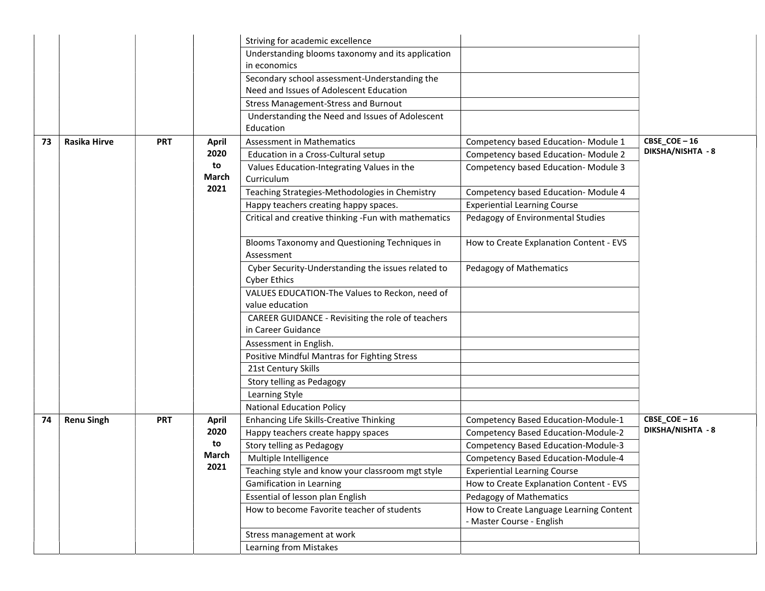|    |                     |            |              | Striving for academic excellence                                          |                                                                      |                   |
|----|---------------------|------------|--------------|---------------------------------------------------------------------------|----------------------------------------------------------------------|-------------------|
|    |                     |            |              | Understanding blooms taxonomy and its application                         |                                                                      |                   |
|    |                     |            |              | in economics                                                              |                                                                      |                   |
|    |                     |            |              | Secondary school assessment-Understanding the                             |                                                                      |                   |
|    |                     |            |              | Need and Issues of Adolescent Education                                   |                                                                      |                   |
|    |                     |            |              | <b>Stress Management-Stress and Burnout</b>                               |                                                                      |                   |
|    |                     |            |              | Understanding the Need and Issues of Adolescent                           |                                                                      |                   |
|    |                     |            |              | Education                                                                 |                                                                      |                   |
| 73 | <b>Rasika Hirve</b> | <b>PRT</b> | <b>April</b> | <b>Assessment in Mathematics</b>                                          | Competency based Education-Module 1                                  | CBSE_COE-16       |
|    |                     |            | 2020         | Education in a Cross-Cultural setup                                       | Competency based Education-Module 2                                  | DIKSHA/NISHTA - 8 |
|    |                     |            | to<br>March  | Values Education-Integrating Values in the<br>Curriculum                  | Competency based Education-Module 3                                  |                   |
|    |                     |            | 2021         | Teaching Strategies-Methodologies in Chemistry                            | Competency based Education-Module 4                                  |                   |
|    |                     |            |              | Happy teachers creating happy spaces.                                     | <b>Experiential Learning Course</b>                                  |                   |
|    |                     |            |              | Critical and creative thinking -Fun with mathematics                      | Pedagogy of Environmental Studies                                    |                   |
|    |                     |            |              | Blooms Taxonomy and Questioning Techniques in<br>Assessment               | How to Create Explanation Content - EVS                              |                   |
|    |                     |            |              | Cyber Security-Understanding the issues related to<br><b>Cyber Ethics</b> | Pedagogy of Mathematics                                              |                   |
|    |                     |            |              | VALUES EDUCATION-The Values to Reckon, need of<br>value education         |                                                                      |                   |
|    |                     |            |              | CAREER GUIDANCE - Revisiting the role of teachers<br>in Career Guidance   |                                                                      |                   |
|    |                     |            |              | Assessment in English.                                                    |                                                                      |                   |
|    |                     |            |              | Positive Mindful Mantras for Fighting Stress                              |                                                                      |                   |
|    |                     |            |              | 21st Century Skills                                                       |                                                                      |                   |
|    |                     |            |              | Story telling as Pedagogy                                                 |                                                                      |                   |
|    |                     |            |              | Learning Style                                                            |                                                                      |                   |
|    |                     |            |              | <b>National Education Policy</b>                                          |                                                                      |                   |
| 74 | <b>Renu Singh</b>   | <b>PRT</b> | <b>April</b> | Enhancing Life Skills-Creative Thinking                                   | Competency Based Education-Module-1                                  | CBSE $COE - 16$   |
|    |                     |            | 2020         | Happy teachers create happy spaces                                        | <b>Competency Based Education-Module-2</b>                           | DIKSHA/NISHTA - 8 |
|    |                     |            | to           | Story telling as Pedagogy                                                 | Competency Based Education-Module-3                                  |                   |
|    |                     |            | March        | Multiple Intelligence                                                     | <b>Competency Based Education-Module-4</b>                           |                   |
|    |                     |            | 2021         | Teaching style and know your classroom mgt style                          | <b>Experiential Learning Course</b>                                  |                   |
|    |                     |            |              | <b>Gamification in Learning</b>                                           | How to Create Explanation Content - EVS                              |                   |
|    |                     |            |              | Essential of lesson plan English                                          | Pedagogy of Mathematics                                              |                   |
|    |                     |            |              | How to become Favorite teacher of students                                | How to Create Language Learning Content<br>- Master Course - English |                   |
|    |                     |            |              | Stress management at work                                                 |                                                                      |                   |
|    |                     |            |              | Learning from Mistakes                                                    |                                                                      |                   |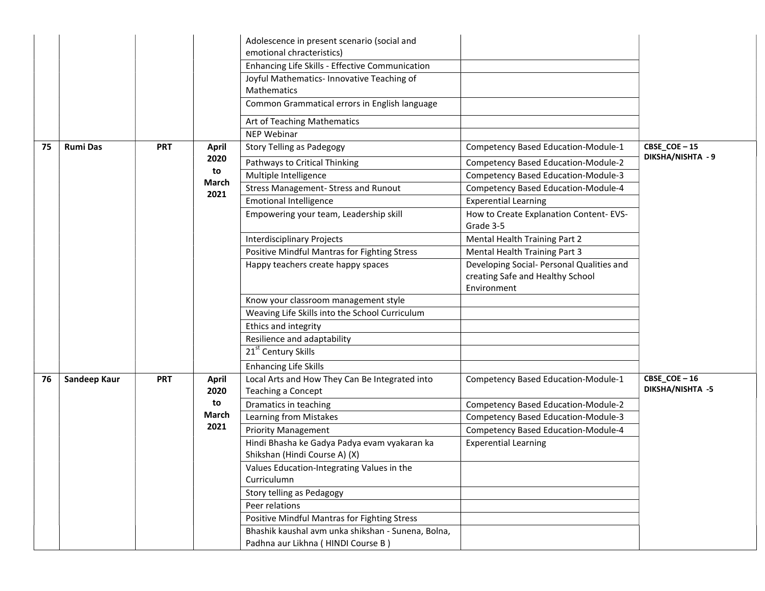|    |                 |            |              | Adolescence in present scenario (social and<br>emotional chracteristics) |                                                     |                                  |
|----|-----------------|------------|--------------|--------------------------------------------------------------------------|-----------------------------------------------------|----------------------------------|
|    |                 |            |              | Enhancing Life Skills - Effective Communication                          |                                                     |                                  |
|    |                 |            |              | Joyful Mathematics- Innovative Teaching of                               |                                                     |                                  |
|    |                 |            |              | Mathematics                                                              |                                                     |                                  |
|    |                 |            |              | Common Grammatical errors in English language                            |                                                     |                                  |
|    |                 |            |              | Art of Teaching Mathematics                                              |                                                     |                                  |
|    |                 |            |              | <b>NEP Webinar</b>                                                       |                                                     |                                  |
| 75 | <b>Rumi Das</b> | <b>PRT</b> | <b>April</b> | <b>Story Telling as Padegogy</b>                                         | Competency Based Education-Module-1                 | CBSE_COE-15<br>DIKSHA/NISHTA - 9 |
|    |                 |            | 2020<br>to   | Pathways to Critical Thinking                                            | Competency Based Education-Module-2                 |                                  |
|    |                 |            | March        | Multiple Intelligence                                                    | Competency Based Education-Module-3                 |                                  |
|    |                 |            | 2021         | <b>Stress Management- Stress and Runout</b>                              | Competency Based Education-Module-4                 |                                  |
|    |                 |            |              | <b>Emotional Intelligence</b>                                            | <b>Experential Learning</b>                         |                                  |
|    |                 |            |              | Empowering your team, Leadership skill                                   | How to Create Explanation Content-EVS-<br>Grade 3-5 |                                  |
|    |                 |            |              | <b>Interdisciplinary Projects</b>                                        | Mental Health Training Part 2                       |                                  |
|    |                 |            |              | Positive Mindful Mantras for Fighting Stress                             | Mental Health Training Part 3                       |                                  |
|    |                 |            |              | Happy teachers create happy spaces                                       | Developing Social- Personal Qualities and           |                                  |
|    |                 |            |              |                                                                          | creating Safe and Healthy School                    |                                  |
|    |                 |            |              |                                                                          | Environment                                         |                                  |
|    |                 |            |              | Know your classroom management style                                     |                                                     |                                  |
|    |                 |            |              | Weaving Life Skills into the School Curriculum                           |                                                     |                                  |
|    |                 |            |              | Ethics and integrity                                                     |                                                     |                                  |
|    |                 |            |              | Resilience and adaptability                                              |                                                     |                                  |
|    |                 |            |              | 21 <sup>st</sup> Century Skills                                          |                                                     |                                  |
|    |                 |            |              | <b>Enhancing Life Skills</b>                                             |                                                     |                                  |
| 76 | Sandeep Kaur    | <b>PRT</b> | <b>April</b> | Local Arts and How They Can Be Integrated into                           | Competency Based Education-Module-1                 | $CBSE$ <sub>COE</sub> $-16$      |
|    |                 |            | 2020         | Teaching a Concept                                                       |                                                     | DIKSHA/NISHTA -5                 |
|    |                 |            | to           | Dramatics in teaching                                                    | <b>Competency Based Education-Module-2</b>          |                                  |
|    |                 |            | March        | Learning from Mistakes                                                   | Competency Based Education-Module-3                 |                                  |
|    |                 |            | 2021         | <b>Priority Management</b>                                               | Competency Based Education-Module-4                 |                                  |
|    |                 |            |              | Hindi Bhasha ke Gadya Padya evam vyakaran ka                             | <b>Experential Learning</b>                         |                                  |
|    |                 |            |              | Shikshan (Hindi Course A) (X)                                            |                                                     |                                  |
|    |                 |            |              | Values Education-Integrating Values in the                               |                                                     |                                  |
|    |                 |            |              | Curriculumn                                                              |                                                     |                                  |
|    |                 |            |              | Story telling as Pedagogy                                                |                                                     |                                  |
|    |                 |            |              | Peer relations                                                           |                                                     |                                  |
|    |                 |            |              | Positive Mindful Mantras for Fighting Stress                             |                                                     |                                  |
|    |                 |            |              | Bhashik kaushal avm unka shikshan - Sunena, Bolna,                       |                                                     |                                  |
|    |                 |            |              | Padhna aur Likhna (HINDI Course B)                                       |                                                     |                                  |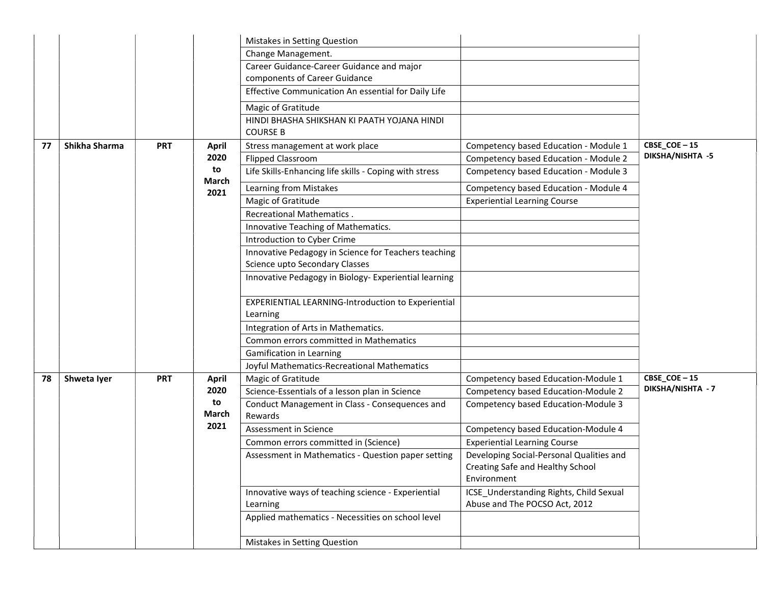| Change Management.<br>Career Guidance-Career Guidance and major<br>components of Career Guidance<br>Effective Communication An essential for Daily Life<br>Magic of Gratitude<br>HINDI BHASHA SHIKSHAN KI PAATH YOJANA HINDI<br><b>COURSE B</b><br>$CBSE\_COE - 15$<br>Shikha Sharma<br>Competency based Education - Module 1<br><b>PRT</b><br>Stress management at work place<br>77<br><b>April</b><br>DIKSHA/NISHTA -5<br>2020<br>Competency based Education - Module 2<br><b>Flipped Classroom</b><br>to<br>Life Skills-Enhancing life skills - Coping with stress<br>Competency based Education - Module 3<br>March<br>Competency based Education - Module 4<br>Learning from Mistakes<br>2021<br>Magic of Gratitude<br><b>Experiential Learning Course</b><br><b>Recreational Mathematics.</b><br>Innovative Teaching of Mathematics.<br>Introduction to Cyber Crime<br>Innovative Pedagogy in Science for Teachers teaching<br>Science upto Secondary Classes<br>Innovative Pedagogy in Biology-Experiential learning<br>EXPERIENTIAL LEARNING-Introduction to Experiential<br>Learning<br>Integration of Arts in Mathematics.<br>Common errors committed in Mathematics<br>Gamification in Learning<br>Joyful Mathematics-Recreational Mathematics<br>CBSE_COE-15<br>Magic of Gratitude<br>Competency based Education-Module 1<br>Shweta Iyer<br><b>PRT</b><br>78<br><b>April</b><br><b>DIKSHA/NISHTA - 7</b><br>2020<br>Science-Essentials of a lesson plan in Science<br>Competency based Education-Module 2<br>to<br>Conduct Management in Class - Consequences and<br>Competency based Education-Module 3<br>March<br>Rewards<br>2021<br>Assessment in Science<br>Competency based Education-Module 4<br><b>Experiential Learning Course</b><br>Common errors committed in (Science)<br>Developing Social-Personal Qualities and<br>Assessment in Mathematics - Question paper setting<br>Creating Safe and Healthy School<br>Environment<br>Innovative ways of teaching science - Experiential<br>ICSE_Understanding Rights, Child Sexual<br>Abuse and The POCSO Act, 2012<br>Learning<br>Applied mathematics - Necessities on school level<br>Mistakes in Setting Question |  |  | Mistakes in Setting Question |  |
|-----------------------------------------------------------------------------------------------------------------------------------------------------------------------------------------------------------------------------------------------------------------------------------------------------------------------------------------------------------------------------------------------------------------------------------------------------------------------------------------------------------------------------------------------------------------------------------------------------------------------------------------------------------------------------------------------------------------------------------------------------------------------------------------------------------------------------------------------------------------------------------------------------------------------------------------------------------------------------------------------------------------------------------------------------------------------------------------------------------------------------------------------------------------------------------------------------------------------------------------------------------------------------------------------------------------------------------------------------------------------------------------------------------------------------------------------------------------------------------------------------------------------------------------------------------------------------------------------------------------------------------------------------------------------------------------------------------------------------------------------------------------------------------------------------------------------------------------------------------------------------------------------------------------------------------------------------------------------------------------------------------------------------------------------------------------------------------------------------------------------------------------------------------------------------------------|--|--|------------------------------|--|
|                                                                                                                                                                                                                                                                                                                                                                                                                                                                                                                                                                                                                                                                                                                                                                                                                                                                                                                                                                                                                                                                                                                                                                                                                                                                                                                                                                                                                                                                                                                                                                                                                                                                                                                                                                                                                                                                                                                                                                                                                                                                                                                                                                                         |  |  |                              |  |
|                                                                                                                                                                                                                                                                                                                                                                                                                                                                                                                                                                                                                                                                                                                                                                                                                                                                                                                                                                                                                                                                                                                                                                                                                                                                                                                                                                                                                                                                                                                                                                                                                                                                                                                                                                                                                                                                                                                                                                                                                                                                                                                                                                                         |  |  |                              |  |
|                                                                                                                                                                                                                                                                                                                                                                                                                                                                                                                                                                                                                                                                                                                                                                                                                                                                                                                                                                                                                                                                                                                                                                                                                                                                                                                                                                                                                                                                                                                                                                                                                                                                                                                                                                                                                                                                                                                                                                                                                                                                                                                                                                                         |  |  |                              |  |
|                                                                                                                                                                                                                                                                                                                                                                                                                                                                                                                                                                                                                                                                                                                                                                                                                                                                                                                                                                                                                                                                                                                                                                                                                                                                                                                                                                                                                                                                                                                                                                                                                                                                                                                                                                                                                                                                                                                                                                                                                                                                                                                                                                                         |  |  |                              |  |
|                                                                                                                                                                                                                                                                                                                                                                                                                                                                                                                                                                                                                                                                                                                                                                                                                                                                                                                                                                                                                                                                                                                                                                                                                                                                                                                                                                                                                                                                                                                                                                                                                                                                                                                                                                                                                                                                                                                                                                                                                                                                                                                                                                                         |  |  |                              |  |
|                                                                                                                                                                                                                                                                                                                                                                                                                                                                                                                                                                                                                                                                                                                                                                                                                                                                                                                                                                                                                                                                                                                                                                                                                                                                                                                                                                                                                                                                                                                                                                                                                                                                                                                                                                                                                                                                                                                                                                                                                                                                                                                                                                                         |  |  |                              |  |
|                                                                                                                                                                                                                                                                                                                                                                                                                                                                                                                                                                                                                                                                                                                                                                                                                                                                                                                                                                                                                                                                                                                                                                                                                                                                                                                                                                                                                                                                                                                                                                                                                                                                                                                                                                                                                                                                                                                                                                                                                                                                                                                                                                                         |  |  |                              |  |
|                                                                                                                                                                                                                                                                                                                                                                                                                                                                                                                                                                                                                                                                                                                                                                                                                                                                                                                                                                                                                                                                                                                                                                                                                                                                                                                                                                                                                                                                                                                                                                                                                                                                                                                                                                                                                                                                                                                                                                                                                                                                                                                                                                                         |  |  |                              |  |
|                                                                                                                                                                                                                                                                                                                                                                                                                                                                                                                                                                                                                                                                                                                                                                                                                                                                                                                                                                                                                                                                                                                                                                                                                                                                                                                                                                                                                                                                                                                                                                                                                                                                                                                                                                                                                                                                                                                                                                                                                                                                                                                                                                                         |  |  |                              |  |
|                                                                                                                                                                                                                                                                                                                                                                                                                                                                                                                                                                                                                                                                                                                                                                                                                                                                                                                                                                                                                                                                                                                                                                                                                                                                                                                                                                                                                                                                                                                                                                                                                                                                                                                                                                                                                                                                                                                                                                                                                                                                                                                                                                                         |  |  |                              |  |
|                                                                                                                                                                                                                                                                                                                                                                                                                                                                                                                                                                                                                                                                                                                                                                                                                                                                                                                                                                                                                                                                                                                                                                                                                                                                                                                                                                                                                                                                                                                                                                                                                                                                                                                                                                                                                                                                                                                                                                                                                                                                                                                                                                                         |  |  |                              |  |
|                                                                                                                                                                                                                                                                                                                                                                                                                                                                                                                                                                                                                                                                                                                                                                                                                                                                                                                                                                                                                                                                                                                                                                                                                                                                                                                                                                                                                                                                                                                                                                                                                                                                                                                                                                                                                                                                                                                                                                                                                                                                                                                                                                                         |  |  |                              |  |
|                                                                                                                                                                                                                                                                                                                                                                                                                                                                                                                                                                                                                                                                                                                                                                                                                                                                                                                                                                                                                                                                                                                                                                                                                                                                                                                                                                                                                                                                                                                                                                                                                                                                                                                                                                                                                                                                                                                                                                                                                                                                                                                                                                                         |  |  |                              |  |
|                                                                                                                                                                                                                                                                                                                                                                                                                                                                                                                                                                                                                                                                                                                                                                                                                                                                                                                                                                                                                                                                                                                                                                                                                                                                                                                                                                                                                                                                                                                                                                                                                                                                                                                                                                                                                                                                                                                                                                                                                                                                                                                                                                                         |  |  |                              |  |
|                                                                                                                                                                                                                                                                                                                                                                                                                                                                                                                                                                                                                                                                                                                                                                                                                                                                                                                                                                                                                                                                                                                                                                                                                                                                                                                                                                                                                                                                                                                                                                                                                                                                                                                                                                                                                                                                                                                                                                                                                                                                                                                                                                                         |  |  |                              |  |
|                                                                                                                                                                                                                                                                                                                                                                                                                                                                                                                                                                                                                                                                                                                                                                                                                                                                                                                                                                                                                                                                                                                                                                                                                                                                                                                                                                                                                                                                                                                                                                                                                                                                                                                                                                                                                                                                                                                                                                                                                                                                                                                                                                                         |  |  |                              |  |
|                                                                                                                                                                                                                                                                                                                                                                                                                                                                                                                                                                                                                                                                                                                                                                                                                                                                                                                                                                                                                                                                                                                                                                                                                                                                                                                                                                                                                                                                                                                                                                                                                                                                                                                                                                                                                                                                                                                                                                                                                                                                                                                                                                                         |  |  |                              |  |
|                                                                                                                                                                                                                                                                                                                                                                                                                                                                                                                                                                                                                                                                                                                                                                                                                                                                                                                                                                                                                                                                                                                                                                                                                                                                                                                                                                                                                                                                                                                                                                                                                                                                                                                                                                                                                                                                                                                                                                                                                                                                                                                                                                                         |  |  |                              |  |
|                                                                                                                                                                                                                                                                                                                                                                                                                                                                                                                                                                                                                                                                                                                                                                                                                                                                                                                                                                                                                                                                                                                                                                                                                                                                                                                                                                                                                                                                                                                                                                                                                                                                                                                                                                                                                                                                                                                                                                                                                                                                                                                                                                                         |  |  |                              |  |
|                                                                                                                                                                                                                                                                                                                                                                                                                                                                                                                                                                                                                                                                                                                                                                                                                                                                                                                                                                                                                                                                                                                                                                                                                                                                                                                                                                                                                                                                                                                                                                                                                                                                                                                                                                                                                                                                                                                                                                                                                                                                                                                                                                                         |  |  |                              |  |
|                                                                                                                                                                                                                                                                                                                                                                                                                                                                                                                                                                                                                                                                                                                                                                                                                                                                                                                                                                                                                                                                                                                                                                                                                                                                                                                                                                                                                                                                                                                                                                                                                                                                                                                                                                                                                                                                                                                                                                                                                                                                                                                                                                                         |  |  |                              |  |
|                                                                                                                                                                                                                                                                                                                                                                                                                                                                                                                                                                                                                                                                                                                                                                                                                                                                                                                                                                                                                                                                                                                                                                                                                                                                                                                                                                                                                                                                                                                                                                                                                                                                                                                                                                                                                                                                                                                                                                                                                                                                                                                                                                                         |  |  |                              |  |
|                                                                                                                                                                                                                                                                                                                                                                                                                                                                                                                                                                                                                                                                                                                                                                                                                                                                                                                                                                                                                                                                                                                                                                                                                                                                                                                                                                                                                                                                                                                                                                                                                                                                                                                                                                                                                                                                                                                                                                                                                                                                                                                                                                                         |  |  |                              |  |
|                                                                                                                                                                                                                                                                                                                                                                                                                                                                                                                                                                                                                                                                                                                                                                                                                                                                                                                                                                                                                                                                                                                                                                                                                                                                                                                                                                                                                                                                                                                                                                                                                                                                                                                                                                                                                                                                                                                                                                                                                                                                                                                                                                                         |  |  |                              |  |
|                                                                                                                                                                                                                                                                                                                                                                                                                                                                                                                                                                                                                                                                                                                                                                                                                                                                                                                                                                                                                                                                                                                                                                                                                                                                                                                                                                                                                                                                                                                                                                                                                                                                                                                                                                                                                                                                                                                                                                                                                                                                                                                                                                                         |  |  |                              |  |
|                                                                                                                                                                                                                                                                                                                                                                                                                                                                                                                                                                                                                                                                                                                                                                                                                                                                                                                                                                                                                                                                                                                                                                                                                                                                                                                                                                                                                                                                                                                                                                                                                                                                                                                                                                                                                                                                                                                                                                                                                                                                                                                                                                                         |  |  |                              |  |
|                                                                                                                                                                                                                                                                                                                                                                                                                                                                                                                                                                                                                                                                                                                                                                                                                                                                                                                                                                                                                                                                                                                                                                                                                                                                                                                                                                                                                                                                                                                                                                                                                                                                                                                                                                                                                                                                                                                                                                                                                                                                                                                                                                                         |  |  |                              |  |
|                                                                                                                                                                                                                                                                                                                                                                                                                                                                                                                                                                                                                                                                                                                                                                                                                                                                                                                                                                                                                                                                                                                                                                                                                                                                                                                                                                                                                                                                                                                                                                                                                                                                                                                                                                                                                                                                                                                                                                                                                                                                                                                                                                                         |  |  |                              |  |
|                                                                                                                                                                                                                                                                                                                                                                                                                                                                                                                                                                                                                                                                                                                                                                                                                                                                                                                                                                                                                                                                                                                                                                                                                                                                                                                                                                                                                                                                                                                                                                                                                                                                                                                                                                                                                                                                                                                                                                                                                                                                                                                                                                                         |  |  |                              |  |
|                                                                                                                                                                                                                                                                                                                                                                                                                                                                                                                                                                                                                                                                                                                                                                                                                                                                                                                                                                                                                                                                                                                                                                                                                                                                                                                                                                                                                                                                                                                                                                                                                                                                                                                                                                                                                                                                                                                                                                                                                                                                                                                                                                                         |  |  |                              |  |
|                                                                                                                                                                                                                                                                                                                                                                                                                                                                                                                                                                                                                                                                                                                                                                                                                                                                                                                                                                                                                                                                                                                                                                                                                                                                                                                                                                                                                                                                                                                                                                                                                                                                                                                                                                                                                                                                                                                                                                                                                                                                                                                                                                                         |  |  |                              |  |
|                                                                                                                                                                                                                                                                                                                                                                                                                                                                                                                                                                                                                                                                                                                                                                                                                                                                                                                                                                                                                                                                                                                                                                                                                                                                                                                                                                                                                                                                                                                                                                                                                                                                                                                                                                                                                                                                                                                                                                                                                                                                                                                                                                                         |  |  |                              |  |
|                                                                                                                                                                                                                                                                                                                                                                                                                                                                                                                                                                                                                                                                                                                                                                                                                                                                                                                                                                                                                                                                                                                                                                                                                                                                                                                                                                                                                                                                                                                                                                                                                                                                                                                                                                                                                                                                                                                                                                                                                                                                                                                                                                                         |  |  |                              |  |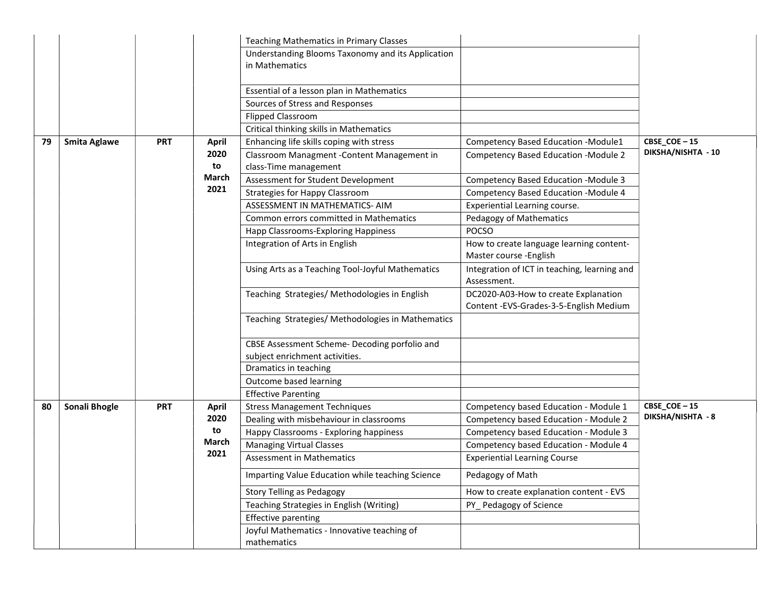|    |                     |            |              | <b>Teaching Mathematics in Primary Classes</b>                       |                                                                                |                    |
|----|---------------------|------------|--------------|----------------------------------------------------------------------|--------------------------------------------------------------------------------|--------------------|
|    |                     |            |              | Understanding Blooms Taxonomy and its Application<br>in Mathematics  |                                                                                |                    |
|    |                     |            |              | Essential of a lesson plan in Mathematics                            |                                                                                |                    |
|    |                     |            |              | Sources of Stress and Responses                                      |                                                                                |                    |
|    |                     |            |              | <b>Flipped Classroom</b>                                             |                                                                                |                    |
|    |                     |            |              | Critical thinking skills in Mathematics                              |                                                                                |                    |
| 79 | <b>Smita Aglawe</b> | <b>PRT</b> | <b>April</b> | Enhancing life skills coping with stress                             | Competency Based Education -Module1                                            | $CBSE\_COE - 15$   |
|    |                     |            | 2020<br>to   | Classroom Managment - Content Management in<br>class-Time management | <b>Competency Based Education -Module 2</b>                                    | DIKSHA/NISHTA - 10 |
|    |                     |            | March        | Assessment for Student Development                                   | Competency Based Education - Module 3                                          |                    |
|    |                     |            | 2021         | <b>Strategies for Happy Classroom</b>                                | Competency Based Education - Module 4                                          |                    |
|    |                     |            |              | ASSESSMENT IN MATHEMATICS- AIM                                       | Experiential Learning course.                                                  |                    |
|    |                     |            |              | Common errors committed in Mathematics                               | Pedagogy of Mathematics                                                        |                    |
|    |                     |            |              | Happ Classrooms-Exploring Happiness                                  | <b>POCSO</b>                                                                   |                    |
|    |                     |            |              | Integration of Arts in English                                       | How to create language learning content-<br>Master course - English            |                    |
|    |                     |            |              | Using Arts as a Teaching Tool-Joyful Mathematics                     | Integration of ICT in teaching, learning and<br>Assessment.                    |                    |
|    |                     |            |              | Teaching Strategies/ Methodologies in English                        | DC2020-A03-How to create Explanation<br>Content -EVS-Grades-3-5-English Medium |                    |
|    |                     |            |              | Teaching Strategies/ Methodologies in Mathematics                    |                                                                                |                    |
|    |                     |            |              | CBSE Assessment Scheme- Decoding porfolio and                        |                                                                                |                    |
|    |                     |            |              | subject enrichment activities.                                       |                                                                                |                    |
|    |                     |            |              | Dramatics in teaching                                                |                                                                                |                    |
|    |                     |            |              | Outcome based learning                                               |                                                                                |                    |
|    |                     |            |              | <b>Effective Parenting</b>                                           |                                                                                |                    |
| 80 | Sonali Bhogle       | <b>PRT</b> | <b>April</b> | <b>Stress Management Techniques</b>                                  | Competency based Education - Module 1                                          | CBSE_COE-15        |
|    |                     |            | 2020         | Dealing with misbehaviour in classrooms                              | Competency based Education - Module 2                                          | DIKSHA/NISHTA - 8  |
|    |                     |            | to           | Happy Classrooms - Exploring happiness                               | Competency based Education - Module 3                                          |                    |
|    |                     |            | March        | <b>Managing Virtual Classes</b>                                      | Competency based Education - Module 4                                          |                    |
|    |                     |            | 2021         | <b>Assessment in Mathematics</b>                                     | <b>Experiential Learning Course</b>                                            |                    |
|    |                     |            |              | Imparting Value Education while teaching Science                     | Pedagogy of Math                                                               |                    |
|    |                     |            |              | <b>Story Telling as Pedagogy</b>                                     | How to create explanation content - EVS                                        |                    |
|    |                     |            |              | Teaching Strategies in English (Writing)                             | PY_Pedagogy of Science                                                         |                    |
|    |                     |            |              | <b>Effective parenting</b>                                           |                                                                                |                    |
|    |                     |            |              | Joyful Mathematics - Innovative teaching of<br>mathematics           |                                                                                |                    |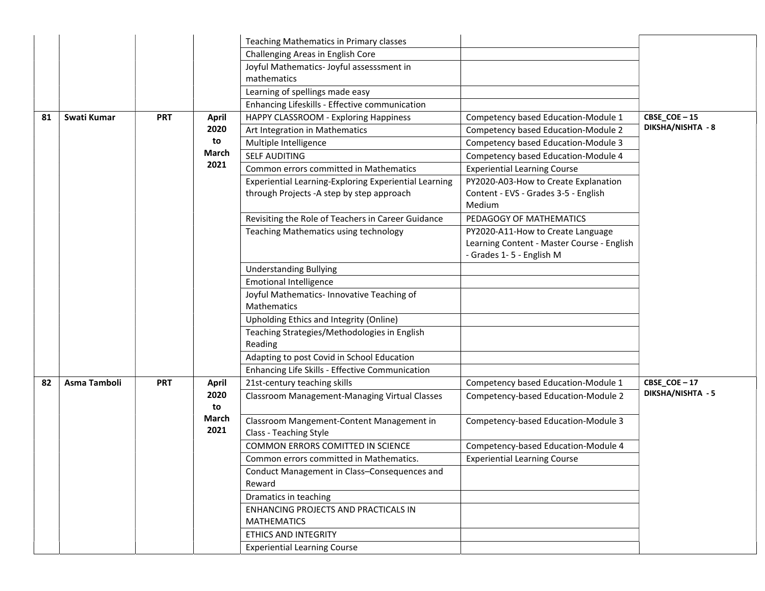|    |              |            |               | Teaching Mathematics in Primary classes                                                             |                                                                                                             |                   |
|----|--------------|------------|---------------|-----------------------------------------------------------------------------------------------------|-------------------------------------------------------------------------------------------------------------|-------------------|
|    |              |            |               | Challenging Areas in English Core                                                                   |                                                                                                             |                   |
|    |              |            |               | Joyful Mathematics-Joyful assesssment in                                                            |                                                                                                             |                   |
|    |              |            |               | mathematics                                                                                         |                                                                                                             |                   |
|    |              |            |               | Learning of spellings made easy                                                                     |                                                                                                             |                   |
|    |              |            |               | Enhancing Lifeskills - Effective communication                                                      |                                                                                                             |                   |
| 81 | Swati Kumar  | <b>PRT</b> | April         | HAPPY CLASSROOM - Exploring Happiness                                                               | Competency based Education-Module 1                                                                         | CBSE_COE-15       |
|    |              |            | 2020          | Art Integration in Mathematics                                                                      | Competency based Education-Module 2                                                                         | DIKSHA/NISHTA - 8 |
|    |              |            | to            | Multiple Intelligence                                                                               | Competency based Education-Module 3                                                                         |                   |
|    |              |            | March         | <b>SELF AUDITING</b>                                                                                | Competency based Education-Module 4                                                                         |                   |
|    |              |            | 2021          | Common errors committed in Mathematics                                                              | <b>Experiential Learning Course</b>                                                                         |                   |
|    |              |            |               | Experiential Learning-Exploring Experiential Learning<br>through Projects - A step by step approach | PY2020-A03-How to Create Explanation<br>Content - EVS - Grades 3-5 - English<br>Medium                      |                   |
|    |              |            |               | Revisiting the Role of Teachers in Career Guidance                                                  | PEDAGOGY OF MATHEMATICS                                                                                     |                   |
|    |              |            |               | Teaching Mathematics using technology                                                               | PY2020-A11-How to Create Language<br>Learning Content - Master Course - English<br>- Grades 1-5 - English M |                   |
|    |              |            |               | <b>Understanding Bullying</b>                                                                       |                                                                                                             |                   |
|    |              |            |               | <b>Emotional Intelligence</b>                                                                       |                                                                                                             |                   |
|    |              |            |               | Joyful Mathematics- Innovative Teaching of<br>Mathematics                                           |                                                                                                             |                   |
|    |              |            |               | Upholding Ethics and Integrity (Online)                                                             |                                                                                                             |                   |
|    |              |            |               | Teaching Strategies/Methodologies in English<br>Reading                                             |                                                                                                             |                   |
|    |              |            |               | Adapting to post Covid in School Education                                                          |                                                                                                             |                   |
|    |              |            |               | Enhancing Life Skills - Effective Communication                                                     |                                                                                                             |                   |
| 82 | Asma Tamboli | <b>PRT</b> | <b>April</b>  | 21st-century teaching skills                                                                        | Competency based Education-Module 1                                                                         | CBSE_COE-17       |
|    |              |            | 2020<br>to    | <b>Classroom Management-Managing Virtual Classes</b>                                                | Competency-based Education-Module 2                                                                         | DIKSHA/NISHTA - 5 |
|    |              |            | March<br>2021 | Classroom Mangement-Content Management in<br>Class - Teaching Style                                 | Competency-based Education-Module 3                                                                         |                   |
|    |              |            |               | COMMON ERRORS COMITTED IN SCIENCE                                                                   | Competency-based Education-Module 4                                                                         |                   |
|    |              |            |               | Common errors committed in Mathematics.                                                             | <b>Experiential Learning Course</b>                                                                         |                   |
|    |              |            |               | Conduct Management in Class-Consequences and<br>Reward                                              |                                                                                                             |                   |
|    |              |            |               | Dramatics in teaching                                                                               |                                                                                                             |                   |
|    |              |            |               | ENHANCING PROJECTS AND PRACTICALS IN<br><b>MATHEMATICS</b>                                          |                                                                                                             |                   |
|    |              |            |               | ETHICS AND INTEGRITY                                                                                |                                                                                                             |                   |
|    |              |            |               | <b>Experiential Learning Course</b>                                                                 |                                                                                                             |                   |
|    |              |            |               |                                                                                                     |                                                                                                             |                   |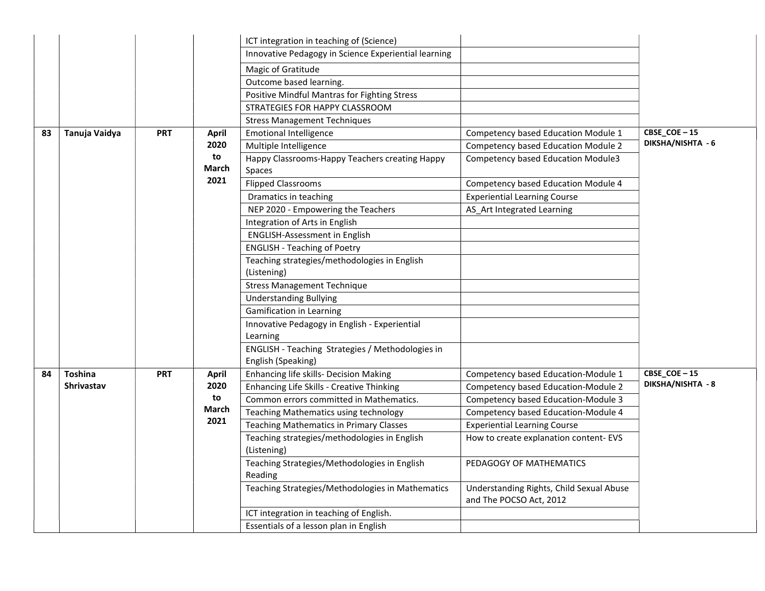|    |                   |             |                                                          | ICT integration in teaching of (Science)                               |                                                                     |                             |
|----|-------------------|-------------|----------------------------------------------------------|------------------------------------------------------------------------|---------------------------------------------------------------------|-----------------------------|
|    |                   |             |                                                          | Innovative Pedagogy in Science Experiential learning                   |                                                                     |                             |
|    |                   |             |                                                          | Magic of Gratitude                                                     |                                                                     |                             |
|    |                   |             |                                                          | Outcome based learning.                                                |                                                                     |                             |
|    |                   |             |                                                          | Positive Mindful Mantras for Fighting Stress                           |                                                                     |                             |
|    |                   |             |                                                          | STRATEGIES FOR HAPPY CLASSROOM                                         |                                                                     |                             |
|    |                   |             |                                                          | <b>Stress Management Techniques</b>                                    |                                                                     |                             |
| 83 | Tanuja Vaidya     | <b>PRT</b>  | April                                                    | <b>Emotional Intelligence</b>                                          | Competency based Education Module 1                                 | CBSE_COE-15                 |
|    |                   |             | 2020                                                     | Multiple Intelligence                                                  | <b>Competency based Education Module 2</b>                          | DIKSHA/NISHTA - 6           |
|    |                   | to<br>March | Happy Classrooms-Happy Teachers creating Happy<br>Spaces | Competency based Education Module3                                     |                                                                     |                             |
|    |                   |             | 2021                                                     | <b>Flipped Classrooms</b>                                              | Competency based Education Module 4                                 |                             |
|    |                   |             |                                                          | Dramatics in teaching                                                  | <b>Experiential Learning Course</b>                                 |                             |
|    |                   |             |                                                          | NEP 2020 - Empowering the Teachers                                     | AS_Art Integrated Learning                                          |                             |
|    |                   |             |                                                          | Integration of Arts in English                                         |                                                                     |                             |
|    |                   |             |                                                          | <b>ENGLISH-Assessment in English</b>                                   |                                                                     |                             |
|    |                   |             |                                                          | <b>ENGLISH - Teaching of Poetry</b>                                    |                                                                     |                             |
|    |                   |             |                                                          | Teaching strategies/methodologies in English                           |                                                                     |                             |
|    |                   |             |                                                          | (Listening)                                                            |                                                                     |                             |
|    |                   |             |                                                          | <b>Stress Management Technique</b>                                     |                                                                     |                             |
|    |                   |             |                                                          | <b>Understanding Bullying</b>                                          |                                                                     |                             |
|    |                   |             |                                                          | Gamification in Learning                                               |                                                                     |                             |
|    |                   |             |                                                          | Innovative Pedagogy in English - Experiential                          |                                                                     |                             |
|    |                   |             |                                                          | Learning                                                               |                                                                     |                             |
|    |                   |             |                                                          | ENGLISH - Teaching Strategies / Methodologies in<br>English (Speaking) |                                                                     |                             |
| 84 | <b>Toshina</b>    | <b>PRT</b>  | April                                                    | Enhancing life skills- Decision Making                                 | Competency based Education-Module 1                                 | $CBSE$ <sub>COE</sub> $-15$ |
|    | <b>Shrivastav</b> |             | 2020                                                     | Enhancing Life Skills - Creative Thinking                              | Competency based Education-Module 2                                 | DIKSHA/NISHTA - 8           |
|    |                   |             | to                                                       | Common errors committed in Mathematics.                                | Competency based Education-Module 3                                 |                             |
|    |                   |             | March                                                    | Teaching Mathematics using technology                                  | Competency based Education-Module 4                                 |                             |
|    |                   |             | 2021                                                     | <b>Teaching Mathematics in Primary Classes</b>                         | <b>Experiential Learning Course</b>                                 |                             |
|    |                   |             |                                                          | Teaching strategies/methodologies in English<br>(Listening)            | How to create explanation content-EVS                               |                             |
|    |                   |             |                                                          | Teaching Strategies/Methodologies in English<br>Reading                | PEDAGOGY OF MATHEMATICS                                             |                             |
|    |                   |             |                                                          | Teaching Strategies/Methodologies in Mathematics                       | Understanding Rights, Child Sexual Abuse<br>and The POCSO Act, 2012 |                             |
|    |                   |             |                                                          | ICT integration in teaching of English.                                |                                                                     |                             |
|    |                   |             |                                                          | Essentials of a lesson plan in English                                 |                                                                     |                             |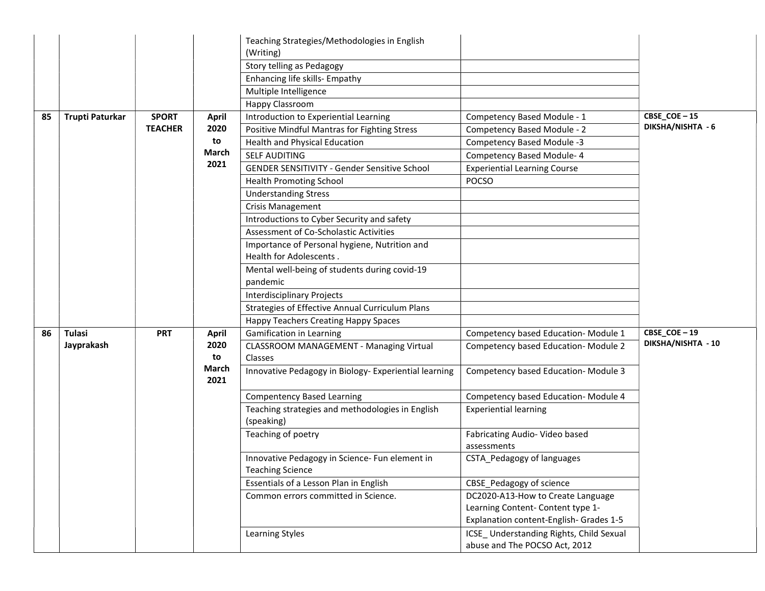|    |                 |                |                      | Teaching Strategies/Methodologies in English                              |                                               |                    |
|----|-----------------|----------------|----------------------|---------------------------------------------------------------------------|-----------------------------------------------|--------------------|
|    |                 |                |                      | (Writing)                                                                 |                                               |                    |
|    |                 |                |                      | Story telling as Pedagogy                                                 |                                               |                    |
|    |                 |                |                      | Enhancing life skills- Empathy                                            |                                               |                    |
|    |                 |                |                      | Multiple Intelligence                                                     |                                               |                    |
|    |                 |                |                      | Happy Classroom                                                           |                                               |                    |
| 85 | Trupti Paturkar | <b>SPORT</b>   | April                | Introduction to Experiential Learning                                     | Competency Based Module - 1                   | CBSE_COE-15        |
|    |                 | <b>TEACHER</b> | 2020                 | Positive Mindful Mantras for Fighting Stress                              | Competency Based Module - 2                   | DIKSHA/NISHTA - 6  |
|    |                 |                | to                   | Health and Physical Education                                             | Competency Based Module -3                    |                    |
|    |                 |                | March                | <b>SELF AUDITING</b>                                                      | <b>Competency Based Module-4</b>              |                    |
|    |                 |                | 2021                 | <b>GENDER SENSITIVITY - Gender Sensitive School</b>                       | <b>Experiential Learning Course</b>           |                    |
|    |                 |                |                      | <b>Health Promoting School</b>                                            | <b>POCSO</b>                                  |                    |
|    |                 |                |                      | <b>Understanding Stress</b>                                               |                                               |                    |
|    |                 |                |                      | Crisis Management                                                         |                                               |                    |
|    |                 |                |                      | Introductions to Cyber Security and safety                                |                                               |                    |
|    |                 |                |                      | Assessment of Co-Scholastic Activities                                    |                                               |                    |
|    |                 |                |                      | Importance of Personal hygiene, Nutrition and                             |                                               |                    |
|    |                 |                |                      | Health for Adolescents.                                                   |                                               |                    |
|    |                 |                |                      | Mental well-being of students during covid-19                             |                                               |                    |
|    |                 |                |                      | pandemic                                                                  |                                               |                    |
|    |                 |                |                      | <b>Interdisciplinary Projects</b>                                         |                                               |                    |
|    |                 |                |                      | Strategies of Effective Annual Curriculum Plans                           |                                               |                    |
|    |                 |                |                      | <b>Happy Teachers Creating Happy Spaces</b>                               |                                               |                    |
| 86 | <b>Tulasi</b>   | <b>PRT</b>     | April                | <b>Gamification in Learning</b>                                           | Competency based Education-Module 1           | CBSE_COE-19        |
|    | Jayprakash      |                | 2020                 | <b>CLASSROOM MANAGEMENT - Managing Virtual</b>                            | Competency based Education-Module 2           | DIKSHA/NISHTA - 10 |
|    |                 |                | to                   | Classes                                                                   |                                               |                    |
|    |                 |                | <b>March</b><br>2021 | Innovative Pedagogy in Biology- Experiential learning                     | Competency based Education-Module 3           |                    |
|    |                 |                |                      | <b>Compentency Based Learning</b>                                         | Competency based Education-Module 4           |                    |
|    |                 |                |                      | Teaching strategies and methodologies in English<br>(speaking)            | <b>Experiential learning</b>                  |                    |
|    |                 |                |                      | Teaching of poetry                                                        | Fabricating Audio- Video based<br>assessments |                    |
|    |                 |                |                      | Innovative Pedagogy in Science- Fun element in<br><b>Teaching Science</b> | CSTA Pedagogy of languages                    |                    |
|    |                 |                |                      | Essentials of a Lesson Plan in English                                    | CBSE_Pedagogy of science                      |                    |
|    |                 |                |                      | Common errors committed in Science.                                       | DC2020-A13-How to Create Language             |                    |
|    |                 |                |                      |                                                                           | Learning Content-Content type 1-              |                    |
|    |                 |                |                      |                                                                           | Explanation content-English- Grades 1-5       |                    |
|    |                 |                |                      | Learning Styles                                                           | ICSE_Understanding Rights, Child Sexual       |                    |
|    |                 |                |                      |                                                                           | abuse and The POCSO Act, 2012                 |                    |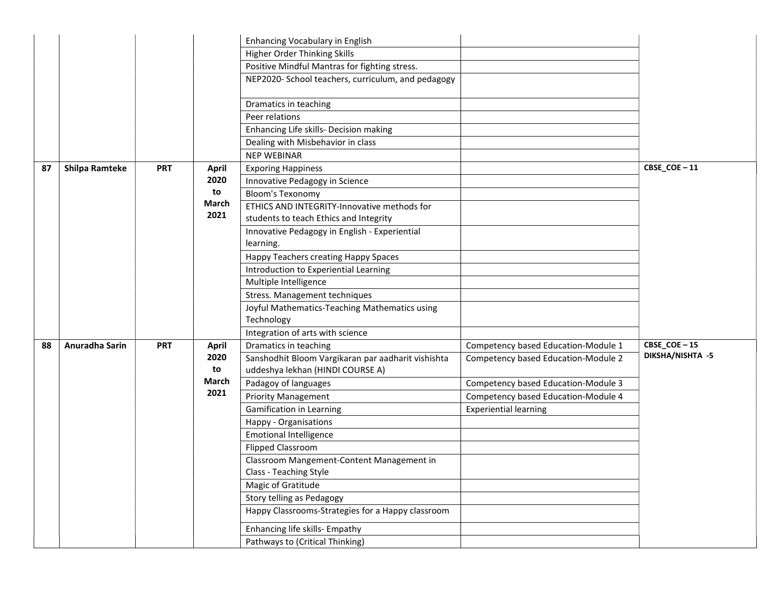| Higher Order Thinking Skills<br>Positive Mindful Mantras for fighting stress.<br>NEP2020- School teachers, curriculum, and pedagogy<br>Dramatics in teaching<br>Peer relations<br>Enhancing Life skills- Decision making<br>Dealing with Misbehavior in class<br><b>NEP WEBINAR</b><br>CBSE_COE-11<br><b>Shilpa Ramteke</b><br><b>PRT</b><br>87<br><b>Exporing Happiness</b><br>April<br>2020<br>Innovative Pedagogy in Science<br>to<br><b>Bloom's Texonomy</b><br>March<br>ETHICS AND INTEGRITY-Innovative methods for<br>2021<br>students to teach Ethics and Integrity<br>Innovative Pedagogy in English - Experiential<br>learning.<br>Happy Teachers creating Happy Spaces<br>Introduction to Experiential Learning<br>Multiple Intelligence<br>Stress. Management techniques<br>Joyful Mathematics-Teaching Mathematics using<br>Technology<br>Integration of arts with science<br>$CBSE\_COE - 15$<br>Anuradha Sarin<br>Dramatics in teaching<br>Competency based Education-Module 1<br><b>PRT</b><br>88<br><b>April</b><br>DIKSHA/NISHTA -5<br>2020<br>Sanshodhit Bloom Vargikaran par aadharit vishishta<br>Competency based Education-Module 2<br>to<br>uddeshya lekhan (HINDI COURSE A)<br>March<br>Padagoy of languages<br>Competency based Education-Module 3<br>2021<br><b>Priority Management</b><br>Competency based Education-Module 4<br>Gamification in Learning<br><b>Experiential learning</b><br>Happy - Organisations<br><b>Emotional Intelligence</b><br><b>Flipped Classroom</b><br>Classroom Mangement-Content Management in<br>Class - Teaching Style<br>Magic of Gratitude<br>Story telling as Pedagogy<br>Happy Classrooms-Strategies for a Happy classroom<br>Enhancing life skills- Empathy<br>Pathways to (Critical Thinking) |  |  | Enhancing Vocabulary in English |  |
|----------------------------------------------------------------------------------------------------------------------------------------------------------------------------------------------------------------------------------------------------------------------------------------------------------------------------------------------------------------------------------------------------------------------------------------------------------------------------------------------------------------------------------------------------------------------------------------------------------------------------------------------------------------------------------------------------------------------------------------------------------------------------------------------------------------------------------------------------------------------------------------------------------------------------------------------------------------------------------------------------------------------------------------------------------------------------------------------------------------------------------------------------------------------------------------------------------------------------------------------------------------------------------------------------------------------------------------------------------------------------------------------------------------------------------------------------------------------------------------------------------------------------------------------------------------------------------------------------------------------------------------------------------------------------------------------------------------------------------------------------------------|--|--|---------------------------------|--|
|                                                                                                                                                                                                                                                                                                                                                                                                                                                                                                                                                                                                                                                                                                                                                                                                                                                                                                                                                                                                                                                                                                                                                                                                                                                                                                                                                                                                                                                                                                                                                                                                                                                                                                                                                                |  |  |                                 |  |
|                                                                                                                                                                                                                                                                                                                                                                                                                                                                                                                                                                                                                                                                                                                                                                                                                                                                                                                                                                                                                                                                                                                                                                                                                                                                                                                                                                                                                                                                                                                                                                                                                                                                                                                                                                |  |  |                                 |  |
|                                                                                                                                                                                                                                                                                                                                                                                                                                                                                                                                                                                                                                                                                                                                                                                                                                                                                                                                                                                                                                                                                                                                                                                                                                                                                                                                                                                                                                                                                                                                                                                                                                                                                                                                                                |  |  |                                 |  |
|                                                                                                                                                                                                                                                                                                                                                                                                                                                                                                                                                                                                                                                                                                                                                                                                                                                                                                                                                                                                                                                                                                                                                                                                                                                                                                                                                                                                                                                                                                                                                                                                                                                                                                                                                                |  |  |                                 |  |
|                                                                                                                                                                                                                                                                                                                                                                                                                                                                                                                                                                                                                                                                                                                                                                                                                                                                                                                                                                                                                                                                                                                                                                                                                                                                                                                                                                                                                                                                                                                                                                                                                                                                                                                                                                |  |  |                                 |  |
|                                                                                                                                                                                                                                                                                                                                                                                                                                                                                                                                                                                                                                                                                                                                                                                                                                                                                                                                                                                                                                                                                                                                                                                                                                                                                                                                                                                                                                                                                                                                                                                                                                                                                                                                                                |  |  |                                 |  |
|                                                                                                                                                                                                                                                                                                                                                                                                                                                                                                                                                                                                                                                                                                                                                                                                                                                                                                                                                                                                                                                                                                                                                                                                                                                                                                                                                                                                                                                                                                                                                                                                                                                                                                                                                                |  |  |                                 |  |
|                                                                                                                                                                                                                                                                                                                                                                                                                                                                                                                                                                                                                                                                                                                                                                                                                                                                                                                                                                                                                                                                                                                                                                                                                                                                                                                                                                                                                                                                                                                                                                                                                                                                                                                                                                |  |  |                                 |  |
|                                                                                                                                                                                                                                                                                                                                                                                                                                                                                                                                                                                                                                                                                                                                                                                                                                                                                                                                                                                                                                                                                                                                                                                                                                                                                                                                                                                                                                                                                                                                                                                                                                                                                                                                                                |  |  |                                 |  |
|                                                                                                                                                                                                                                                                                                                                                                                                                                                                                                                                                                                                                                                                                                                                                                                                                                                                                                                                                                                                                                                                                                                                                                                                                                                                                                                                                                                                                                                                                                                                                                                                                                                                                                                                                                |  |  |                                 |  |
|                                                                                                                                                                                                                                                                                                                                                                                                                                                                                                                                                                                                                                                                                                                                                                                                                                                                                                                                                                                                                                                                                                                                                                                                                                                                                                                                                                                                                                                                                                                                                                                                                                                                                                                                                                |  |  |                                 |  |
|                                                                                                                                                                                                                                                                                                                                                                                                                                                                                                                                                                                                                                                                                                                                                                                                                                                                                                                                                                                                                                                                                                                                                                                                                                                                                                                                                                                                                                                                                                                                                                                                                                                                                                                                                                |  |  |                                 |  |
|                                                                                                                                                                                                                                                                                                                                                                                                                                                                                                                                                                                                                                                                                                                                                                                                                                                                                                                                                                                                                                                                                                                                                                                                                                                                                                                                                                                                                                                                                                                                                                                                                                                                                                                                                                |  |  |                                 |  |
|                                                                                                                                                                                                                                                                                                                                                                                                                                                                                                                                                                                                                                                                                                                                                                                                                                                                                                                                                                                                                                                                                                                                                                                                                                                                                                                                                                                                                                                                                                                                                                                                                                                                                                                                                                |  |  |                                 |  |
|                                                                                                                                                                                                                                                                                                                                                                                                                                                                                                                                                                                                                                                                                                                                                                                                                                                                                                                                                                                                                                                                                                                                                                                                                                                                                                                                                                                                                                                                                                                                                                                                                                                                                                                                                                |  |  |                                 |  |
|                                                                                                                                                                                                                                                                                                                                                                                                                                                                                                                                                                                                                                                                                                                                                                                                                                                                                                                                                                                                                                                                                                                                                                                                                                                                                                                                                                                                                                                                                                                                                                                                                                                                                                                                                                |  |  |                                 |  |
|                                                                                                                                                                                                                                                                                                                                                                                                                                                                                                                                                                                                                                                                                                                                                                                                                                                                                                                                                                                                                                                                                                                                                                                                                                                                                                                                                                                                                                                                                                                                                                                                                                                                                                                                                                |  |  |                                 |  |
|                                                                                                                                                                                                                                                                                                                                                                                                                                                                                                                                                                                                                                                                                                                                                                                                                                                                                                                                                                                                                                                                                                                                                                                                                                                                                                                                                                                                                                                                                                                                                                                                                                                                                                                                                                |  |  |                                 |  |
|                                                                                                                                                                                                                                                                                                                                                                                                                                                                                                                                                                                                                                                                                                                                                                                                                                                                                                                                                                                                                                                                                                                                                                                                                                                                                                                                                                                                                                                                                                                                                                                                                                                                                                                                                                |  |  |                                 |  |
|                                                                                                                                                                                                                                                                                                                                                                                                                                                                                                                                                                                                                                                                                                                                                                                                                                                                                                                                                                                                                                                                                                                                                                                                                                                                                                                                                                                                                                                                                                                                                                                                                                                                                                                                                                |  |  |                                 |  |
|                                                                                                                                                                                                                                                                                                                                                                                                                                                                                                                                                                                                                                                                                                                                                                                                                                                                                                                                                                                                                                                                                                                                                                                                                                                                                                                                                                                                                                                                                                                                                                                                                                                                                                                                                                |  |  |                                 |  |
|                                                                                                                                                                                                                                                                                                                                                                                                                                                                                                                                                                                                                                                                                                                                                                                                                                                                                                                                                                                                                                                                                                                                                                                                                                                                                                                                                                                                                                                                                                                                                                                                                                                                                                                                                                |  |  |                                 |  |
|                                                                                                                                                                                                                                                                                                                                                                                                                                                                                                                                                                                                                                                                                                                                                                                                                                                                                                                                                                                                                                                                                                                                                                                                                                                                                                                                                                                                                                                                                                                                                                                                                                                                                                                                                                |  |  |                                 |  |
|                                                                                                                                                                                                                                                                                                                                                                                                                                                                                                                                                                                                                                                                                                                                                                                                                                                                                                                                                                                                                                                                                                                                                                                                                                                                                                                                                                                                                                                                                                                                                                                                                                                                                                                                                                |  |  |                                 |  |
|                                                                                                                                                                                                                                                                                                                                                                                                                                                                                                                                                                                                                                                                                                                                                                                                                                                                                                                                                                                                                                                                                                                                                                                                                                                                                                                                                                                                                                                                                                                                                                                                                                                                                                                                                                |  |  |                                 |  |
|                                                                                                                                                                                                                                                                                                                                                                                                                                                                                                                                                                                                                                                                                                                                                                                                                                                                                                                                                                                                                                                                                                                                                                                                                                                                                                                                                                                                                                                                                                                                                                                                                                                                                                                                                                |  |  |                                 |  |
|                                                                                                                                                                                                                                                                                                                                                                                                                                                                                                                                                                                                                                                                                                                                                                                                                                                                                                                                                                                                                                                                                                                                                                                                                                                                                                                                                                                                                                                                                                                                                                                                                                                                                                                                                                |  |  |                                 |  |
|                                                                                                                                                                                                                                                                                                                                                                                                                                                                                                                                                                                                                                                                                                                                                                                                                                                                                                                                                                                                                                                                                                                                                                                                                                                                                                                                                                                                                                                                                                                                                                                                                                                                                                                                                                |  |  |                                 |  |
|                                                                                                                                                                                                                                                                                                                                                                                                                                                                                                                                                                                                                                                                                                                                                                                                                                                                                                                                                                                                                                                                                                                                                                                                                                                                                                                                                                                                                                                                                                                                                                                                                                                                                                                                                                |  |  |                                 |  |
|                                                                                                                                                                                                                                                                                                                                                                                                                                                                                                                                                                                                                                                                                                                                                                                                                                                                                                                                                                                                                                                                                                                                                                                                                                                                                                                                                                                                                                                                                                                                                                                                                                                                                                                                                                |  |  |                                 |  |
|                                                                                                                                                                                                                                                                                                                                                                                                                                                                                                                                                                                                                                                                                                                                                                                                                                                                                                                                                                                                                                                                                                                                                                                                                                                                                                                                                                                                                                                                                                                                                                                                                                                                                                                                                                |  |  |                                 |  |
|                                                                                                                                                                                                                                                                                                                                                                                                                                                                                                                                                                                                                                                                                                                                                                                                                                                                                                                                                                                                                                                                                                                                                                                                                                                                                                                                                                                                                                                                                                                                                                                                                                                                                                                                                                |  |  |                                 |  |
|                                                                                                                                                                                                                                                                                                                                                                                                                                                                                                                                                                                                                                                                                                                                                                                                                                                                                                                                                                                                                                                                                                                                                                                                                                                                                                                                                                                                                                                                                                                                                                                                                                                                                                                                                                |  |  |                                 |  |
|                                                                                                                                                                                                                                                                                                                                                                                                                                                                                                                                                                                                                                                                                                                                                                                                                                                                                                                                                                                                                                                                                                                                                                                                                                                                                                                                                                                                                                                                                                                                                                                                                                                                                                                                                                |  |  |                                 |  |
|                                                                                                                                                                                                                                                                                                                                                                                                                                                                                                                                                                                                                                                                                                                                                                                                                                                                                                                                                                                                                                                                                                                                                                                                                                                                                                                                                                                                                                                                                                                                                                                                                                                                                                                                                                |  |  |                                 |  |
|                                                                                                                                                                                                                                                                                                                                                                                                                                                                                                                                                                                                                                                                                                                                                                                                                                                                                                                                                                                                                                                                                                                                                                                                                                                                                                                                                                                                                                                                                                                                                                                                                                                                                                                                                                |  |  |                                 |  |
|                                                                                                                                                                                                                                                                                                                                                                                                                                                                                                                                                                                                                                                                                                                                                                                                                                                                                                                                                                                                                                                                                                                                                                                                                                                                                                                                                                                                                                                                                                                                                                                                                                                                                                                                                                |  |  |                                 |  |
|                                                                                                                                                                                                                                                                                                                                                                                                                                                                                                                                                                                                                                                                                                                                                                                                                                                                                                                                                                                                                                                                                                                                                                                                                                                                                                                                                                                                                                                                                                                                                                                                                                                                                                                                                                |  |  |                                 |  |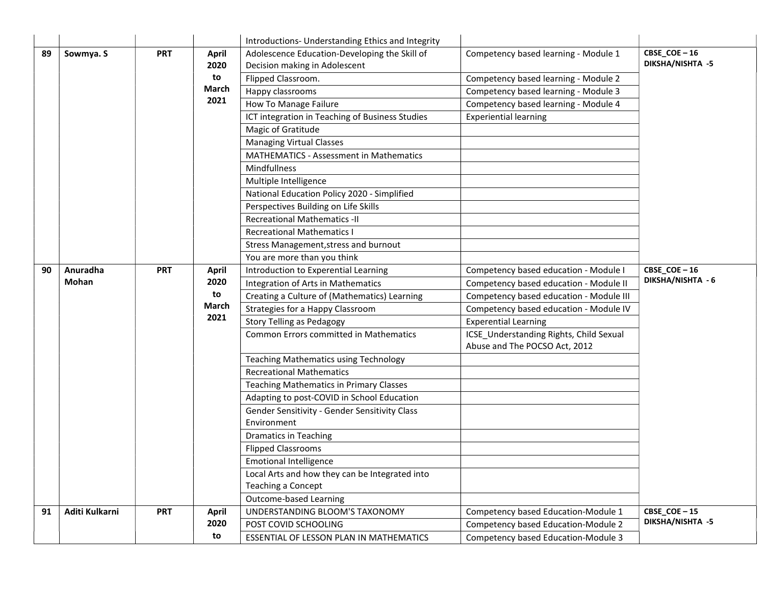|    |                |            |              | Introductions- Understanding Ethics and Integrity |                                                                          |                             |
|----|----------------|------------|--------------|---------------------------------------------------|--------------------------------------------------------------------------|-----------------------------|
| 89 | Sowmya. S      | <b>PRT</b> | <b>April</b> | Adolescence Education-Developing the Skill of     | Competency based learning - Module 1                                     | $CBSE$ <sub>COE</sub> $-16$ |
|    |                |            | 2020         | Decision making in Adolescent                     |                                                                          | DIKSHA/NISHTA -5            |
|    |                |            | to           | Flipped Classroom.                                | Competency based learning - Module 2                                     |                             |
|    |                |            | March        | Happy classrooms                                  | Competency based learning - Module 3                                     |                             |
|    |                |            | 2021         | How To Manage Failure                             | Competency based learning - Module 4                                     |                             |
|    |                |            |              | ICT integration in Teaching of Business Studies   | <b>Experiential learning</b>                                             |                             |
|    |                |            |              | Magic of Gratitude                                |                                                                          |                             |
|    |                |            |              | <b>Managing Virtual Classes</b>                   |                                                                          |                             |
|    |                |            |              | MATHEMATICS - Assessment in Mathematics           |                                                                          |                             |
|    |                |            |              | Mindfullness                                      |                                                                          |                             |
|    |                |            |              | Multiple Intelligence                             |                                                                          |                             |
|    |                |            |              | National Education Policy 2020 - Simplified       |                                                                          |                             |
|    |                |            |              | Perspectives Building on Life Skills              |                                                                          |                             |
|    |                |            |              | <b>Recreational Mathematics -II</b>               |                                                                          |                             |
|    |                |            |              | <b>Recreational Mathematics I</b>                 |                                                                          |                             |
|    |                |            |              | Stress Management, stress and burnout             |                                                                          |                             |
|    |                |            |              | You are more than you think                       |                                                                          |                             |
| 90 | Anuradha       | <b>PRT</b> | <b>April</b> | Introduction to Experential Learning              | Competency based education - Module I                                    | $CBSE\_COE - 16$            |
|    | Mohan          |            | 2020         | Integration of Arts in Mathematics                | Competency based education - Module II                                   | DIKSHA/NISHTA - 6           |
|    |                |            | to           | Creating a Culture of (Mathematics) Learning      | Competency based education - Module III                                  |                             |
|    |                |            | March        | Strategies for a Happy Classroom                  | Competency based education - Module IV                                   |                             |
|    |                |            | 2021         | <b>Story Telling as Pedagogy</b>                  | <b>Experential Learning</b>                                              |                             |
|    |                |            |              | Common Errors committed in Mathematics            | ICSE_Understanding Rights, Child Sexual<br>Abuse and The POCSO Act, 2012 |                             |
|    |                |            |              | <b>Teaching Mathematics using Technology</b>      |                                                                          |                             |
|    |                |            |              | <b>Recreational Mathematics</b>                   |                                                                          |                             |
|    |                |            |              | <b>Teaching Mathematics in Primary Classes</b>    |                                                                          |                             |
|    |                |            |              | Adapting to post-COVID in School Education        |                                                                          |                             |
|    |                |            |              | Gender Sensitivity - Gender Sensitivity Class     |                                                                          |                             |
|    |                |            |              | Environment                                       |                                                                          |                             |
|    |                |            |              | <b>Dramatics in Teaching</b>                      |                                                                          |                             |
|    |                |            |              | <b>Flipped Classrooms</b>                         |                                                                          |                             |
|    |                |            |              | <b>Emotional Intelligence</b>                     |                                                                          |                             |
|    |                |            |              | Local Arts and how they can be Integrated into    |                                                                          |                             |
|    |                |            |              | <b>Teaching a Concept</b>                         |                                                                          |                             |
|    |                |            |              | Outcome-based Learning                            |                                                                          |                             |
| 91 | Aditi Kulkarni | <b>PRT</b> | <b>April</b> | UNDERSTANDING BLOOM'S TAXONOMY                    | Competency based Education-Module 1                                      | CBSE_COE-15                 |
|    |                |            | 2020         | POST COVID SCHOOLING                              | Competency based Education-Module 2                                      | DIKSHA/NISHTA -5            |
|    |                |            | to           | ESSENTIAL OF LESSON PLAN IN MATHEMATICS           | Competency based Education-Module 3                                      |                             |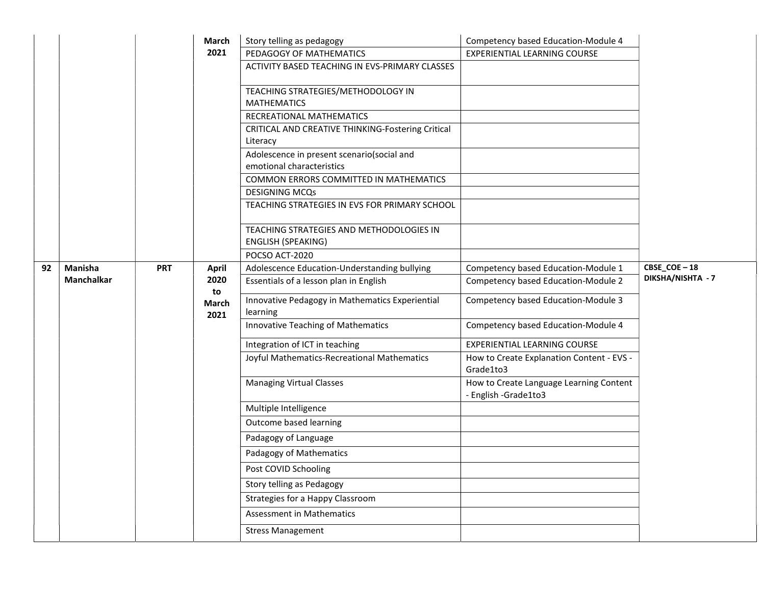|    |            |            | March               | Story telling as pedagogy                                               | Competency based Education-Module 4                                |                   |
|----|------------|------------|---------------------|-------------------------------------------------------------------------|--------------------------------------------------------------------|-------------------|
|    |            |            | 2021                | PEDAGOGY OF MATHEMATICS                                                 | EXPERIENTIAL LEARNING COURSE                                       |                   |
|    |            |            |                     | ACTIVITY BASED TEACHING IN EVS-PRIMARY CLASSES                          |                                                                    |                   |
|    |            |            |                     | TEACHING STRATEGIES/METHODOLOGY IN<br><b>MATHEMATICS</b>                |                                                                    |                   |
|    |            |            |                     | RECREATIONAL MATHEMATICS                                                |                                                                    |                   |
|    |            |            |                     | CRITICAL AND CREATIVE THINKING-Fostering Critical<br>Literacy           |                                                                    |                   |
|    |            |            |                     | Adolescence in present scenario(social and<br>emotional characteristics |                                                                    |                   |
|    |            |            |                     | COMMON ERRORS COMMITTED IN MATHEMATICS                                  |                                                                    |                   |
|    |            |            |                     | <b>DESIGNING MCQs</b>                                                   |                                                                    |                   |
|    |            |            |                     | TEACHING STRATEGIES IN EVS FOR PRIMARY SCHOOL                           |                                                                    |                   |
|    |            |            |                     | TEACHING STRATEGIES AND METHODOLOGIES IN<br><b>ENGLISH (SPEAKING)</b>   |                                                                    |                   |
|    |            |            |                     | POCSO ACT-2020                                                          |                                                                    |                   |
| 92 | Manisha    | <b>PRT</b> | <b>April</b>        | Adolescence Education-Understanding bullying                            | Competency based Education-Module 1                                | CBSE_COE-18       |
|    | Manchalkar |            | 2020                | Essentials of a lesson plan in English                                  | Competency based Education-Module 2                                | DIKSHA/NISHTA - 7 |
|    |            |            | to<br>March<br>2021 | Innovative Pedagogy in Mathematics Experiential<br>learning             | Competency based Education-Module 3                                |                   |
|    |            |            |                     | Innovative Teaching of Mathematics                                      | Competency based Education-Module 4                                |                   |
|    |            |            |                     | Integration of ICT in teaching                                          | <b>EXPERIENTIAL LEARNING COURSE</b>                                |                   |
|    |            |            |                     | Joyful Mathematics-Recreational Mathematics                             | How to Create Explanation Content - EVS -<br>Grade1to3             |                   |
|    |            |            |                     | <b>Managing Virtual Classes</b>                                         | How to Create Language Learning Content<br>- English - Grade 1to 3 |                   |
|    |            |            |                     | Multiple Intelligence                                                   |                                                                    |                   |
|    |            |            |                     | Outcome based learning                                                  |                                                                    |                   |
|    |            |            |                     | Padagogy of Language                                                    |                                                                    |                   |
|    |            |            |                     | Padagogy of Mathematics                                                 |                                                                    |                   |
|    |            |            |                     | Post COVID Schooling                                                    |                                                                    |                   |
|    |            |            |                     | Story telling as Pedagogy                                               |                                                                    |                   |
|    |            |            |                     | Strategies for a Happy Classroom                                        |                                                                    |                   |
|    |            |            |                     | Assessment in Mathematics                                               |                                                                    |                   |
|    |            |            |                     | <b>Stress Management</b>                                                |                                                                    |                   |
|    |            |            |                     |                                                                         |                                                                    |                   |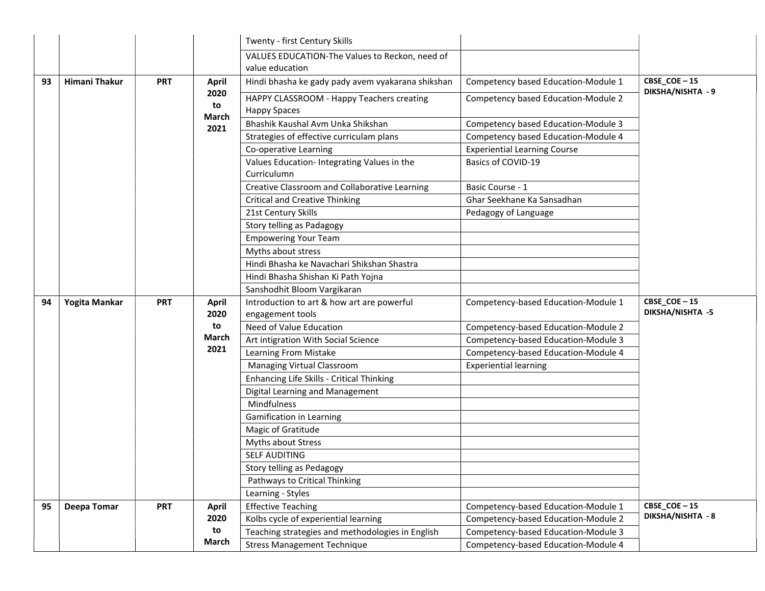|    |               |            |               | Twenty - first Century Skills                                                          |                                                                            |                   |
|----|---------------|------------|---------------|----------------------------------------------------------------------------------------|----------------------------------------------------------------------------|-------------------|
|    |               |            |               | VALUES EDUCATION-The Values to Reckon, need of<br>value education                      |                                                                            |                   |
| 93 | Himani Thakur | <b>PRT</b> | <b>April</b>  | Hindi bhasha ke gady pady avem vyakarana shikshan                                      | Competency based Education-Module 1                                        | CBSE_COE-15       |
|    |               |            | 2020<br>to    | HAPPY CLASSROOM - Happy Teachers creating<br><b>Happy Spaces</b>                       | Competency based Education-Module 2                                        | DIKSHA/NISHTA - 9 |
|    |               |            | March<br>2021 | Bhashik Kaushal Avm Unka Shikshan                                                      | Competency based Education-Module 3                                        |                   |
|    |               |            |               | Strategies of effective curriculam plans                                               | Competency based Education-Module 4                                        |                   |
|    |               |            |               | Co-operative Learning                                                                  | <b>Experiential Learning Course</b>                                        |                   |
|    |               |            |               | Values Education- Integrating Values in the<br>Curriculumn                             | Basics of COVID-19                                                         |                   |
|    |               |            |               | Creative Classroom and Collaborative Learning                                          | Basic Course - 1                                                           |                   |
|    |               |            |               | <b>Critical and Creative Thinking</b>                                                  | Ghar Seekhane Ka Sansadhan                                                 |                   |
|    |               |            |               | 21st Century Skills                                                                    | Pedagogy of Language                                                       |                   |
|    |               |            |               | Story telling as Padagogy                                                              |                                                                            |                   |
|    |               |            |               | <b>Empowering Your Team</b>                                                            |                                                                            |                   |
|    |               |            |               | Myths about stress                                                                     |                                                                            |                   |
|    |               |            |               | Hindi Bhasha ke Navachari Shikshan Shastra                                             |                                                                            |                   |
|    |               |            |               | Hindi Bhasha Shishan Ki Path Yojna                                                     |                                                                            |                   |
|    |               |            |               | Sanshodhit Bloom Vargikaran                                                            |                                                                            |                   |
|    | Yogita Mankar | <b>PRT</b> | <b>April</b>  | Introduction to art & how art are powerful                                             | Competency-based Education-Module 1                                        | CBSE_COE-15       |
| 94 |               |            |               |                                                                                        |                                                                            |                   |
|    |               |            | 2020          | engagement tools                                                                       |                                                                            | DIKSHA/NISHTA -5  |
|    |               |            | to            | Need of Value Education                                                                | Competency-based Education-Module 2                                        |                   |
|    |               |            | March         | Art intigration With Social Science                                                    | Competency-based Education-Module 3                                        |                   |
|    |               |            | 2021          | Learning From Mistake                                                                  | Competency-based Education-Module 4                                        |                   |
|    |               |            |               | Managing Virtual Classroom                                                             | <b>Experiential learning</b>                                               |                   |
|    |               |            |               | Enhancing Life Skills - Critical Thinking                                              |                                                                            |                   |
|    |               |            |               | Digital Learning and Management                                                        |                                                                            |                   |
|    |               |            |               | Mindfulness                                                                            |                                                                            |                   |
|    |               |            |               | Gamification in Learning                                                               |                                                                            |                   |
|    |               |            |               | Magic of Gratitude                                                                     |                                                                            |                   |
|    |               |            |               | Myths about Stress                                                                     |                                                                            |                   |
|    |               |            |               | SELF AUDITING                                                                          |                                                                            |                   |
|    |               |            |               | Story telling as Pedagogy                                                              |                                                                            |                   |
|    |               |            |               | Pathways to Critical Thinking                                                          |                                                                            |                   |
|    |               |            |               | Learning - Styles                                                                      |                                                                            |                   |
| 95 | Deepa Tomar   | <b>PRT</b> | <b>April</b>  | <b>Effective Teaching</b>                                                              | Competency-based Education-Module 1                                        | CBSE_COE-15       |
|    |               |            | 2020          | Kolbs cycle of experiential learning                                                   | Competency-based Education-Module 2                                        | DIKSHA/NISHTA - 8 |
|    |               |            | to<br>March   | Teaching strategies and methodologies in English<br><b>Stress Management Technique</b> | Competency-based Education-Module 3<br>Competency-based Education-Module 4 |                   |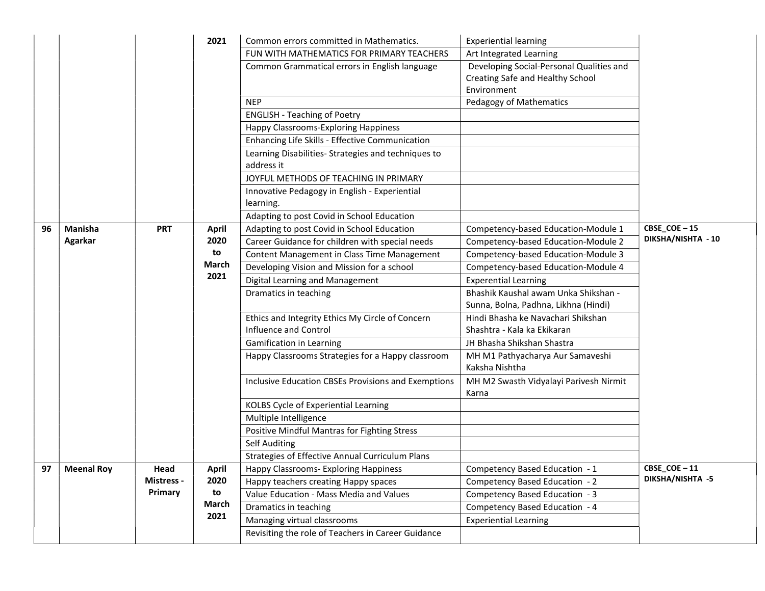|    |                   |            | 2021          | Common errors committed in Mathematics.                                   | <b>Experiential learning</b>                                                                |                    |
|----|-------------------|------------|---------------|---------------------------------------------------------------------------|---------------------------------------------------------------------------------------------|--------------------|
|    |                   |            |               | FUN WITH MATHEMATICS FOR PRIMARY TEACHERS                                 | Art Integrated Learning                                                                     |                    |
|    |                   |            |               | Common Grammatical errors in English language                             | Developing Social-Personal Qualities and<br>Creating Safe and Healthy School<br>Environment |                    |
|    |                   |            |               | <b>NEP</b>                                                                | Pedagogy of Mathematics                                                                     |                    |
|    |                   |            |               | <b>ENGLISH - Teaching of Poetry</b>                                       |                                                                                             |                    |
|    |                   |            |               | Happy Classrooms-Exploring Happiness                                      |                                                                                             |                    |
|    |                   |            |               | Enhancing Life Skills - Effective Communication                           |                                                                                             |                    |
|    |                   |            |               | Learning Disabilities- Strategies and techniques to<br>address it         |                                                                                             |                    |
|    |                   |            |               | JOYFUL METHODS OF TEACHING IN PRIMARY                                     |                                                                                             |                    |
|    |                   |            |               | Innovative Pedagogy in English - Experiential<br>learning.                |                                                                                             |                    |
|    |                   |            |               | Adapting to post Covid in School Education                                |                                                                                             |                    |
| 96 | Manisha           | <b>PRT</b> | <b>April</b>  | Adapting to post Covid in School Education                                | Competency-based Education-Module 1                                                         | CBSE_COE-15        |
|    | Agarkar           |            | 2020          | Career Guidance for children with special needs                           | Competency-based Education-Module 2                                                         | DIKSHA/NISHTA - 10 |
|    |                   |            | to            | Content Management in Class Time Management                               | Competency-based Education-Module 3                                                         |                    |
|    |                   |            | March         | Developing Vision and Mission for a school                                | Competency-based Education-Module 4                                                         |                    |
|    |                   |            | 2021          | Digital Learning and Management                                           | <b>Experential Learning</b>                                                                 |                    |
|    |                   |            |               | Dramatics in teaching                                                     | Bhashik Kaushal awam Unka Shikshan -<br>Sunna, Bolna, Padhna, Likhna (Hindi)                |                    |
|    |                   |            |               | Ethics and Integrity Ethics My Circle of Concern<br>Influence and Control | Hindi Bhasha ke Navachari Shikshan<br>Shashtra - Kala ka Ekikaran                           |                    |
|    |                   |            |               | Gamification in Learning                                                  | JH Bhasha Shikshan Shastra                                                                  |                    |
|    |                   |            |               | Happy Classrooms Strategies for a Happy classroom                         | MH M1 Pathyacharya Aur Samaveshi<br>Kaksha Nishtha                                          |                    |
|    |                   |            |               | Inclusive Education CBSEs Provisions and Exemptions                       | MH M2 Swasth Vidyalayi Parivesh Nirmit<br>Karna                                             |                    |
|    |                   |            |               | KOLBS Cycle of Experiential Learning                                      |                                                                                             |                    |
|    |                   |            |               | Multiple Intelligence                                                     |                                                                                             |                    |
|    |                   |            |               | Positive Mindful Mantras for Fighting Stress                              |                                                                                             |                    |
|    |                   |            |               | <b>Self Auditing</b>                                                      |                                                                                             |                    |
|    |                   |            |               | Strategies of Effective Annual Curriculum Plans                           |                                                                                             |                    |
| 97 | <b>Meenal Roy</b> | Head       | April         | Happy Classrooms- Exploring Happiness                                     | Competency Based Education - 1                                                              | CBSE_COE-11        |
|    |                   | Mistress - | 2020          | Happy teachers creating Happy spaces                                      | Competency Based Education - 2                                                              | DIKSHA/NISHTA -5   |
|    |                   | Primary    | to            | Value Education - Mass Media and Values                                   | Competency Based Education - 3                                                              |                    |
|    |                   |            | March<br>2021 | Dramatics in teaching                                                     | Competency Based Education - 4                                                              |                    |
|    |                   |            |               | Managing virtual classrooms                                               | <b>Experiential Learning</b>                                                                |                    |
|    |                   |            |               | Revisiting the role of Teachers in Career Guidance                        |                                                                                             |                    |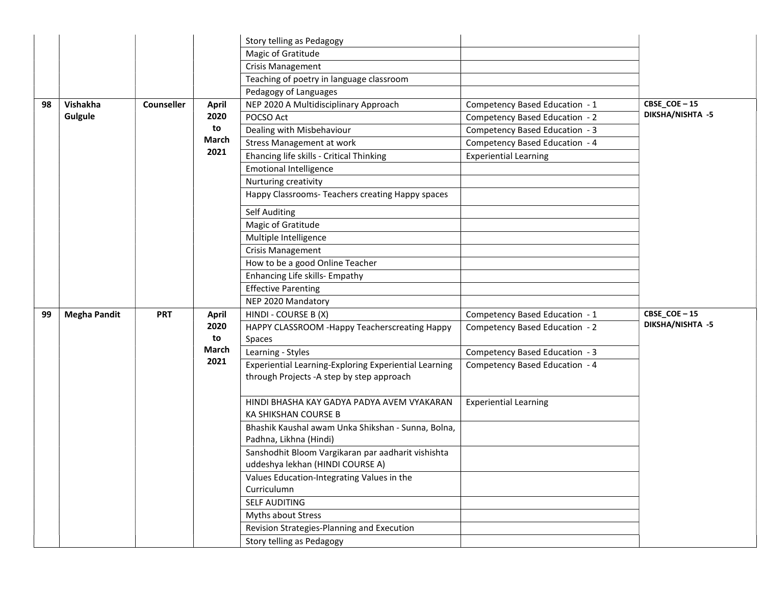|    |                     |            |                           | Story telling as Pedagogy                                                              |                                |                  |
|----|---------------------|------------|---------------------------|----------------------------------------------------------------------------------------|--------------------------------|------------------|
|    |                     |            |                           | Magic of Gratitude                                                                     |                                |                  |
|    |                     |            |                           | <b>Crisis Management</b>                                                               |                                |                  |
|    |                     |            |                           | Teaching of poetry in language classroom                                               |                                |                  |
|    |                     |            |                           | Pedagogy of Languages                                                                  |                                |                  |
| 98 | Vishakha            | Counseller | <b>April</b>              | NEP 2020 A Multidisciplinary Approach                                                  | Competency Based Education - 1 | CBSE_COE-15      |
|    | Gulgule             |            | 2020                      | POCSO Act                                                                              | Competency Based Education - 2 | DIKSHA/NISHTA -5 |
|    |                     |            | to                        | Dealing with Misbehaviour                                                              | Competency Based Education - 3 |                  |
|    |                     |            | March                     | <b>Stress Management at work</b>                                                       | Competency Based Education - 4 |                  |
|    |                     |            | 2021                      | Ehancing life skills - Critical Thinking                                               | <b>Experiential Learning</b>   |                  |
|    |                     |            |                           | <b>Emotional Intelligence</b>                                                          |                                |                  |
|    |                     |            |                           | Nurturing creativity                                                                   |                                |                  |
|    |                     |            |                           | Happy Classrooms- Teachers creating Happy spaces                                       |                                |                  |
|    |                     |            |                           | <b>Self Auditing</b>                                                                   |                                |                  |
|    |                     |            |                           | Magic of Gratitude                                                                     |                                |                  |
|    |                     |            |                           | Multiple Intelligence                                                                  |                                |                  |
|    |                     |            |                           | Crisis Management                                                                      |                                |                  |
|    |                     |            |                           | How to be a good Online Teacher                                                        |                                |                  |
|    |                     |            |                           | Enhancing Life skills- Empathy                                                         |                                |                  |
|    |                     |            |                           | <b>Effective Parenting</b>                                                             |                                |                  |
|    |                     |            |                           | NEP 2020 Mandatory                                                                     |                                |                  |
| 99 | <b>Megha Pandit</b> | <b>PRT</b> | <b>April</b>              | HINDI - COURSE B (X)                                                                   | Competency Based Education - 1 | CBSE_COE-15      |
|    |                     |            | 2020                      | HAPPY CLASSROOM -Happy Teacherscreating Happy                                          | Competency Based Education - 2 | DIKSHA/NISHTA -5 |
|    |                     |            | to                        | Spaces                                                                                 |                                |                  |
|    |                     |            | <b>March</b>              | Learning - Styles                                                                      | Competency Based Education - 3 |                  |
|    |                     |            | 2021                      | Experiential Learning-Exploring Experiential Learning                                  | Competency Based Education - 4 |                  |
|    |                     |            |                           | through Projects - A step by step approach                                             |                                |                  |
|    |                     |            |                           | HINDI BHASHA KAY GADYA PADYA AVEM VYAKARAN<br>KA SHIKSHAN COURSE B                     | <b>Experiential Learning</b>   |                  |
|    |                     |            |                           | Bhashik Kaushal awam Unka Shikshan - Sunna, Bolna,<br>Padhna, Likhna (Hindi)           |                                |                  |
|    |                     |            |                           | Sanshodhit Bloom Vargikaran par aadharit vishishta<br>uddeshya lekhan (HINDI COURSE A) |                                |                  |
|    |                     |            |                           | Values Education-Integrating Values in the                                             |                                |                  |
|    |                     |            |                           | Curriculumn                                                                            |                                |                  |
|    |                     |            |                           | SELF AUDITING                                                                          |                                |                  |
|    |                     |            |                           | Myths about Stress                                                                     |                                |                  |
|    |                     |            |                           | Revision Strategies-Planning and Execution                                             |                                |                  |
|    |                     |            | Story telling as Pedagogy |                                                                                        |                                |                  |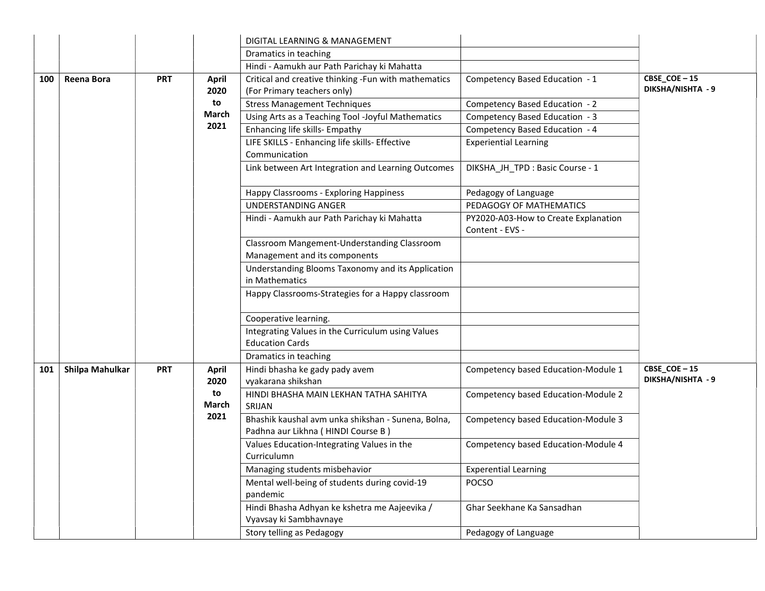|     |                 |            |                      | DIGITAL LEARNING & MANAGEMENT                                                            |                                                         |                                  |
|-----|-----------------|------------|----------------------|------------------------------------------------------------------------------------------|---------------------------------------------------------|----------------------------------|
|     |                 |            |                      | Dramatics in teaching                                                                    |                                                         |                                  |
|     |                 |            |                      | Hindi - Aamukh aur Path Parichay ki Mahatta                                              |                                                         |                                  |
| 100 | Reena Bora      | <b>PRT</b> | <b>April</b><br>2020 | Critical and creative thinking -Fun with mathematics<br>(For Primary teachers only)      | Competency Based Education - 1                          | CBSE_COE-15<br>DIKSHA/NISHTA - 9 |
|     |                 |            | to                   | <b>Stress Management Techniques</b>                                                      | Competency Based Education - 2                          |                                  |
|     |                 |            | <b>March</b>         | Using Arts as a Teaching Tool -Joyful Mathematics                                        | Competency Based Education - 3                          |                                  |
|     |                 |            | 2021                 | Enhancing life skills- Empathy                                                           | Competency Based Education - 4                          |                                  |
|     |                 |            |                      | LIFE SKILLS - Enhancing life skills- Effective<br>Communication                          | <b>Experiential Learning</b>                            |                                  |
|     |                 |            |                      | Link between Art Integration and Learning Outcomes                                       | DIKSHA JH TPD : Basic Course - 1                        |                                  |
|     |                 |            |                      | Happy Classrooms - Exploring Happiness                                                   | Pedagogy of Language                                    |                                  |
|     |                 |            |                      | UNDERSTANDING ANGER                                                                      | PEDAGOGY OF MATHEMATICS                                 |                                  |
|     |                 |            |                      | Hindi - Aamukh aur Path Parichay ki Mahatta                                              | PY2020-A03-How to Create Explanation<br>Content - EVS - |                                  |
|     |                 |            |                      | Classroom Mangement-Understanding Classroom<br>Management and its components             |                                                         |                                  |
|     |                 |            |                      | Understanding Blooms Taxonomy and its Application<br>in Mathematics                      |                                                         |                                  |
|     |                 |            |                      | Happy Classrooms-Strategies for a Happy classroom                                        |                                                         |                                  |
|     |                 |            |                      | Cooperative learning.                                                                    |                                                         |                                  |
|     |                 |            |                      | Integrating Values in the Curriculum using Values<br><b>Education Cards</b>              |                                                         |                                  |
|     |                 |            |                      | Dramatics in teaching                                                                    |                                                         |                                  |
| 101 | Shilpa Mahulkar | <b>PRT</b> | <b>April</b><br>2020 | Hindi bhasha ke gady pady avem<br>vyakarana shikshan                                     | Competency based Education-Module 1                     | CBSE_COE-15<br>DIKSHA/NISHTA - 9 |
|     |                 |            | to<br>March          | HINDI BHASHA MAIN LEKHAN TATHA SAHITYA<br>SRIJAN                                         | Competency based Education-Module 2                     |                                  |
|     |                 |            | 2021                 | Bhashik kaushal avm unka shikshan - Sunena, Bolna,<br>Padhna aur Likhna (HINDI Course B) | Competency based Education-Module 3                     |                                  |
|     |                 |            |                      | Values Education-Integrating Values in the<br>Curriculumn                                | Competency based Education-Module 4                     |                                  |
|     |                 |            |                      | Managing students misbehavior                                                            | <b>Experential Learning</b>                             |                                  |
|     |                 |            |                      | Mental well-being of students during covid-19<br>pandemic                                | <b>POCSO</b>                                            |                                  |
|     |                 |            |                      | Hindi Bhasha Adhyan ke kshetra me Aajeevika /<br>Vyavsay ki Sambhavnaye                  | Ghar Seekhane Ka Sansadhan                              |                                  |
|     |                 |            |                      | Story telling as Pedagogy                                                                | Pedagogy of Language                                    |                                  |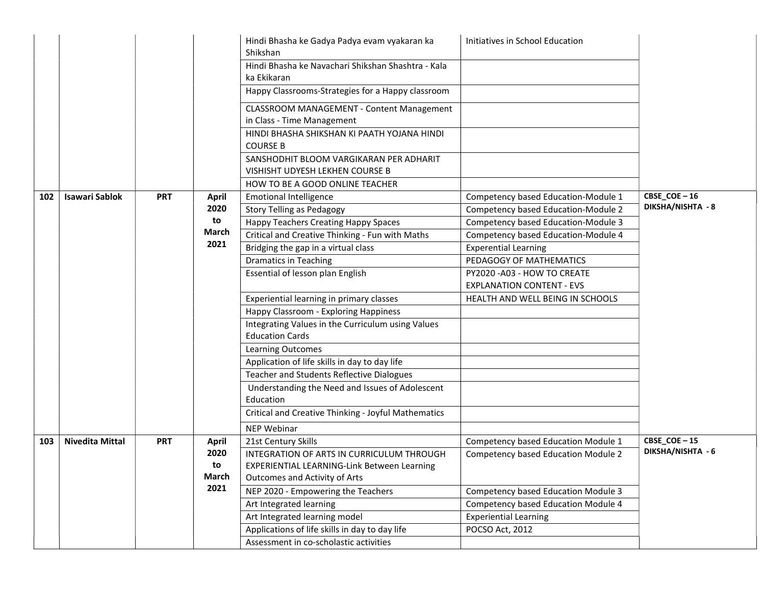|     |                        |            |              | Hindi Bhasha ke Gadya Padya evam vyakaran ka<br>Shikshan                       | Initiatives in School Education                                |                             |
|-----|------------------------|------------|--------------|--------------------------------------------------------------------------------|----------------------------------------------------------------|-----------------------------|
|     |                        |            |              | Hindi Bhasha ke Navachari Shikshan Shashtra - Kala<br>ka Ekikaran              |                                                                |                             |
|     |                        |            |              | Happy Classrooms-Strategies for a Happy classroom                              |                                                                |                             |
|     |                        |            |              | <b>CLASSROOM MANAGEMENT - Content Management</b><br>in Class - Time Management |                                                                |                             |
|     |                        |            |              | HINDI BHASHA SHIKSHAN KI PAATH YOJANA HINDI<br><b>COURSE B</b>                 |                                                                |                             |
|     |                        |            |              | SANSHODHIT BLOOM VARGIKARAN PER ADHARIT                                        |                                                                |                             |
|     |                        |            |              | VISHISHT UDYESH LEKHEN COURSE B                                                |                                                                |                             |
|     |                        |            |              | HOW TO BE A GOOD ONLINE TEACHER                                                |                                                                |                             |
| 102 | <b>Isawari Sablok</b>  | <b>PRT</b> | <b>April</b> | <b>Emotional Intelligence</b>                                                  | Competency based Education-Module 1                            | $CBSE$ <sub>COE</sub> $-16$ |
|     |                        |            | 2020         | <b>Story Telling as Pedagogy</b>                                               | Competency based Education-Module 2                            | DIKSHA/NISHTA - 8           |
|     |                        |            | to           | <b>Happy Teachers Creating Happy Spaces</b>                                    | Competency based Education-Module 3                            |                             |
|     |                        |            | March        | Critical and Creative Thinking - Fun with Maths                                | Competency based Education-Module 4                            |                             |
|     |                        |            | 2021         | Bridging the gap in a virtual class                                            | <b>Experential Learning</b>                                    |                             |
|     |                        |            |              | <b>Dramatics in Teaching</b>                                                   | PEDAGOGY OF MATHEMATICS                                        |                             |
|     |                        |            |              | Essential of lesson plan English                                               | PY2020-A03 - HOW TO CREATE<br><b>EXPLANATION CONTENT - EVS</b> |                             |
|     |                        |            |              | Experiential learning in primary classes                                       | HEALTH AND WELL BEING IN SCHOOLS                               |                             |
|     |                        |            |              | Happy Classroom - Exploring Happiness                                          |                                                                |                             |
|     |                        |            |              | Integrating Values in the Curriculum using Values<br><b>Education Cards</b>    |                                                                |                             |
|     |                        |            |              | Learning Outcomes                                                              |                                                                |                             |
|     |                        |            |              | Application of life skills in day to day life                                  |                                                                |                             |
|     |                        |            |              | <b>Teacher and Students Reflective Dialogues</b>                               |                                                                |                             |
|     |                        |            |              | Understanding the Need and Issues of Adolescent                                |                                                                |                             |
|     |                        |            |              | Education                                                                      |                                                                |                             |
|     |                        |            |              | Critical and Creative Thinking - Joyful Mathematics                            |                                                                |                             |
|     |                        |            |              | <b>NEP Webinar</b>                                                             |                                                                |                             |
| 103 | <b>Nivedita Mittal</b> | <b>PRT</b> | <b>April</b> | 21st Century Skills                                                            | Competency based Education Module 1                            | CBSE_COE-15                 |
|     |                        |            | 2020         | INTEGRATION OF ARTS IN CURRICULUM THROUGH                                      | Competency based Education Module 2                            | DIKSHA/NISHTA - 6           |
|     |                        |            | to           | EXPERIENTIAL LEARNING-Link Between Learning                                    |                                                                |                             |
|     |                        |            | March        | <b>Outcomes and Activity of Arts</b>                                           |                                                                |                             |
|     |                        |            | 2021         | NEP 2020 - Empowering the Teachers                                             | <b>Competency based Education Module 3</b>                     |                             |
|     |                        |            |              | Art Integrated learning                                                        | Competency based Education Module 4                            |                             |
|     |                        |            |              | Art Integrated learning model                                                  | <b>Experiential Learning</b>                                   |                             |
|     |                        |            |              | Applications of life skills in day to day life                                 | POCSO Act, 2012                                                |                             |
|     |                        |            |              | Assessment in co-scholastic activities                                         |                                                                |                             |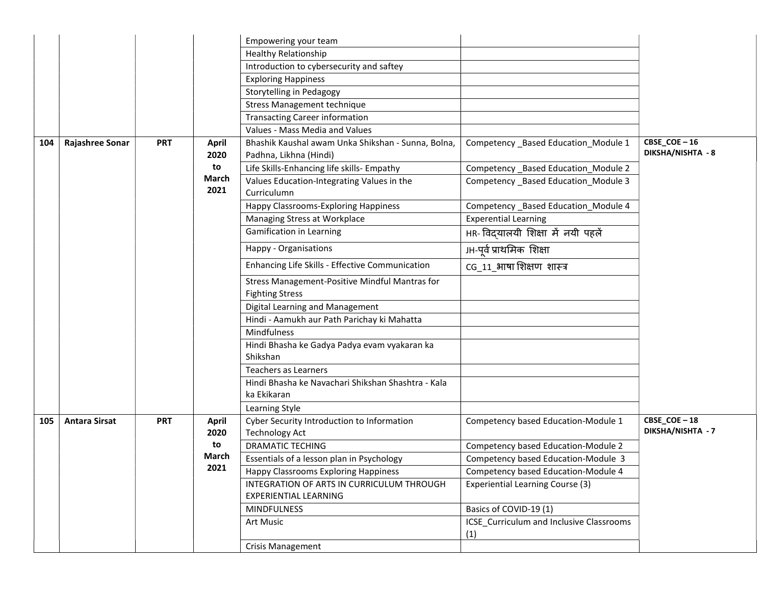|     |                      |            |                      | Empowering your team                                                         |                                                 |                                                     |
|-----|----------------------|------------|----------------------|------------------------------------------------------------------------------|-------------------------------------------------|-----------------------------------------------------|
|     |                      |            |                      | <b>Healthy Relationship</b>                                                  |                                                 |                                                     |
|     |                      |            |                      | Introduction to cybersecurity and saftey                                     |                                                 |                                                     |
|     |                      |            |                      | <b>Exploring Happiness</b>                                                   |                                                 |                                                     |
|     |                      |            |                      | Storytelling in Pedagogy                                                     |                                                 |                                                     |
|     |                      |            |                      | <b>Stress Management technique</b>                                           |                                                 |                                                     |
|     |                      |            |                      | <b>Transacting Career information</b>                                        |                                                 |                                                     |
|     |                      |            |                      | Values - Mass Media and Values                                               |                                                 |                                                     |
| 104 | Rajashree Sonar      | <b>PRT</b> | <b>April</b><br>2020 | Bhashik Kaushal awam Unka Shikshan - Sunna, Bolna,<br>Padhna, Likhna (Hindi) | Competency _Based Education_Module 1            | $CBSE$ <sub>_</sub> $COE - 16$<br>DIKSHA/NISHTA - 8 |
|     |                      |            | to                   | Life Skills-Enhancing life skills- Empathy                                   | Competency _Based Education_Module 2            |                                                     |
|     |                      |            | March                | Values Education-Integrating Values in the                                   | Competency Based Education Module 3             |                                                     |
|     |                      |            | 2021                 | Curriculumn                                                                  |                                                 |                                                     |
|     |                      |            |                      | Happy Classrooms-Exploring Happiness                                         | Competency _Based Education_Module 4            |                                                     |
|     |                      |            |                      | Managing Stress at Workplace                                                 | <b>Experential Learning</b>                     |                                                     |
|     |                      |            |                      | <b>Gamification in Learning</b>                                              | HR- विद्यालयी शिक्षा में नयी पहलें              |                                                     |
|     |                      |            |                      | Happy - Organisations                                                        | JH-पूर्व प्राथमिक शिक्षा                        |                                                     |
|     |                      |            |                      | Enhancing Life Skills - Effective Communication                              | CG 11 भाषा शिक्षण शास्त्र                       |                                                     |
|     |                      |            |                      | Stress Management-Positive Mindful Mantras for<br><b>Fighting Stress</b>     |                                                 |                                                     |
|     |                      |            |                      | Digital Learning and Management                                              |                                                 |                                                     |
|     |                      |            |                      | Hindi - Aamukh aur Path Parichay ki Mahatta                                  |                                                 |                                                     |
|     |                      |            |                      | Mindfulness                                                                  |                                                 |                                                     |
|     |                      |            |                      | Hindi Bhasha ke Gadya Padya evam vyakaran ka                                 |                                                 |                                                     |
|     |                      |            |                      | Shikshan                                                                     |                                                 |                                                     |
|     |                      |            |                      | <b>Teachers as Learners</b>                                                  |                                                 |                                                     |
|     |                      |            |                      | Hindi Bhasha ke Navachari Shikshan Shashtra - Kala<br>ka Ekikaran            |                                                 |                                                     |
|     |                      |            |                      | Learning Style                                                               |                                                 |                                                     |
| 105 | <b>Antara Sirsat</b> | <b>PRT</b> | <b>April</b>         | Cyber Security Introduction to Information                                   | Competency based Education-Module 1             | CBSE_COE-18                                         |
|     |                      |            | 2020                 | <b>Technology Act</b>                                                        |                                                 | DIKSHA/NISHTA - 7                                   |
|     |                      |            | to                   | <b>DRAMATIC TECHING</b>                                                      | Competency based Education-Module 2             |                                                     |
|     |                      |            | March                | Essentials of a lesson plan in Psychology                                    | Competency based Education-Module 3             |                                                     |
|     |                      |            | 2021                 | Happy Classrooms Exploring Happiness                                         | Competency based Education-Module 4             |                                                     |
|     |                      |            |                      | INTEGRATION OF ARTS IN CURRICULUM THROUGH                                    | Experiential Learning Course (3)                |                                                     |
|     |                      |            |                      | <b>EXPERIENTIAL LEARNING</b>                                                 |                                                 |                                                     |
|     |                      |            |                      | <b>MINDFULNESS</b>                                                           | Basics of COVID-19 (1)                          |                                                     |
|     |                      |            |                      | Art Music                                                                    | ICSE Curriculum and Inclusive Classrooms<br>(1) |                                                     |
|     |                      |            |                      | Crisis Management                                                            |                                                 |                                                     |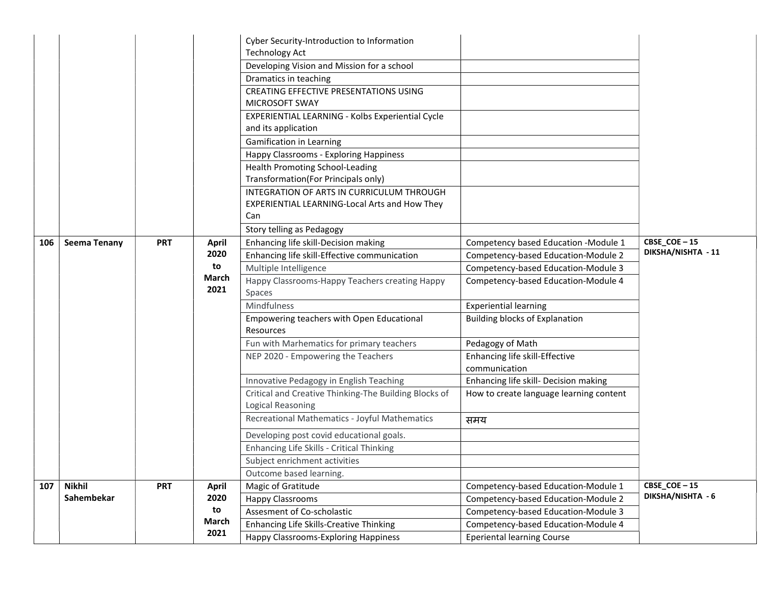|     |                     |            |               | Cyber Security-Introduction to Information                                 |                                         |                    |
|-----|---------------------|------------|---------------|----------------------------------------------------------------------------|-----------------------------------------|--------------------|
|     |                     |            |               | <b>Technology Act</b>                                                      |                                         |                    |
|     |                     |            |               | Developing Vision and Mission for a school                                 |                                         |                    |
|     |                     |            |               | Dramatics in teaching                                                      |                                         |                    |
|     |                     |            |               | <b>CREATING EFFECTIVE PRESENTATIONS USING</b>                              |                                         |                    |
|     |                     |            |               | MICROSOFT SWAY                                                             |                                         |                    |
|     |                     |            |               | EXPERIENTIAL LEARNING - Kolbs Experiential Cycle                           |                                         |                    |
|     |                     |            |               | and its application                                                        |                                         |                    |
|     |                     |            |               | <b>Gamification in Learning</b>                                            |                                         |                    |
|     |                     |            |               | Happy Classrooms - Exploring Happiness                                     |                                         |                    |
|     |                     |            |               | <b>Health Promoting School-Leading</b>                                     |                                         |                    |
|     |                     |            |               | Transformation(For Principals only)                                        |                                         |                    |
|     |                     |            |               | INTEGRATION OF ARTS IN CURRICULUM THROUGH                                  |                                         |                    |
|     |                     |            |               | EXPERIENTIAL LEARNING-Local Arts and How They                              |                                         |                    |
|     |                     |            |               | Can                                                                        |                                         |                    |
|     |                     |            |               | Story telling as Pedagogy                                                  |                                         |                    |
| 106 | <b>Seema Tenany</b> | <b>PRT</b> | <b>April</b>  | Enhancing life skill-Decision making                                       | Competency based Education -Module 1    | CBSE_COE-15        |
|     |                     |            | 2020          | Enhancing life skill-Effective communication                               | Competency-based Education-Module 2     | DIKSHA/NISHTA - 11 |
|     |                     |            | to            | Multiple Intelligence                                                      | Competency-based Education-Module 3     |                    |
|     |                     |            | March<br>2021 | Happy Classrooms-Happy Teachers creating Happy<br>Spaces                   | Competency-based Education-Module 4     |                    |
|     |                     |            |               | Mindfulness                                                                | <b>Experiential learning</b>            |                    |
|     |                     |            |               | Empowering teachers with Open Educational                                  | Building blocks of Explanation          |                    |
|     |                     |            |               | <b>Resources</b>                                                           |                                         |                    |
|     |                     |            |               | Fun with Marhematics for primary teachers                                  | Pedagogy of Math                        |                    |
|     |                     |            |               | NEP 2020 - Empowering the Teachers                                         | Enhancing life skill-Effective          |                    |
|     |                     |            |               |                                                                            | communication                           |                    |
|     |                     |            |               | Innovative Pedagogy in English Teaching                                    | Enhancing life skill- Decision making   |                    |
|     |                     |            |               | Critical and Creative Thinking-The Building Blocks of<br>Logical Reasoning | How to create language learning content |                    |
|     |                     |            |               | Recreational Mathematics - Joyful Mathematics                              | समय                                     |                    |
|     |                     |            |               | Developing post covid educational goals.                                   |                                         |                    |
|     |                     |            |               | Enhancing Life Skills - Critical Thinking                                  |                                         |                    |
|     |                     |            |               | Subject enrichment activities                                              |                                         |                    |
|     |                     |            |               | Outcome based learning.                                                    |                                         |                    |
| 107 | <b>Nikhil</b>       | <b>PRT</b> | <b>April</b>  | Magic of Gratitude                                                         | Competency-based Education-Module 1     | CBSE_COE-15        |
|     | Sahembekar          |            | 2020          | <b>Happy Classrooms</b>                                                    | Competency-based Education-Module 2     | DIKSHA/NISHTA - 6  |
|     |                     |            | to            | Assesment of Co-scholastic                                                 | Competency-based Education-Module 3     |                    |
|     |                     |            | March         | <b>Enhancing Life Skills-Creative Thinking</b>                             | Competency-based Education-Module 4     |                    |
|     |                     |            | 2021          | Happy Classrooms-Exploring Happiness                                       | <b>Eperiental learning Course</b>       |                    |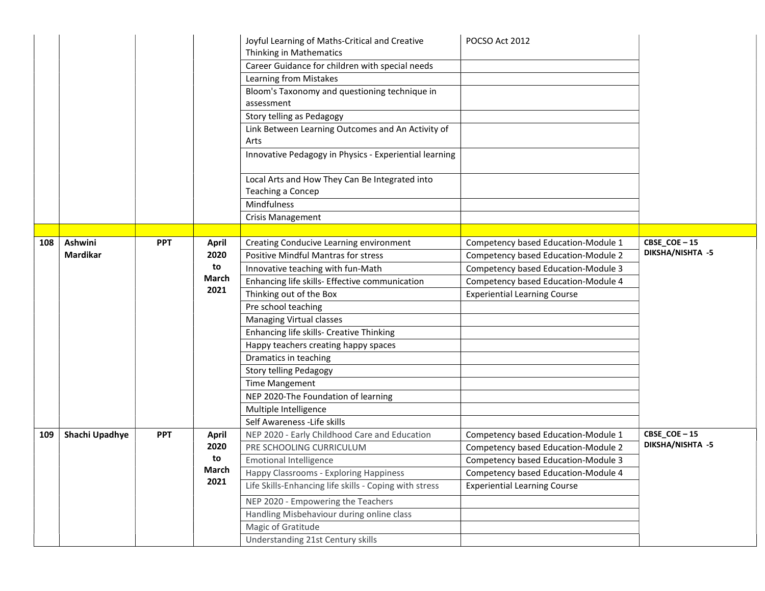|     |                 |            |              | Joyful Learning of Maths-Critical and Creative            | POCSO Act 2012                      |                  |
|-----|-----------------|------------|--------------|-----------------------------------------------------------|-------------------------------------|------------------|
|     |                 |            |              | Thinking in Mathematics                                   |                                     |                  |
|     |                 |            |              | Career Guidance for children with special needs           |                                     |                  |
|     |                 |            |              | Learning from Mistakes                                    |                                     |                  |
|     |                 |            |              | Bloom's Taxonomy and questioning technique in             |                                     |                  |
|     |                 |            |              | assessment                                                |                                     |                  |
|     |                 |            |              | Story telling as Pedagogy                                 |                                     |                  |
|     |                 |            |              | Link Between Learning Outcomes and An Activity of<br>Arts |                                     |                  |
|     |                 |            |              | Innovative Pedagogy in Physics - Experiential learning    |                                     |                  |
|     |                 |            |              | Local Arts and How They Can Be Integrated into            |                                     |                  |
|     |                 |            |              | Teaching a Concep                                         |                                     |                  |
|     |                 |            |              | Mindfulness                                               |                                     |                  |
|     |                 |            |              | <b>Crisis Management</b>                                  |                                     |                  |
|     |                 |            |              |                                                           |                                     |                  |
| 108 | Ashwini         | <b>PPT</b> | <b>April</b> | Creating Conducive Learning environment                   | Competency based Education-Module 1 | CBSE_COE-15      |
|     | <b>Mardikar</b> |            | 2020         | Positive Mindful Mantras for stress                       | Competency based Education-Module 2 | DIKSHA/NISHTA -5 |
|     |                 |            | to           | Innovative teaching with fun-Math                         | Competency based Education-Module 3 |                  |
|     |                 |            | <b>March</b> | Enhancing life skills- Effective communication            | Competency based Education-Module 4 |                  |
|     |                 |            | 2021         | Thinking out of the Box                                   | <b>Experiential Learning Course</b> |                  |
|     |                 |            |              | Pre school teaching                                       |                                     |                  |
|     |                 |            |              | Managing Virtual classes                                  |                                     |                  |
|     |                 |            |              | Enhancing life skills- Creative Thinking                  |                                     |                  |
|     |                 |            |              | Happy teachers creating happy spaces                      |                                     |                  |
|     |                 |            |              | Dramatics in teaching                                     |                                     |                  |
|     |                 |            |              | Story telling Pedagogy                                    |                                     |                  |
|     |                 |            |              | <b>Time Mangement</b>                                     |                                     |                  |
|     |                 |            |              | NEP 2020-The Foundation of learning                       |                                     |                  |
|     |                 |            |              | Multiple Intelligence                                     |                                     |                  |
|     |                 |            |              | Self Awareness - Life skills                              |                                     |                  |
| 109 | Shachi Upadhye  | <b>PPT</b> | <b>April</b> | NEP 2020 - Early Childhood Care and Education             | Competency based Education-Module 1 | CBSE_COE-15      |
|     |                 |            | 2020         | PRE SCHOOLING CURRICULUM                                  | Competency based Education-Module 2 | DIKSHA/NISHTA -5 |
|     |                 |            | to           | <b>Emotional Intelligence</b>                             | Competency based Education-Module 3 |                  |
|     |                 |            | March        | Happy Classrooms - Exploring Happiness                    | Competency based Education-Module 4 |                  |
|     |                 |            | 2021         | Life Skills-Enhancing life skills - Coping with stress    | <b>Experiential Learning Course</b> |                  |
|     |                 |            |              | NEP 2020 - Empowering the Teachers                        |                                     |                  |
|     |                 |            |              | Handling Misbehaviour during online class                 |                                     |                  |
|     |                 |            |              | Magic of Gratitude                                        |                                     |                  |
|     |                 |            |              | Understanding 21st Century skills                         |                                     |                  |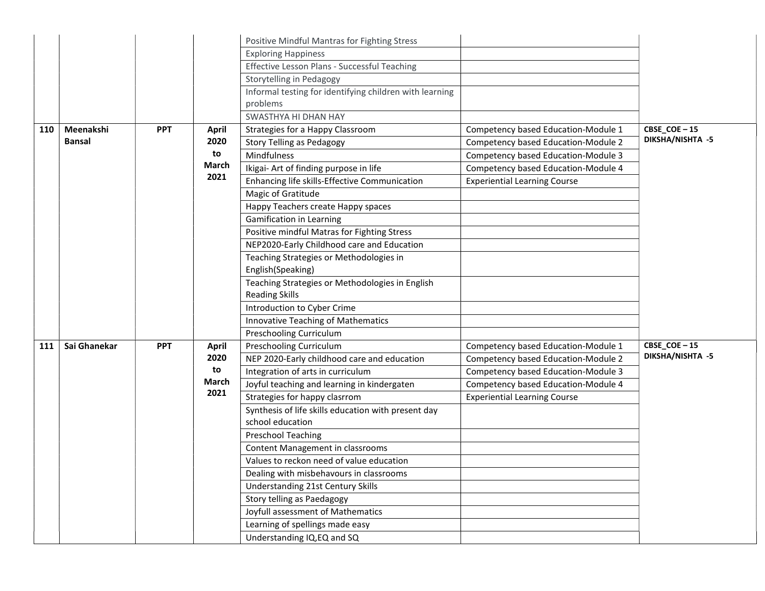|     |               |            |              | Positive Mindful Mantras for Fighting Stress                            |                                     |                  |
|-----|---------------|------------|--------------|-------------------------------------------------------------------------|-------------------------------------|------------------|
|     |               |            |              | <b>Exploring Happiness</b>                                              |                                     |                  |
|     |               |            |              | Effective Lesson Plans - Successful Teaching                            |                                     |                  |
|     |               |            |              | Storytelling in Pedagogy                                                |                                     |                  |
|     |               |            |              | Informal testing for identifying children with learning                 |                                     |                  |
|     |               |            |              | problems                                                                |                                     |                  |
|     |               |            |              | SWASTHYA HI DHAN HAY                                                    |                                     |                  |
| 110 | Meenakshi     | <b>PPT</b> | <b>April</b> | Strategies for a Happy Classroom                                        | Competency based Education-Module 1 | CBSE_COE-15      |
|     | <b>Bansal</b> |            | 2020         | <b>Story Telling as Pedagogy</b>                                        | Competency based Education-Module 2 | DIKSHA/NISHTA -5 |
|     |               |            | to           | Mindfulness                                                             | Competency based Education-Module 3 |                  |
|     |               |            | March        | Ikigai- Art of finding purpose in life                                  | Competency based Education-Module 4 |                  |
|     |               |            | 2021         | Enhancing life skills-Effective Communication                           | <b>Experiential Learning Course</b> |                  |
|     |               |            |              | Magic of Gratitude                                                      |                                     |                  |
|     |               |            |              | Happy Teachers create Happy spaces                                      |                                     |                  |
|     |               |            |              | <b>Gamification in Learning</b>                                         |                                     |                  |
|     |               |            |              | Positive mindful Matras for Fighting Stress                             |                                     |                  |
|     |               |            |              | NEP2020-Early Childhood care and Education                              |                                     |                  |
|     |               |            |              | Teaching Strategies or Methodologies in<br>English(Speaking)            |                                     |                  |
|     |               |            |              | Teaching Strategies or Methodologies in English                         |                                     |                  |
|     |               |            |              | <b>Reading Skills</b>                                                   |                                     |                  |
|     |               |            |              | Introduction to Cyber Crime                                             |                                     |                  |
|     |               |            |              | Innovative Teaching of Mathematics                                      |                                     |                  |
|     |               |            |              | Preschooling Curriculum                                                 |                                     |                  |
| 111 | Sai Ghanekar  | <b>PPT</b> | <b>April</b> | Preschooling Curriculum                                                 | Competency based Education-Module 1 | CBSE_COE-15      |
|     |               |            | 2020         | NEP 2020-Early childhood care and education                             | Competency based Education-Module 2 | DIKSHA/NISHTA -5 |
|     |               |            | to           | Integration of arts in curriculum                                       | Competency based Education-Module 3 |                  |
|     |               |            | March        | Joyful teaching and learning in kindergaten                             | Competency based Education-Module 4 |                  |
|     |               |            | 2021         | Strategies for happy clasrrom                                           | <b>Experiential Learning Course</b> |                  |
|     |               |            |              | Synthesis of life skills education with present day<br>school education |                                     |                  |
|     |               |            |              | <b>Preschool Teaching</b>                                               |                                     |                  |
|     |               |            |              | Content Management in classrooms                                        |                                     |                  |
|     |               |            |              | Values to reckon need of value education                                |                                     |                  |
|     |               |            |              | Dealing with misbehavours in classrooms                                 |                                     |                  |
|     |               |            |              | Understanding 21st Century Skills                                       |                                     |                  |
|     |               |            |              | Story telling as Paedagogy                                              |                                     |                  |
|     |               |            |              | Joyfull assessment of Mathematics                                       |                                     |                  |
|     |               |            |              | Learning of spellings made easy                                         |                                     |                  |
|     |               |            |              | Understanding IQ, EQ and SQ                                             |                                     |                  |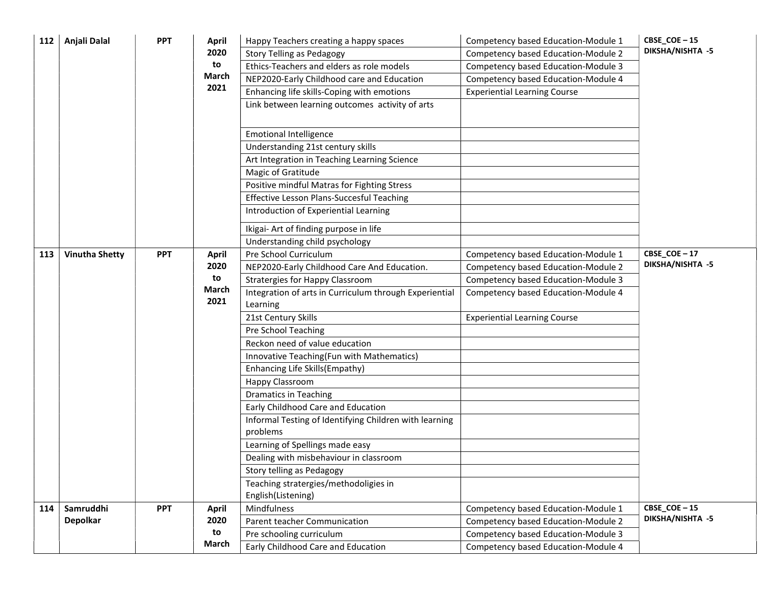| 112 | Anjali Dalal          | <b>PPT</b> | <b>April</b> | Happy Teachers creating a happy spaces                 | Competency based Education-Module 1 | CBSE_COE-15      |
|-----|-----------------------|------------|--------------|--------------------------------------------------------|-------------------------------------|------------------|
|     |                       |            | 2020         | <b>Story Telling as Pedagogy</b>                       | Competency based Education-Module 2 | DIKSHA/NISHTA -5 |
|     |                       |            | to           | Ethics-Teachers and elders as role models              | Competency based Education-Module 3 |                  |
|     |                       |            | March        | NEP2020-Early Childhood care and Education             | Competency based Education-Module 4 |                  |
|     |                       |            | 2021         | Enhancing life skills-Coping with emotions             | <b>Experiential Learning Course</b> |                  |
|     |                       |            |              | Link between learning outcomes activity of arts        |                                     |                  |
|     |                       |            |              |                                                        |                                     |                  |
|     |                       |            |              | <b>Emotional Intelligence</b>                          |                                     |                  |
|     |                       |            |              | Understanding 21st century skills                      |                                     |                  |
|     |                       |            |              | Art Integration in Teaching Learning Science           |                                     |                  |
|     |                       |            |              | Magic of Gratitude                                     |                                     |                  |
|     |                       |            |              | Positive mindful Matras for Fighting Stress            |                                     |                  |
|     |                       |            |              | Effective Lesson Plans-Succesful Teaching              |                                     |                  |
|     |                       |            |              | Introduction of Experiential Learning                  |                                     |                  |
|     |                       |            |              | Ikigai- Art of finding purpose in life                 |                                     |                  |
|     |                       |            |              | Understanding child psychology                         |                                     |                  |
| 113 | <b>Vinutha Shetty</b> | <b>PPT</b> | <b>April</b> | Pre School Curriculum                                  | Competency based Education-Module 1 | CBSE_COE-17      |
|     |                       |            | 2020         | NEP2020-Early Childhood Care And Education.            | Competency based Education-Module 2 | DIKSHA/NISHTA -5 |
|     |                       |            | to           | <b>Stratergies for Happy Classroom</b>                 | Competency based Education-Module 3 |                  |
|     |                       |            | March        | Integration of arts in Curriculum through Experiential | Competency based Education-Module 4 |                  |
|     |                       |            | 2021         | Learning                                               |                                     |                  |
|     |                       |            |              | 21st Century Skills                                    | <b>Experiential Learning Course</b> |                  |
|     |                       |            |              | Pre School Teaching                                    |                                     |                  |
|     |                       |            |              | Reckon need of value education                         |                                     |                  |
|     |                       |            |              | Innovative Teaching(Fun with Mathematics)              |                                     |                  |
|     |                       |            |              | Enhancing Life Skills(Empathy)                         |                                     |                  |
|     |                       |            |              | Happy Classroom                                        |                                     |                  |
|     |                       |            |              | <b>Dramatics in Teaching</b>                           |                                     |                  |
|     |                       |            |              | Early Childhood Care and Education                     |                                     |                  |
|     |                       |            |              | Informal Testing of Identifying Children with learning |                                     |                  |
|     |                       |            |              | problems                                               |                                     |                  |
|     |                       |            |              | Learning of Spellings made easy                        |                                     |                  |
|     |                       |            |              | Dealing with misbehaviour in classroom                 |                                     |                  |
|     |                       |            |              | Story telling as Pedagogy                              |                                     |                  |
|     |                       |            |              | Teaching stratergies/methodoligies in                  |                                     |                  |
|     |                       |            |              | English(Listening)                                     |                                     |                  |
| 114 | Samruddhi             | <b>PPT</b> | <b>April</b> | Mindfulness                                            | Competency based Education-Module 1 | CBSE_COE-15      |
|     | <b>Depolkar</b>       |            | 2020         | Parent teacher Communication                           | Competency based Education-Module 2 | DIKSHA/NISHTA -5 |
|     |                       |            | to           | Pre schooling curriculum                               | Competency based Education-Module 3 |                  |
|     |                       |            | March        | Early Childhood Care and Education                     | Competency based Education-Module 4 |                  |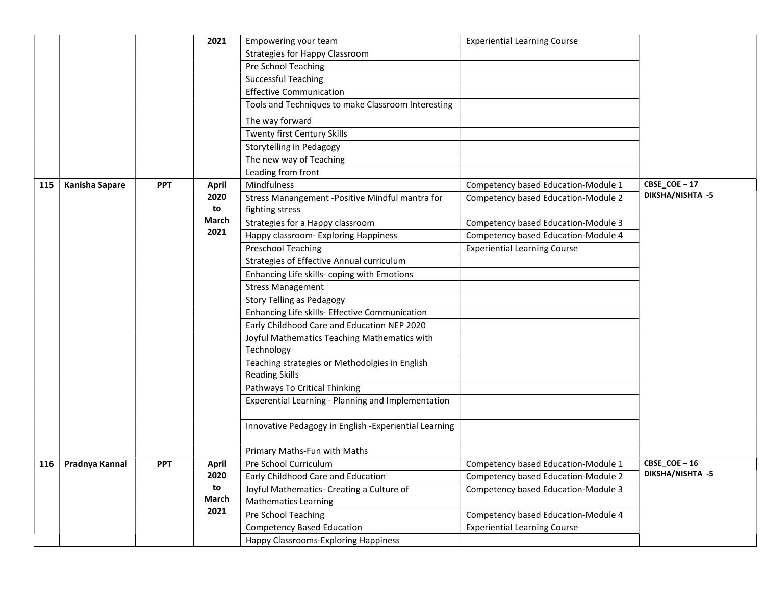|     |                       |            | 2021         | Empowering your team                                               | <b>Experiential Learning Course</b> |                         |
|-----|-----------------------|------------|--------------|--------------------------------------------------------------------|-------------------------------------|-------------------------|
|     |                       |            |              | Strategies for Happy Classroom                                     |                                     |                         |
|     |                       |            |              | Pre School Teaching                                                |                                     |                         |
|     |                       |            |              | <b>Successful Teaching</b>                                         |                                     |                         |
|     |                       |            |              | <b>Effective Communication</b>                                     |                                     |                         |
|     |                       |            |              | Tools and Techniques to make Classroom Interesting                 |                                     |                         |
|     |                       |            |              | The way forward                                                    |                                     |                         |
|     |                       |            |              | Twenty first Century Skills                                        |                                     |                         |
|     |                       |            |              | Storytelling in Pedagogy                                           |                                     |                         |
|     |                       |            |              | The new way of Teaching                                            |                                     |                         |
|     |                       |            |              | Leading from front                                                 |                                     |                         |
| 115 | <b>Kanisha Sapare</b> | <b>PPT</b> | <b>April</b> | Mindfulness                                                        | Competency based Education-Module 1 | CBSE_COE-17             |
|     |                       |            | 2020<br>to   | Stress Manangement -Positive Mindful mantra for<br>fighting stress | Competency based Education-Module 2 | DIKSHA/NISHTA -5        |
|     |                       |            | March        | Strategies for a Happy classroom                                   | Competency based Education-Module 3 |                         |
|     |                       |            | 2021         | Happy classroom- Exploring Happiness                               | Competency based Education-Module 4 |                         |
|     |                       |            |              | Preschool Teaching                                                 | <b>Experiential Learning Course</b> |                         |
|     |                       |            |              | Strategies of Effective Annual curriculum                          |                                     |                         |
|     |                       |            |              | Enhancing Life skills- coping with Emotions                        |                                     |                         |
|     |                       |            |              | <b>Stress Management</b>                                           |                                     |                         |
|     |                       |            |              | Story Telling as Pedagogy                                          |                                     |                         |
|     |                       |            |              | Enhancing Life skills- Effective Communication                     |                                     |                         |
|     |                       |            |              | Early Childhood Care and Education NEP 2020                        |                                     |                         |
|     |                       |            |              | Joyful Mathematics Teaching Mathematics with                       |                                     |                         |
|     |                       |            |              | Technology                                                         |                                     |                         |
|     |                       |            |              | Teaching strategies or Methodolgies in English                     |                                     |                         |
|     |                       |            |              | <b>Reading Skills</b>                                              |                                     |                         |
|     |                       |            |              | Pathways To Critical Thinking                                      |                                     |                         |
|     |                       |            |              | Experential Learning - Planning and Implementation                 |                                     |                         |
|     |                       |            |              |                                                                    |                                     |                         |
|     |                       |            |              | Innovative Pedagogy in English -Experiential Learning              |                                     |                         |
|     |                       |            |              | Primary Maths-Fun with Maths                                       |                                     |                         |
| 116 | Pradnya Kannal        | <b>PPT</b> | April        | Pre School Curriculum                                              | Competency based Education-Module 1 | CBSE COE-16             |
|     |                       |            | 2020         | Early Childhood Care and Education                                 | Competency based Education-Module 2 | <b>DIKSHA/NISHTA -5</b> |
|     |                       |            | to           | Joyful Mathematics- Creating a Culture of                          | Competency based Education-Module 3 |                         |
|     |                       |            | March        | <b>Mathematics Learning</b>                                        |                                     |                         |
|     |                       |            | 2021         | Pre School Teaching                                                | Competency based Education-Module 4 |                         |
|     |                       |            |              | <b>Competency Based Education</b>                                  | <b>Experiential Learning Course</b> |                         |
|     |                       |            |              | Happy Classrooms-Exploring Happiness                               |                                     |                         |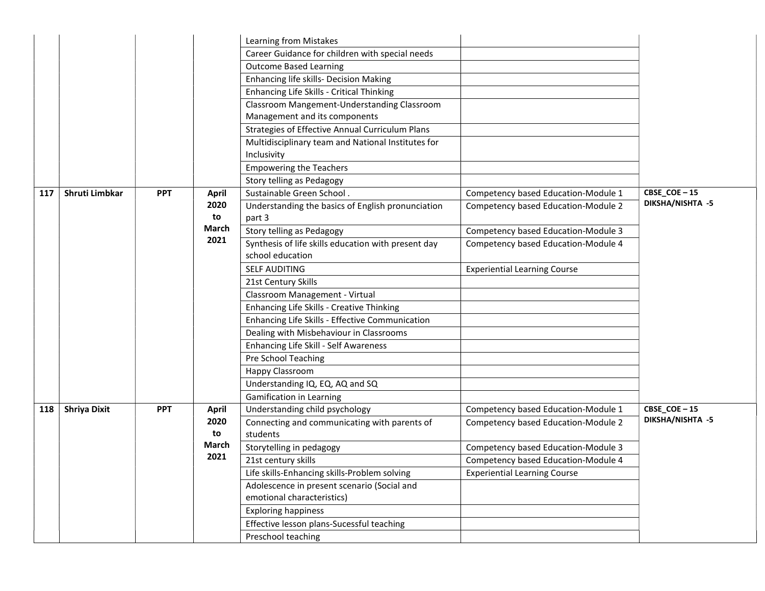|     |                     |            |              | Learning from Mistakes                              |                                     |                                 |
|-----|---------------------|------------|--------------|-----------------------------------------------------|-------------------------------------|---------------------------------|
|     |                     |            |              | Career Guidance for children with special needs     |                                     |                                 |
|     |                     |            |              | <b>Outcome Based Learning</b>                       |                                     |                                 |
|     |                     |            |              | Enhancing life skills- Decision Making              |                                     |                                 |
|     |                     |            |              | Enhancing Life Skills - Critical Thinking           |                                     |                                 |
|     |                     |            |              | Classroom Mangement-Understanding Classroom         |                                     |                                 |
|     |                     |            |              | Management and its components                       |                                     |                                 |
|     |                     |            |              | Strategies of Effective Annual Curriculum Plans     |                                     |                                 |
|     |                     |            |              | Multidisciplinary team and National Institutes for  |                                     |                                 |
|     |                     |            |              | Inclusivity                                         |                                     |                                 |
|     |                     |            |              | <b>Empowering the Teachers</b>                      |                                     |                                 |
|     |                     |            |              | Story telling as Pedagogy                           |                                     |                                 |
| 117 | Shruti Limbkar      | <b>PPT</b> | <b>April</b> | Sustainable Green School.                           | Competency based Education-Module 1 | CBSE_COE-15                     |
|     |                     |            | 2020         | Understanding the basics of English pronunciation   | Competency based Education-Module 2 | DIKSHA/NISHTA -5                |
|     |                     |            | to           | part 3                                              |                                     |                                 |
|     |                     |            | <b>March</b> | Story telling as Pedagogy                           | Competency based Education-Module 3 |                                 |
|     |                     |            | 2021         | Synthesis of life skills education with present day | Competency based Education-Module 4 |                                 |
|     |                     |            |              | school education                                    |                                     |                                 |
|     |                     |            |              | <b>SELF AUDITING</b>                                | <b>Experiential Learning Course</b> |                                 |
|     |                     |            |              | 21st Century Skills                                 |                                     |                                 |
|     |                     |            |              | Classroom Management - Virtual                      |                                     |                                 |
|     |                     |            |              | Enhancing Life Skills - Creative Thinking           |                                     |                                 |
|     |                     |            |              | Enhancing Life Skills - Effective Communication     |                                     |                                 |
|     |                     |            |              | Dealing with Misbehaviour in Classrooms             |                                     |                                 |
|     |                     |            |              | Enhancing Life Skill - Self Awareness               |                                     |                                 |
|     |                     |            |              | Pre School Teaching                                 |                                     |                                 |
|     |                     |            |              | Happy Classroom                                     |                                     |                                 |
|     |                     |            |              | Understanding IQ, EQ, AQ and SQ                     |                                     |                                 |
|     |                     |            |              | <b>Gamification in Learning</b>                     |                                     |                                 |
| 118 | <b>Shriya Dixit</b> | <b>PPT</b> | April        | Understanding child psychology                      | Competency based Education-Module 1 | CBSE_COE-15<br>DIKSHA/NISHTA -5 |
|     |                     |            | 2020         | Connecting and communicating with parents of        | Competency based Education-Module 2 |                                 |
|     |                     |            | to<br>March  | students                                            |                                     |                                 |
|     |                     |            | 2021         | Storytelling in pedagogy                            | Competency based Education-Module 3 |                                 |
|     |                     |            |              | 21st century skills                                 | Competency based Education-Module 4 |                                 |
|     |                     |            |              | Life skills-Enhancing skills-Problem solving        | <b>Experiential Learning Course</b> |                                 |
|     |                     |            |              | Adolescence in present scenario (Social and         |                                     |                                 |
|     |                     |            |              | emotional characteristics)                          |                                     |                                 |
|     |                     |            |              | <b>Exploring happiness</b>                          |                                     |                                 |
|     |                     |            |              | Effective lesson plans-Sucessful teaching           |                                     |                                 |
|     |                     |            |              | Preschool teaching                                  |                                     |                                 |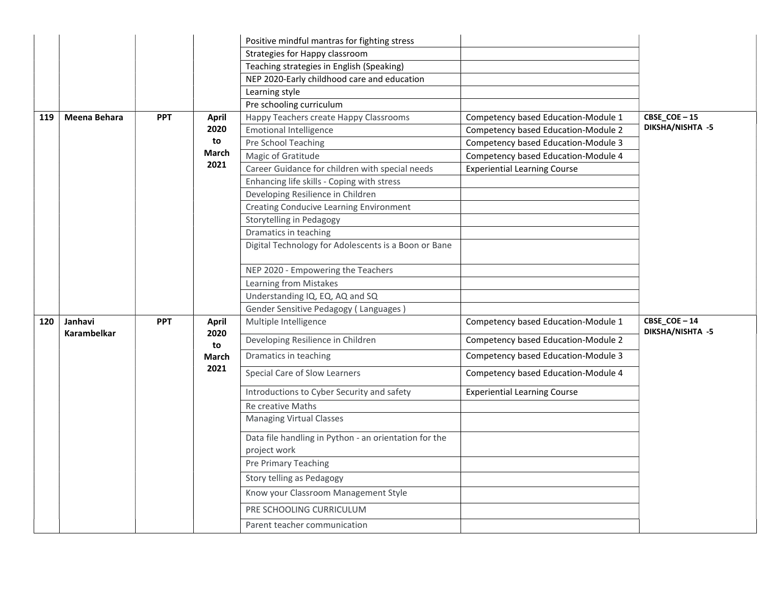|     |                               |            |                      | Positive mindful mantras for fighting stress          |                                     |                                                    |
|-----|-------------------------------|------------|----------------------|-------------------------------------------------------|-------------------------------------|----------------------------------------------------|
|     |                               |            |                      | Strategies for Happy classroom                        |                                     |                                                    |
|     |                               |            |                      | Teaching strategies in English (Speaking)             |                                     |                                                    |
|     |                               |            |                      | NEP 2020-Early childhood care and education           |                                     |                                                    |
|     |                               |            |                      | Learning style                                        |                                     |                                                    |
|     |                               |            |                      | Pre schooling curriculum                              |                                     |                                                    |
| 119 | Meena Behara                  | <b>PPT</b> | <b>April</b>         | Happy Teachers create Happy Classrooms                | Competency based Education-Module 1 | CBSE_COE-15                                        |
|     |                               |            | 2020                 | <b>Emotional Intelligence</b>                         | Competency based Education-Module 2 | DIKSHA/NISHTA -5                                   |
|     |                               |            | to                   | Pre School Teaching                                   | Competency based Education-Module 3 |                                                    |
|     |                               |            | March                | Magic of Gratitude                                    | Competency based Education-Module 4 |                                                    |
|     |                               |            | 2021                 | Career Guidance for children with special needs       | <b>Experiential Learning Course</b> |                                                    |
|     |                               |            |                      | Enhancing life skills - Coping with stress            |                                     |                                                    |
|     |                               |            |                      | Developing Resilience in Children                     |                                     |                                                    |
|     |                               |            |                      | Creating Conducive Learning Environment               |                                     |                                                    |
|     |                               |            |                      | Storytelling in Pedagogy                              |                                     |                                                    |
|     |                               |            |                      | Dramatics in teaching                                 |                                     |                                                    |
|     |                               |            |                      | Digital Technology for Adolescents is a Boon or Bane  |                                     |                                                    |
|     |                               |            |                      | NEP 2020 - Empowering the Teachers                    |                                     |                                                    |
|     |                               |            |                      | Learning from Mistakes                                |                                     |                                                    |
|     |                               |            |                      | Understanding IQ, EQ, AQ and SQ                       |                                     |                                                    |
|     |                               |            |                      | Gender Sensitive Pedagogy (Languages)                 |                                     |                                                    |
| 120 | Janhavi<br><b>Karambelkar</b> | <b>PPT</b> | <b>April</b><br>2020 | Multiple Intelligence                                 | Competency based Education-Module 1 | $CBSE$ <sup>_</sup> $COE - 14$<br>DIKSHA/NISHTA -5 |
|     |                               |            | to                   | Developing Resilience in Children                     | Competency based Education-Module 2 |                                                    |
|     |                               |            | March                | Dramatics in teaching                                 | Competency based Education-Module 3 |                                                    |
|     |                               |            | 2021                 | Special Care of Slow Learners                         | Competency based Education-Module 4 |                                                    |
|     |                               |            |                      | Introductions to Cyber Security and safety            | <b>Experiential Learning Course</b> |                                                    |
|     |                               |            |                      | <b>Re creative Maths</b>                              |                                     |                                                    |
|     |                               |            |                      | <b>Managing Virtual Classes</b>                       |                                     |                                                    |
|     |                               |            |                      | Data file handling in Python - an orientation for the |                                     |                                                    |
|     |                               |            |                      | project work                                          |                                     |                                                    |
|     |                               |            |                      | Pre Primary Teaching                                  |                                     |                                                    |
|     |                               |            |                      | Story telling as Pedagogy                             |                                     |                                                    |
|     |                               |            |                      | Know your Classroom Management Style                  |                                     |                                                    |
|     |                               |            |                      | PRE SCHOOLING CURRICULUM                              |                                     |                                                    |
|     |                               |            |                      | Parent teacher communication                          |                                     |                                                    |
|     |                               |            |                      |                                                       |                                     |                                                    |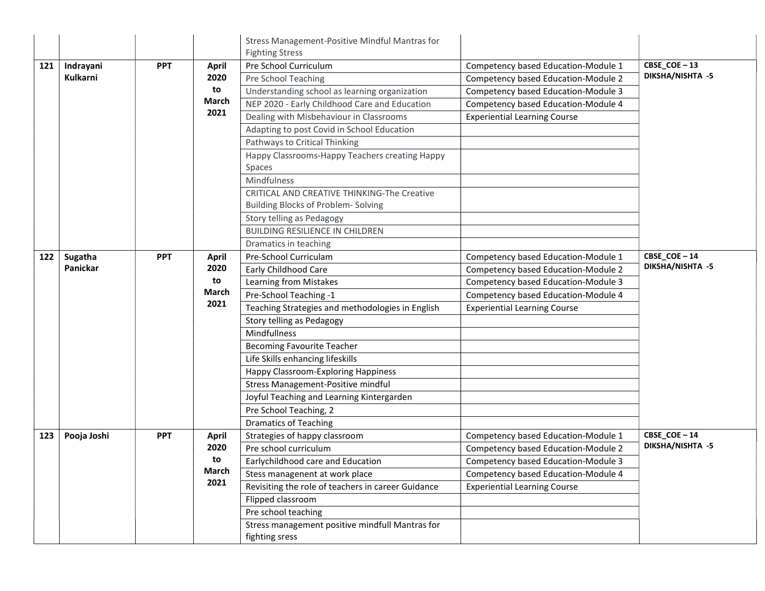|     |             |            |              | Stress Management-Positive Mindful Mantras for                    |                                     |                  |
|-----|-------------|------------|--------------|-------------------------------------------------------------------|-------------------------------------|------------------|
|     |             |            |              | <b>Fighting Stress</b>                                            |                                     |                  |
| 121 | Indrayani   | <b>PPT</b> | <b>April</b> | Pre School Curriculum                                             | Competency based Education-Module 1 | CBSE_COE-13      |
|     | Kulkarni    |            | 2020         | Pre School Teaching                                               | Competency based Education-Module 2 | DIKSHA/NISHTA -5 |
|     |             |            | to           | Understanding school as learning organization                     | Competency based Education-Module 3 |                  |
|     |             |            | March        | NEP 2020 - Early Childhood Care and Education                     | Competency based Education-Module 4 |                  |
|     |             |            | 2021         | Dealing with Misbehaviour in Classrooms                           | <b>Experiential Learning Course</b> |                  |
|     |             |            |              | Adapting to post Covid in School Education                        |                                     |                  |
|     |             |            |              | Pathways to Critical Thinking                                     |                                     |                  |
|     |             |            |              | Happy Classrooms-Happy Teachers creating Happy                    |                                     |                  |
|     |             |            |              | Spaces                                                            |                                     |                  |
|     |             |            |              | Mindfulness                                                       |                                     |                  |
|     |             |            |              | CRITICAL AND CREATIVE THINKING-The Creative                       |                                     |                  |
|     |             |            |              | Building Blocks of Problem-Solving                                |                                     |                  |
|     |             |            |              | Story telling as Pedagogy                                         |                                     |                  |
|     |             |            |              | <b>BUILDING RESILIENCE IN CHILDREN</b>                            |                                     |                  |
|     |             |            |              | Dramatics in teaching                                             |                                     |                  |
| 122 | Sugatha     | <b>PPT</b> | <b>April</b> | Pre-School Curriculam                                             | Competency based Education-Module 1 | CBSE_COE-14      |
|     | Panickar    |            | 2020         | Early Childhood Care                                              | Competency based Education-Module 2 | DIKSHA/NISHTA -5 |
|     |             |            | to           | Learning from Mistakes                                            | Competency based Education-Module 3 |                  |
|     |             |            | March        | Pre-School Teaching -1                                            | Competency based Education-Module 4 |                  |
|     |             |            | 2021         | Teaching Strategies and methodologies in English                  | <b>Experiential Learning Course</b> |                  |
|     |             |            |              | Story telling as Pedagogy                                         |                                     |                  |
|     |             |            |              | Mindfullness                                                      |                                     |                  |
|     |             |            |              | <b>Becoming Favourite Teacher</b>                                 |                                     |                  |
|     |             |            |              | Life Skills enhancing lifeskills                                  |                                     |                  |
|     |             |            |              | Happy Classroom-Exploring Happiness                               |                                     |                  |
|     |             |            |              | Stress Management-Positive mindful                                |                                     |                  |
|     |             |            |              | Joyful Teaching and Learning Kintergarden                         |                                     |                  |
|     |             |            |              | Pre School Teaching, 2                                            |                                     |                  |
|     |             |            |              | <b>Dramatics of Teaching</b>                                      |                                     |                  |
| 123 | Pooja Joshi | <b>PPT</b> | <b>April</b> | Strategies of happy classroom                                     | Competency based Education-Module 1 | CBSE_COE-14      |
|     |             |            | 2020         | Pre school curriculum                                             | Competency based Education-Module 2 | DIKSHA/NISHTA -5 |
|     |             |            | to           | Earlychildhood care and Education                                 | Competency based Education-Module 3 |                  |
|     |             |            | March        | Stess managenent at work place                                    | Competency based Education-Module 4 |                  |
|     |             |            | 2021         | Revisiting the role of teachers in career Guidance                | <b>Experiential Learning Course</b> |                  |
|     |             |            |              | Flipped classroom                                                 |                                     |                  |
|     |             |            |              | Pre school teaching                                               |                                     |                  |
|     |             |            |              | Stress management positive mindfull Mantras for<br>fighting sress |                                     |                  |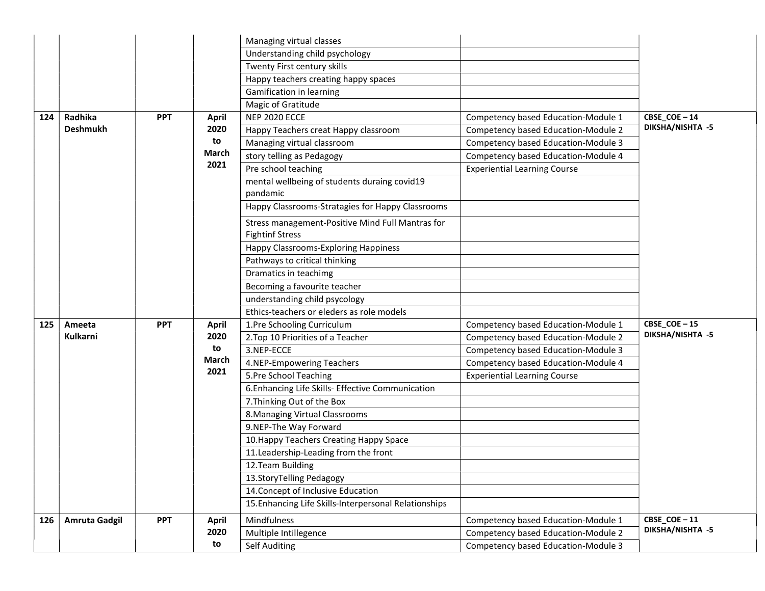|     |                      |            |              | Managing virtual classes                              |                                     |                             |
|-----|----------------------|------------|--------------|-------------------------------------------------------|-------------------------------------|-----------------------------|
|     |                      |            |              | Understanding child psychology                        |                                     |                             |
|     |                      |            |              | Twenty First century skills                           |                                     |                             |
|     |                      |            |              | Happy teachers creating happy spaces                  |                                     |                             |
|     |                      |            |              | Gamification in learning                              |                                     |                             |
|     |                      |            |              | Magic of Gratitude                                    |                                     |                             |
| 124 | Radhika              | <b>PPT</b> | <b>April</b> | <b>NEP 2020 ECCE</b>                                  | Competency based Education-Module 1 | CBSE_COE-14                 |
|     | <b>Deshmukh</b>      |            | 2020         | Happy Teachers creat Happy classroom                  | Competency based Education-Module 2 | DIKSHA/NISHTA -5            |
|     |                      |            | to           | Managing virtual classroom                            | Competency based Education-Module 3 |                             |
|     |                      |            | March        | story telling as Pedagogy                             | Competency based Education-Module 4 |                             |
|     |                      |            | 2021         | Pre school teaching                                   | <b>Experiential Learning Course</b> |                             |
|     |                      |            |              | mental wellbeing of students duraing covid19          |                                     |                             |
|     |                      |            |              | pandamic                                              |                                     |                             |
|     |                      |            |              | Happy Classrooms-Stratagies for Happy Classrooms      |                                     |                             |
|     |                      |            |              | Stress management-Positive Mind Full Mantras for      |                                     |                             |
|     |                      |            |              | <b>Fightinf Stress</b>                                |                                     |                             |
|     |                      |            |              | Happy Classrooms-Exploring Happiness                  |                                     |                             |
|     |                      |            |              | Pathways to critical thinking                         |                                     |                             |
|     |                      |            |              | Dramatics in teachimg                                 |                                     |                             |
|     |                      |            |              | Becoming a favourite teacher                          |                                     |                             |
|     |                      |            |              | understanding child psycology                         |                                     |                             |
|     |                      |            |              | Ethics-teachers or eleders as role models             |                                     |                             |
| 125 | Ameeta               | <b>PPT</b> | April        | 1.Pre Schooling Curriculum                            | Competency based Education-Module 1 | CBSE_COE-15                 |
|     | Kulkarni             |            | 2020         | 2. Top 10 Priorities of a Teacher                     | Competency based Education-Module 2 | DIKSHA/NISHTA -5            |
|     |                      |            | to           | 3.NEP-ECCE                                            | Competency based Education-Module 3 |                             |
|     |                      |            | March        | 4.NEP-Empowering Teachers                             | Competency based Education-Module 4 |                             |
|     |                      |            | 2021         | 5.Pre School Teaching                                 | <b>Experiential Learning Course</b> |                             |
|     |                      |            |              | 6. Enhancing Life Skills- Effective Communication     |                                     |                             |
|     |                      |            |              | 7. Thinking Out of the Box                            |                                     |                             |
|     |                      |            |              | 8. Managing Virtual Classrooms                        |                                     |                             |
|     |                      |            |              | 9.NEP-The Way Forward                                 |                                     |                             |
|     |                      |            |              | 10. Happy Teachers Creating Happy Space               |                                     |                             |
|     |                      |            |              | 11. Leadership-Leading from the front                 |                                     |                             |
|     |                      |            |              | 12. Team Building                                     |                                     |                             |
|     |                      |            |              | 13. Story Telling Pedagogy                            |                                     |                             |
|     |                      |            |              | 14. Concept of Inclusive Education                    |                                     |                             |
|     |                      |            |              | 15. Enhancing Life Skills-Interpersonal Relationships |                                     |                             |
| 126 | <b>Amruta Gadgil</b> | <b>PPT</b> | <b>April</b> | Mindfulness                                           | Competency based Education-Module 1 | $CBSE$ <sub>COE</sub> $-11$ |
|     |                      |            | 2020         | Multiple Intillegence                                 | Competency based Education-Module 2 | DIKSHA/NISHTA -5            |
|     |                      |            | to           | Self Auditing                                         | Competency based Education-Module 3 |                             |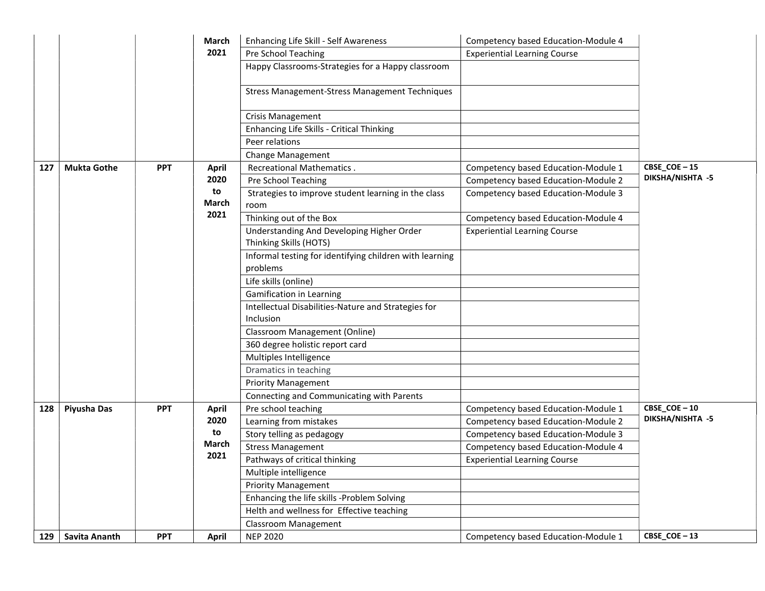|     |                    |            | March        | Enhancing Life Skill - Self Awareness                               | Competency based Education-Module 4 |                  |
|-----|--------------------|------------|--------------|---------------------------------------------------------------------|-------------------------------------|------------------|
|     |                    |            | 2021         | Pre School Teaching                                                 | <b>Experiential Learning Course</b> |                  |
|     |                    |            |              | Happy Classrooms-Strategies for a Happy classroom                   |                                     |                  |
|     |                    |            |              | Stress Management-Stress Management Techniques                      |                                     |                  |
|     |                    |            |              | Crisis Management                                                   |                                     |                  |
|     |                    |            |              | Enhancing Life Skills - Critical Thinking                           |                                     |                  |
|     |                    |            |              | Peer relations                                                      |                                     |                  |
|     |                    |            |              | <b>Change Management</b>                                            |                                     |                  |
| 127 | <b>Mukta Gothe</b> | <b>PPT</b> | <b>April</b> | <b>Recreational Mathematics.</b>                                    | Competency based Education-Module 1 | CBSE_COE-15      |
|     |                    |            | 2020         | Pre School Teaching                                                 | Competency based Education-Module 2 | DIKSHA/NISHTA -5 |
|     |                    |            | to<br>March  | Strategies to improve student learning in the class<br>room         | Competency based Education-Module 3 |                  |
|     |                    |            | 2021         | Thinking out of the Box                                             | Competency based Education-Module 4 |                  |
|     |                    |            |              | Understanding And Developing Higher Order<br>Thinking Skills (HOTS) | <b>Experiential Learning Course</b> |                  |
|     |                    |            |              | Informal testing for identifying children with learning<br>problems |                                     |                  |
|     |                    |            |              | Life skills (online)                                                |                                     |                  |
|     |                    |            |              | <b>Gamification in Learning</b>                                     |                                     |                  |
|     |                    |            |              | Intellectual Disabilities-Nature and Strategies for                 |                                     |                  |
|     |                    |            |              | Inclusion                                                           |                                     |                  |
|     |                    |            |              | Classroom Management (Online)                                       |                                     |                  |
|     |                    |            |              | 360 degree holistic report card                                     |                                     |                  |
|     |                    |            |              | Multiples Intelligence                                              |                                     |                  |
|     |                    |            |              | Dramatics in teaching                                               |                                     |                  |
|     |                    |            |              | <b>Priority Management</b>                                          |                                     |                  |
|     |                    |            |              | Connecting and Communicating with Parents                           |                                     |                  |
| 128 | Piyusha Das        | <b>PPT</b> | <b>April</b> | Pre school teaching                                                 | Competency based Education-Module 1 | CBSE_COE-10      |
|     |                    |            | 2020         | Learning from mistakes                                              | Competency based Education-Module 2 | DIKSHA/NISHTA -5 |
|     |                    |            | to           | Story telling as pedagogy                                           | Competency based Education-Module 3 |                  |
|     |                    |            | March        | <b>Stress Management</b>                                            | Competency based Education-Module 4 |                  |
|     |                    |            | 2021         | Pathways of critical thinking                                       | <b>Experiential Learning Course</b> |                  |
|     |                    |            |              | Multiple intelligence                                               |                                     |                  |
|     |                    |            |              | <b>Priority Management</b>                                          |                                     |                  |
|     |                    |            |              | Enhancing the life skills -Problem Solving                          |                                     |                  |
|     |                    |            |              | Helth and wellness for Effective teaching                           |                                     |                  |
|     |                    |            |              | <b>Classroom Management</b>                                         |                                     |                  |
| 129 | Savita Ananth      | <b>PPT</b> | <b>April</b> | <b>NEP 2020</b>                                                     | Competency based Education-Module 1 | CBSE_COE-13      |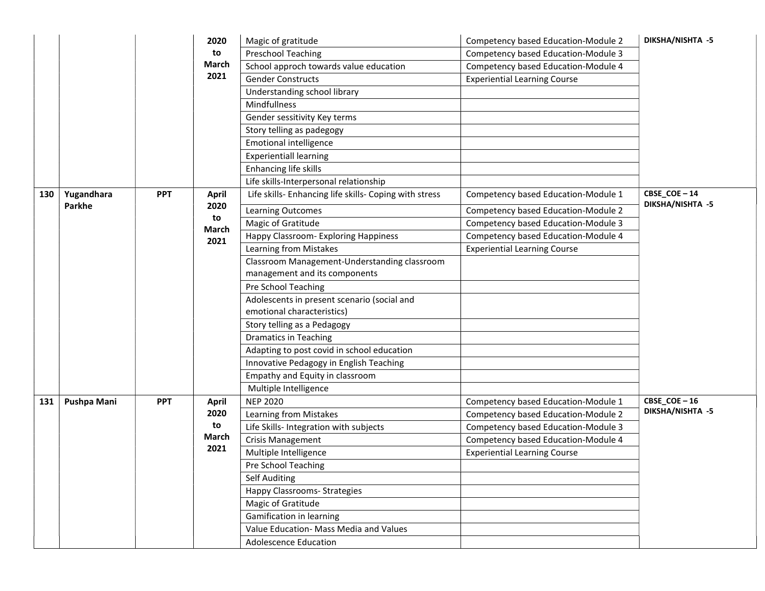|     |             |            | 2020          | Magic of gratitude                                     | Competency based Education-Module 2 | DIKSHA/NISHTA -5 |
|-----|-------------|------------|---------------|--------------------------------------------------------|-------------------------------------|------------------|
|     |             |            | to            | <b>Preschool Teaching</b>                              | Competency based Education-Module 3 |                  |
|     |             |            | March         | School approch towards value education                 | Competency based Education-Module 4 |                  |
|     |             |            | 2021          | <b>Gender Constructs</b>                               | <b>Experiential Learning Course</b> |                  |
|     |             |            |               | Understanding school library                           |                                     |                  |
|     |             |            |               | Mindfullness                                           |                                     |                  |
|     |             |            |               | Gender sessitivity Key terms                           |                                     |                  |
|     |             |            |               | Story telling as padegogy                              |                                     |                  |
|     |             |            |               | <b>Emotional intelligence</b>                          |                                     |                  |
|     |             |            |               | <b>Experientiall learning</b>                          |                                     |                  |
|     |             |            |               | Enhancing life skills                                  |                                     |                  |
|     |             |            |               | Life skills-Interpersonal relationship                 |                                     |                  |
| 130 | Yugandhara  | <b>PPT</b> | <b>April</b>  | Life skills- Enhancing life skills- Coping with stress | Competency based Education-Module 1 | CBSE_COE-14      |
|     | Parkhe      |            | 2020          | Learning Outcomes                                      | Competency based Education-Module 2 | DIKSHA/NISHTA -5 |
|     |             |            | to<br>March   | Magic of Gratitude                                     | Competency based Education-Module 3 |                  |
|     |             |            | 2021          | Happy Classroom- Exploring Happiness                   | Competency based Education-Module 4 |                  |
|     |             |            |               | Learning from Mistakes                                 | <b>Experiential Learning Course</b> |                  |
|     |             |            |               | Classroom Management-Understanding classroom           |                                     |                  |
|     |             |            |               | management and its components                          |                                     |                  |
|     |             |            |               | Pre School Teaching                                    |                                     |                  |
|     |             |            |               | Adolescents in present scenario (social and            |                                     |                  |
|     |             |            |               | emotional characteristics)                             |                                     |                  |
|     |             |            |               | Story telling as a Pedagogy                            |                                     |                  |
|     |             |            |               | <b>Dramatics in Teaching</b>                           |                                     |                  |
|     |             |            |               | Adapting to post covid in school education             |                                     |                  |
|     |             |            |               | Innovative Pedagogy in English Teaching                |                                     |                  |
|     |             |            |               | Empathy and Equity in classroom                        |                                     |                  |
|     |             |            |               | Multiple Intelligence                                  |                                     |                  |
| 131 | Pushpa Mani | <b>PPT</b> | <b>April</b>  | <b>NEP 2020</b>                                        | Competency based Education-Module 1 | $CBSE\_COE - 16$ |
|     |             |            | 2020          | Learning from Mistakes                                 | Competency based Education-Module 2 | DIKSHA/NISHTA -5 |
|     |             |            | to            | Life Skills- Integration with subjects                 | Competency based Education-Module 3 |                  |
|     |             |            | March<br>2021 | <b>Crisis Management</b>                               | Competency based Education-Module 4 |                  |
|     |             |            |               | Multiple Intelligence                                  | <b>Experiential Learning Course</b> |                  |
|     |             |            |               | Pre School Teaching                                    |                                     |                  |
|     |             |            |               | Self Auditing                                          |                                     |                  |
|     |             |            |               | <b>Happy Classrooms- Strategies</b>                    |                                     |                  |
|     |             |            |               | Magic of Gratitude                                     |                                     |                  |
|     |             |            |               | Gamification in learning                               |                                     |                  |
|     |             |            |               | Value Education- Mass Media and Values                 |                                     |                  |
|     |             |            |               | <b>Adolescence Education</b>                           |                                     |                  |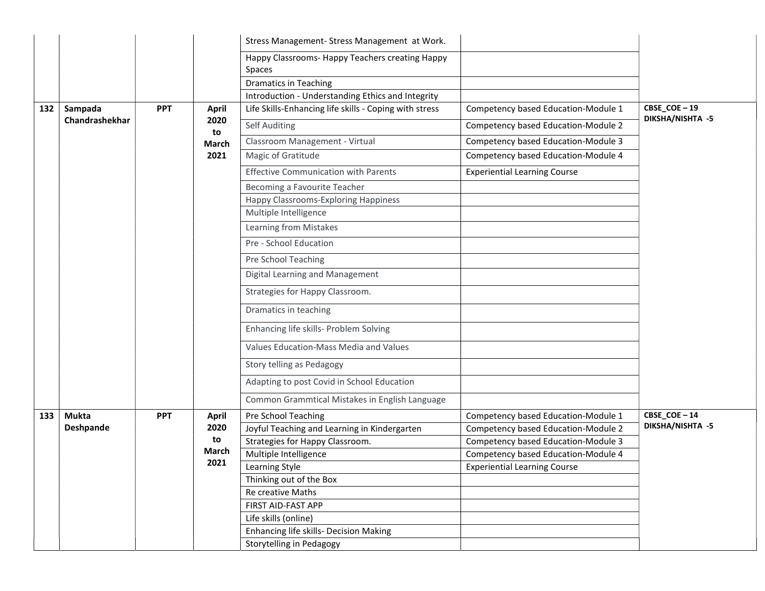|     |                       |            |                                 | Stress Management- Stress Management at Work.             |                                     |                                 |
|-----|-----------------------|------------|---------------------------------|-----------------------------------------------------------|-------------------------------------|---------------------------------|
|     |                       |            |                                 | Happy Classrooms- Happy Teachers creating Happy<br>Spaces |                                     |                                 |
|     | Sampada<br><b>PPT</b> |            | <b>Dramatics in Teaching</b>    |                                                           |                                     |                                 |
|     |                       |            |                                 | Introduction - Understanding Ethics and Integrity         |                                     |                                 |
| 132 |                       |            | <b>April</b>                    | Life Skills-Enhancing life skills - Coping with stress    | Competency based Education-Module 1 | CBSE_COE-19<br>DIKSHA/NISHTA -5 |
|     | Chandrashekhar        |            | 2020<br>to                      | Self Auditing                                             | Competency based Education-Module 2 |                                 |
|     |                       |            | March                           | Classroom Management - Virtual                            | Competency based Education-Module 3 |                                 |
|     |                       |            | 2021                            | Magic of Gratitude                                        | Competency based Education-Module 4 |                                 |
|     |                       |            |                                 | <b>Effective Communication with Parents</b>               | <b>Experiential Learning Course</b> |                                 |
|     |                       |            |                                 | Becoming a Favourite Teacher                              |                                     |                                 |
|     |                       |            |                                 | Happy Classrooms-Exploring Happiness                      |                                     |                                 |
|     |                       |            |                                 | Multiple Intelligence                                     |                                     |                                 |
|     |                       |            |                                 | Learning from Mistakes                                    |                                     |                                 |
|     |                       |            |                                 | Pre - School Education                                    |                                     |                                 |
|     |                       |            |                                 | Pre School Teaching                                       |                                     |                                 |
|     |                       |            |                                 | Digital Learning and Management                           |                                     |                                 |
|     |                       |            | Strategies for Happy Classroom. |                                                           |                                     |                                 |
|     |                       |            |                                 | Dramatics in teaching                                     |                                     |                                 |
|     |                       |            |                                 | Enhancing life skills- Problem Solving                    |                                     |                                 |
|     |                       |            |                                 | Values Education-Mass Media and Values                    |                                     |                                 |
|     |                       |            |                                 | Story telling as Pedagogy                                 |                                     |                                 |
|     |                       |            |                                 | Adapting to post Covid in School Education                |                                     |                                 |
|     |                       |            |                                 | Common Grammtical Mistakes in English Language            |                                     |                                 |
| 133 | <b>Mukta</b>          | <b>PPT</b> | <b>April</b>                    | Pre School Teaching                                       | Competency based Education-Module 1 | CBSE_COE-14                     |
|     | Deshpande             |            | 2020                            | Joyful Teaching and Learning in Kindergarten              | Competency based Education-Module 2 | DIKSHA/NISHTA -5                |
|     |                       |            | to                              | Strategies for Happy Classroom.                           | Competency based Education-Module 3 |                                 |
|     |                       |            | March                           | Multiple Intelligence                                     | Competency based Education-Module 4 |                                 |
|     |                       |            | 2021                            | Learning Style                                            | <b>Experiential Learning Course</b> |                                 |
|     |                       |            |                                 | Thinking out of the Box                                   |                                     |                                 |
|     |                       |            |                                 | Re creative Maths                                         |                                     |                                 |
|     |                       |            |                                 | FIRST AID-FAST APP                                        |                                     |                                 |
|     |                       |            |                                 | Life skills (online)                                      |                                     |                                 |
|     |                       |            |                                 | Enhancing life skills- Decision Making                    |                                     |                                 |
|     |                       |            |                                 | Storytelling in Pedagogy                                  |                                     |                                 |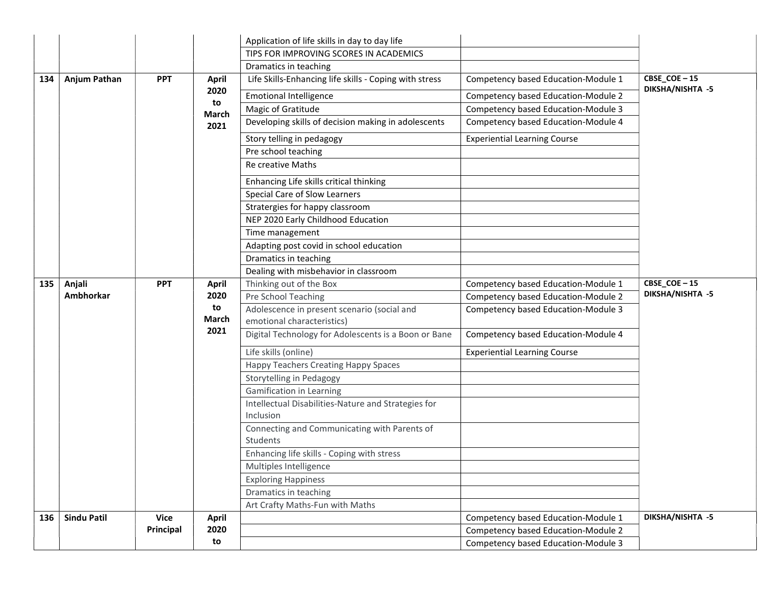|     |                    |            |                                                     | Application of life skills in day to day life                    |                                                                            |                                 |
|-----|--------------------|------------|-----------------------------------------------------|------------------------------------------------------------------|----------------------------------------------------------------------------|---------------------------------|
|     |                    |            |                                                     | TIPS FOR IMPROVING SCORES IN ACADEMICS                           |                                                                            |                                 |
|     |                    |            |                                                     | Dramatics in teaching                                            |                                                                            |                                 |
| 134 | Anjum Pathan       | <b>PPT</b> | <b>April</b>                                        | Life Skills-Enhancing life skills - Coping with stress           | Competency based Education-Module 1                                        | CBSE_COE-15<br>DIKSHA/NISHTA -5 |
|     |                    |            | 2020                                                | <b>Emotional Intelligence</b>                                    | Competency based Education-Module 2                                        |                                 |
|     |                    |            | to<br>March                                         | Magic of Gratitude                                               | Competency based Education-Module 3                                        |                                 |
|     |                    | 2021       | Developing skills of decision making in adolescents | Competency based Education-Module 4                              |                                                                            |                                 |
|     |                    |            |                                                     | Story telling in pedagogy                                        | <b>Experiential Learning Course</b>                                        |                                 |
|     |                    |            |                                                     | Pre school teaching                                              |                                                                            |                                 |
|     |                    |            |                                                     | Re creative Maths                                                |                                                                            |                                 |
|     |                    |            |                                                     | Enhancing Life skills critical thinking                          |                                                                            |                                 |
|     |                    |            |                                                     | Special Care of Slow Learners                                    |                                                                            |                                 |
|     |                    |            |                                                     | Stratergies for happy classroom                                  |                                                                            |                                 |
|     |                    |            |                                                     | NEP 2020 Early Childhood Education                               |                                                                            |                                 |
|     |                    |            |                                                     | Time management                                                  |                                                                            |                                 |
|     |                    |            |                                                     | Adapting post covid in school education                          |                                                                            |                                 |
|     |                    |            |                                                     | Dramatics in teaching                                            |                                                                            |                                 |
|     |                    |            |                                                     | Dealing with misbehavior in classroom                            |                                                                            |                                 |
| 135 | Anjali             | <b>PPT</b> | <b>April</b>                                        | Thinking out of the Box                                          | Competency based Education-Module 1                                        | CBSE_COE-15                     |
|     | Ambhorkar          |            | 2020                                                | Pre School Teaching                                              | Competency based Education-Module 2                                        | DIKSHA/NISHTA -5                |
|     |                    |            | to                                                  | Adolescence in present scenario (social and                      | Competency based Education-Module 3                                        |                                 |
|     |                    |            | March                                               | emotional characteristics)                                       |                                                                            |                                 |
|     |                    |            | 2021                                                | Digital Technology for Adolescents is a Boon or Bane             | Competency based Education-Module 4                                        |                                 |
|     |                    |            |                                                     | Life skills (online)                                             | <b>Experiential Learning Course</b>                                        |                                 |
|     |                    |            |                                                     | Happy Teachers Creating Happy Spaces                             |                                                                            |                                 |
|     |                    |            |                                                     | Storytelling in Pedagogy                                         |                                                                            |                                 |
|     |                    |            |                                                     | <b>Gamification in Learning</b>                                  |                                                                            |                                 |
|     |                    |            |                                                     | Intellectual Disabilities-Nature and Strategies for<br>Inclusion |                                                                            |                                 |
|     |                    |            |                                                     | Connecting and Communicating with Parents of                     |                                                                            |                                 |
|     |                    |            |                                                     | Students                                                         |                                                                            |                                 |
|     |                    |            |                                                     | Enhancing life skills - Coping with stress                       |                                                                            |                                 |
|     |                    |            |                                                     | Multiples Intelligence                                           |                                                                            |                                 |
|     |                    |            |                                                     | <b>Exploring Happiness</b>                                       |                                                                            |                                 |
|     |                    |            |                                                     | Dramatics in teaching                                            |                                                                            |                                 |
|     |                    |            |                                                     | Art Crafty Maths-Fun with Maths                                  |                                                                            |                                 |
| 136 | <b>Sindu Patil</b> | Vice       | <b>April</b>                                        |                                                                  | Competency based Education-Module 1                                        | DIKSHA/NISHTA -5                |
|     |                    |            |                                                     |                                                                  |                                                                            |                                 |
|     |                    | Principal  | 2020<br>to                                          |                                                                  | Competency based Education-Module 2<br>Competency based Education-Module 3 |                                 |